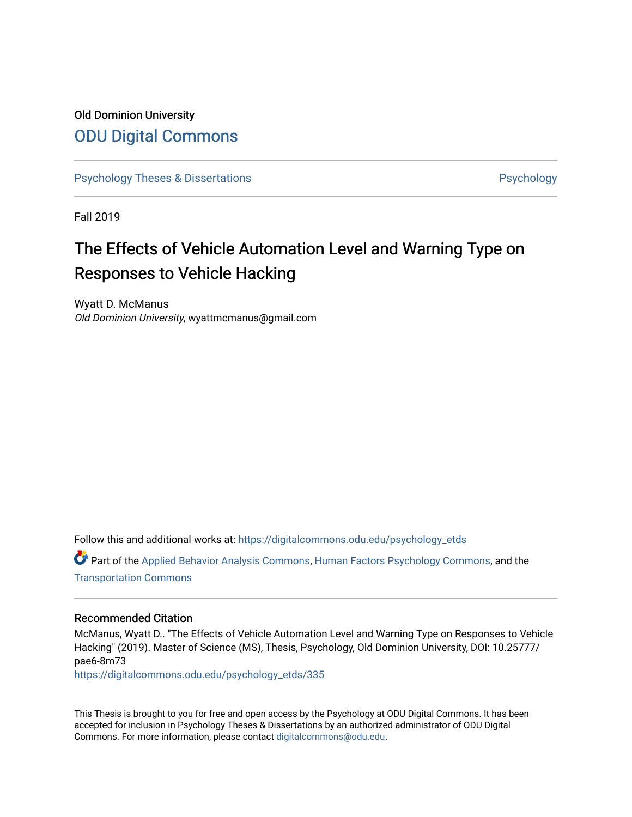# Old Dominion University [ODU Digital Commons](https://digitalcommons.odu.edu/)

[Psychology Theses & Dissertations](https://digitalcommons.odu.edu/psychology_etds) **Psychology** Psychology

Fall 2019

# The Effects of Vehicle Automation Level and Warning Type on Responses to Vehicle Hacking

Wyatt D. McManus Old Dominion University, wyattmcmanus@gmail.com

Follow this and additional works at: [https://digitalcommons.odu.edu/psychology\\_etds](https://digitalcommons.odu.edu/psychology_etds?utm_source=digitalcommons.odu.edu%2Fpsychology_etds%2F335&utm_medium=PDF&utm_campaign=PDFCoverPages)

Part of the [Applied Behavior Analysis Commons](http://network.bepress.com/hgg/discipline/1235?utm_source=digitalcommons.odu.edu%2Fpsychology_etds%2F335&utm_medium=PDF&utm_campaign=PDFCoverPages), [Human Factors Psychology Commons](http://network.bepress.com/hgg/discipline/1412?utm_source=digitalcommons.odu.edu%2Fpsychology_etds%2F335&utm_medium=PDF&utm_campaign=PDFCoverPages), and the [Transportation Commons](http://network.bepress.com/hgg/discipline/1068?utm_source=digitalcommons.odu.edu%2Fpsychology_etds%2F335&utm_medium=PDF&utm_campaign=PDFCoverPages) 

## Recommended Citation

McManus, Wyatt D.. "The Effects of Vehicle Automation Level and Warning Type on Responses to Vehicle Hacking" (2019). Master of Science (MS), Thesis, Psychology, Old Dominion University, DOI: 10.25777/ pae6-8m73

[https://digitalcommons.odu.edu/psychology\\_etds/335](https://digitalcommons.odu.edu/psychology_etds/335?utm_source=digitalcommons.odu.edu%2Fpsychology_etds%2F335&utm_medium=PDF&utm_campaign=PDFCoverPages)

This Thesis is brought to you for free and open access by the Psychology at ODU Digital Commons. It has been accepted for inclusion in Psychology Theses & Dissertations by an authorized administrator of ODU Digital Commons. For more information, please contact [digitalcommons@odu.edu](mailto:digitalcommons@odu.edu).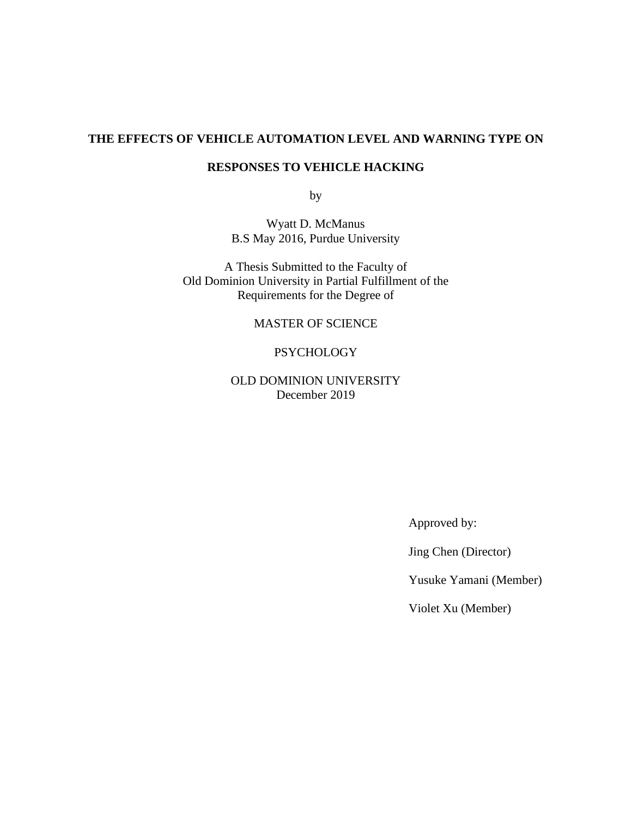## **THE EFFECTS OF VEHICLE AUTOMATION LEVEL AND WARNING TYPE ON**

## **RESPONSES TO VEHICLE HACKING**

by

Wyatt D. McManus B.S May 2016, Purdue University

A Thesis Submitted to the Faculty of Old Dominion University in Partial Fulfillment of the Requirements for the Degree of

MASTER OF SCIENCE

## PSYCHOLOGY

OLD DOMINION UNIVERSITY December 2019

Approved by:

Jing Chen (Director)

Yusuke Yamani (Member)

Violet Xu (Member)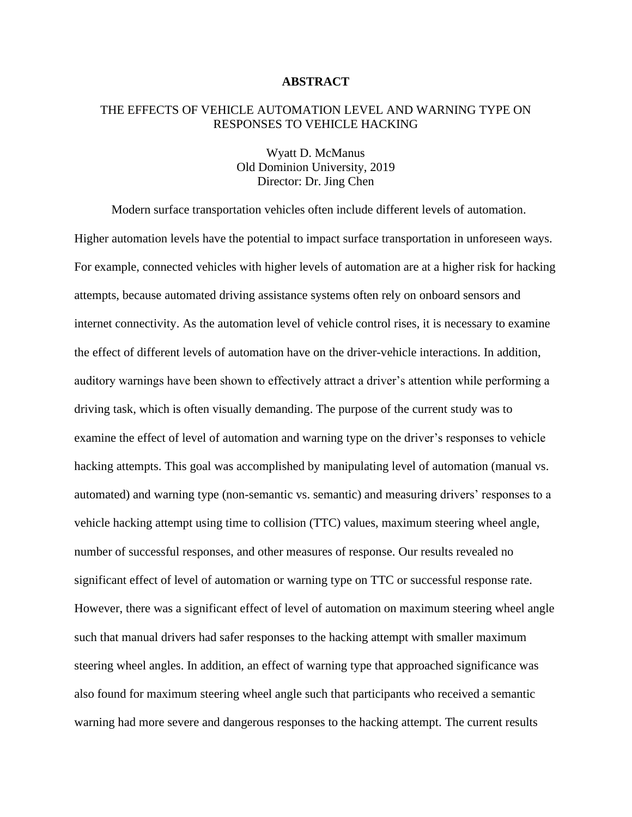## **ABSTRACT**

## THE EFFECTS OF VEHICLE AUTOMATION LEVEL AND WARNING TYPE ON RESPONSES TO VEHICLE HACKING

Wyatt D. McManus Old Dominion University, 2019 Director: Dr. Jing Chen

Modern surface transportation vehicles often include different levels of automation. Higher automation levels have the potential to impact surface transportation in unforeseen ways. For example, connected vehicles with higher levels of automation are at a higher risk for hacking attempts, because automated driving assistance systems often rely on onboard sensors and internet connectivity. As the automation level of vehicle control rises, it is necessary to examine the effect of different levels of automation have on the driver-vehicle interactions. In addition, auditory warnings have been shown to effectively attract a driver's attention while performing a driving task, which is often visually demanding. The purpose of the current study was to examine the effect of level of automation and warning type on the driver's responses to vehicle hacking attempts. This goal was accomplished by manipulating level of automation (manual vs. automated) and warning type (non-semantic vs. semantic) and measuring drivers' responses to a vehicle hacking attempt using time to collision (TTC) values, maximum steering wheel angle, number of successful responses, and other measures of response. Our results revealed no significant effect of level of automation or warning type on TTC or successful response rate. However, there was a significant effect of level of automation on maximum steering wheel angle such that manual drivers had safer responses to the hacking attempt with smaller maximum steering wheel angles. In addition, an effect of warning type that approached significance was also found for maximum steering wheel angle such that participants who received a semantic warning had more severe and dangerous responses to the hacking attempt. The current results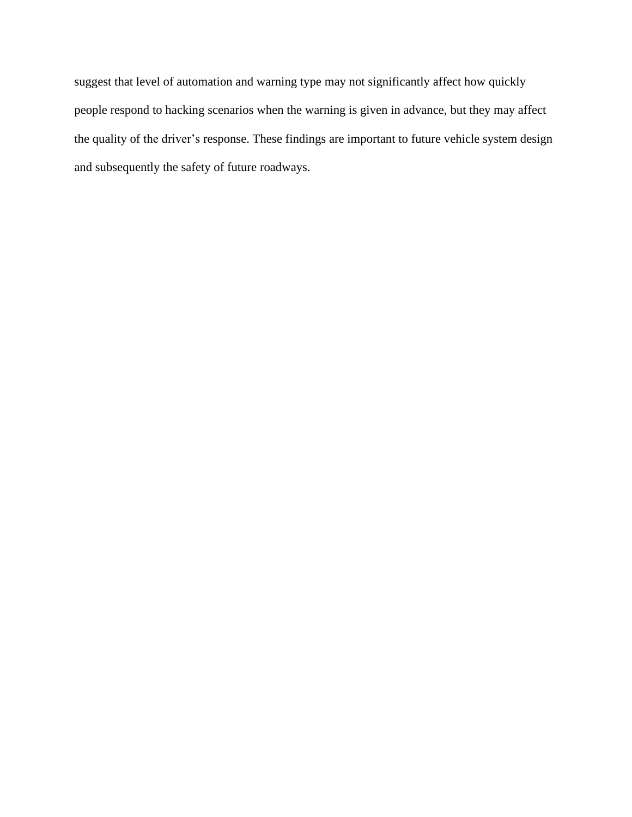suggest that level of automation and warning type may not significantly affect how quickly people respond to hacking scenarios when the warning is given in advance, but they may affect the quality of the driver's response. These findings are important to future vehicle system design and subsequently the safety of future roadways.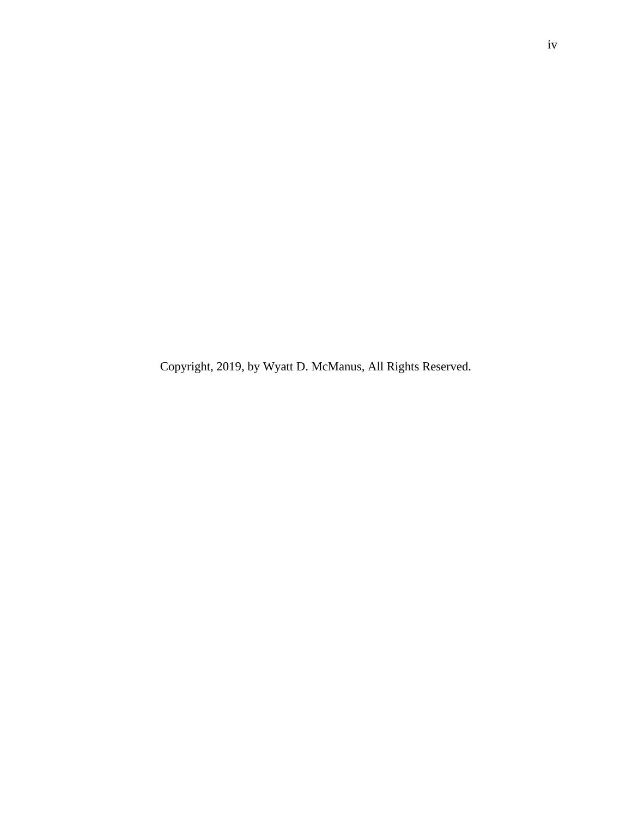Copyright, 2019, by Wyatt D. McManus, All Rights Reserved.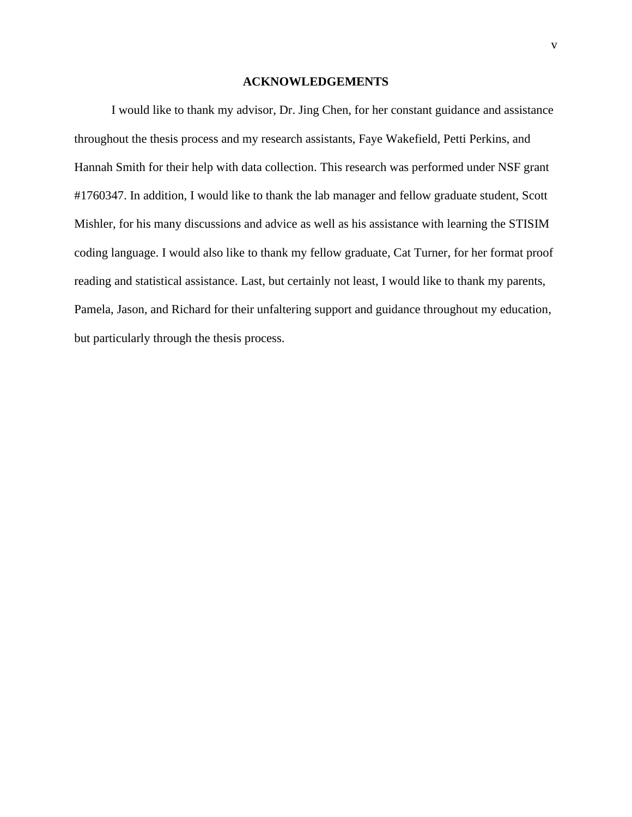### **ACKNOWLEDGEMENTS**

I would like to thank my advisor, Dr. Jing Chen, for her constant guidance and assistance throughout the thesis process and my research assistants, Faye Wakefield, Petti Perkins, and Hannah Smith for their help with data collection. This research was performed under NSF grant #1760347. In addition, I would like to thank the lab manager and fellow graduate student, Scott Mishler, for his many discussions and advice as well as his assistance with learning the STISIM coding language. I would also like to thank my fellow graduate, Cat Turner, for her format proof reading and statistical assistance. Last, but certainly not least, I would like to thank my parents, Pamela, Jason, and Richard for their unfaltering support and guidance throughout my education, but particularly through the thesis process.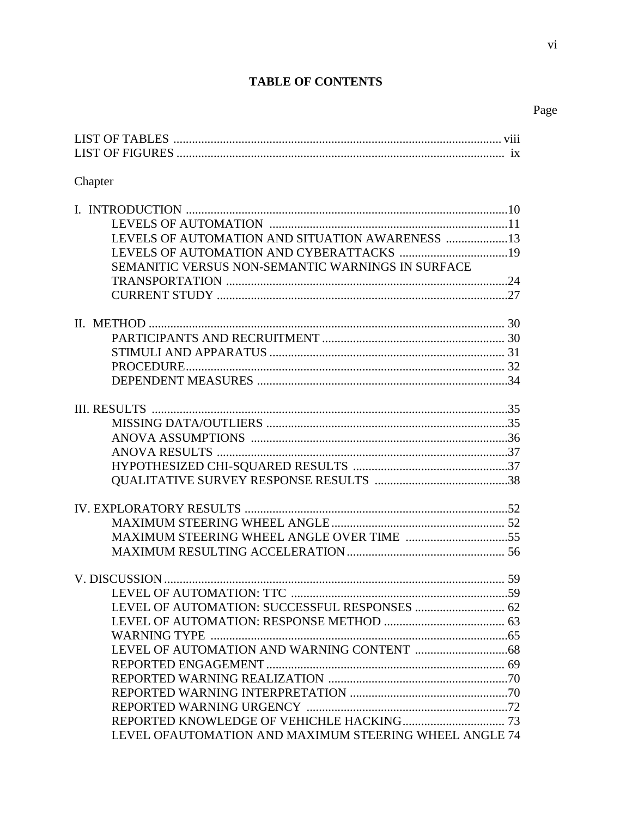# **TABLE OF CONTENTS**

# Page

## Chapter

| LEVELS OF AUTOMATION AND SITUATION AWARENESS 13        |  |
|--------------------------------------------------------|--|
|                                                        |  |
| SEMANITIC VERSUS NON-SEMANTIC WARNINGS IN SURFACE      |  |
|                                                        |  |
|                                                        |  |
|                                                        |  |
|                                                        |  |
|                                                        |  |
|                                                        |  |
|                                                        |  |
|                                                        |  |
|                                                        |  |
|                                                        |  |
|                                                        |  |
|                                                        |  |
|                                                        |  |
|                                                        |  |
|                                                        |  |
|                                                        |  |
|                                                        |  |
|                                                        |  |
|                                                        |  |
|                                                        |  |
|                                                        |  |
|                                                        |  |
|                                                        |  |
|                                                        |  |
|                                                        |  |
|                                                        |  |
|                                                        |  |
|                                                        |  |
| LEVEL OFAUTOMATION AND MAXIMUM STEERING WHEEL ANGLE 74 |  |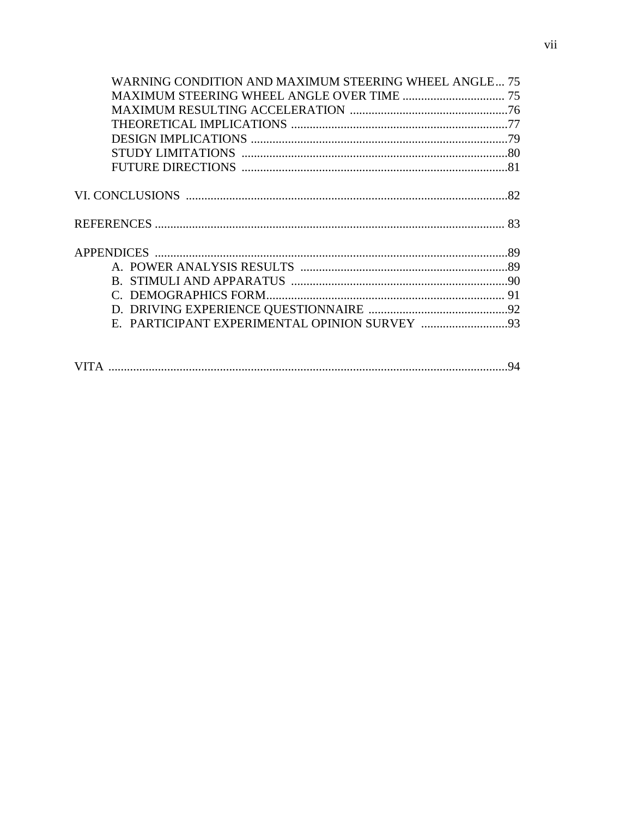| WARNING CONDITION AND MAXIMUM STEERING WHEEL ANGLE 75 |  |
|-------------------------------------------------------|--|
|                                                       |  |
|                                                       |  |
|                                                       |  |
|                                                       |  |
|                                                       |  |
|                                                       |  |
|                                                       |  |
|                                                       |  |
|                                                       |  |
|                                                       |  |
|                                                       |  |
|                                                       |  |
|                                                       |  |
|                                                       |  |
|                                                       |  |
|                                                       |  |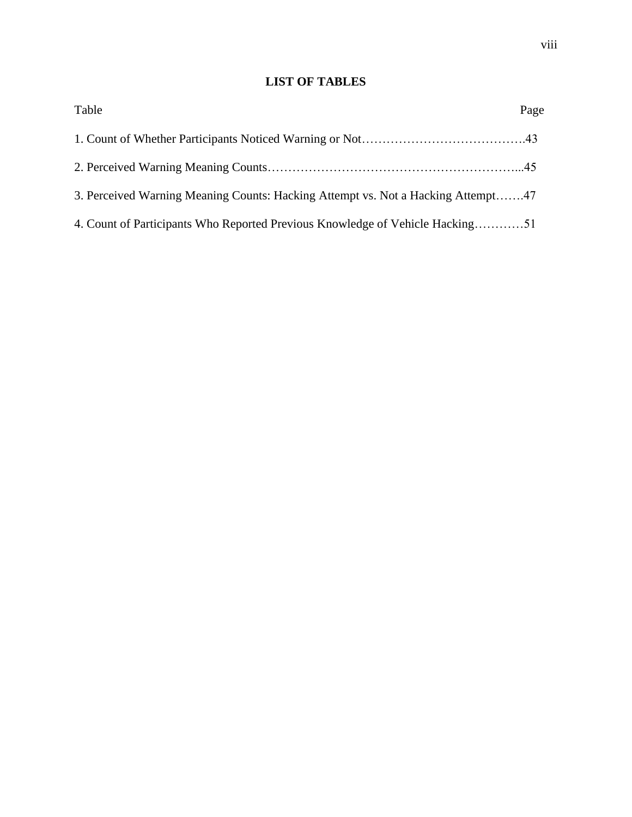# **LIST OF TABLES**

| Table                                                                            | Page |
|----------------------------------------------------------------------------------|------|
|                                                                                  |      |
|                                                                                  |      |
| 3. Perceived Warning Meaning Counts: Hacking Attempt vs. Not a Hacking Attempt47 |      |
| 4. Count of Participants Who Reported Previous Knowledge of Vehicle Hacking51    |      |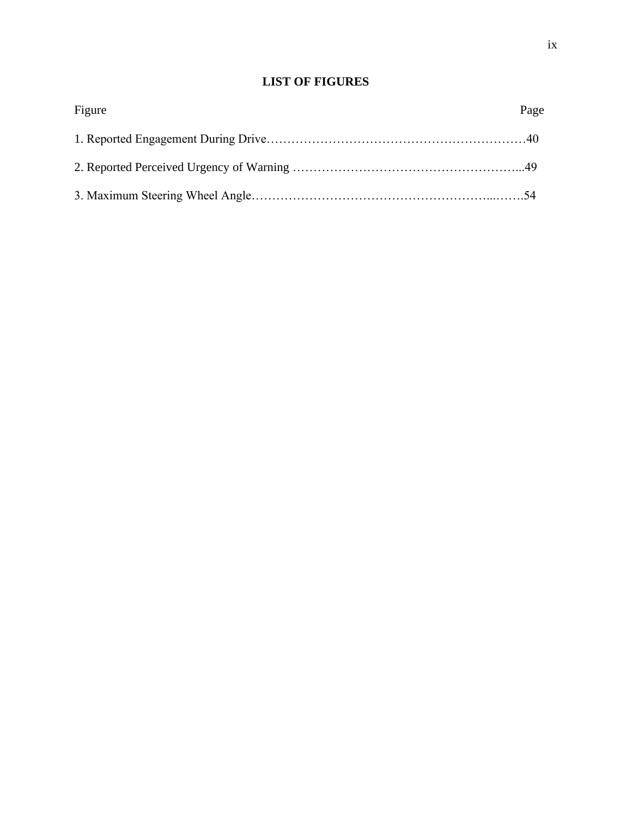## **LIST OF FIGURES**

| Figure | Page |
|--------|------|
|        |      |
|        |      |
|        |      |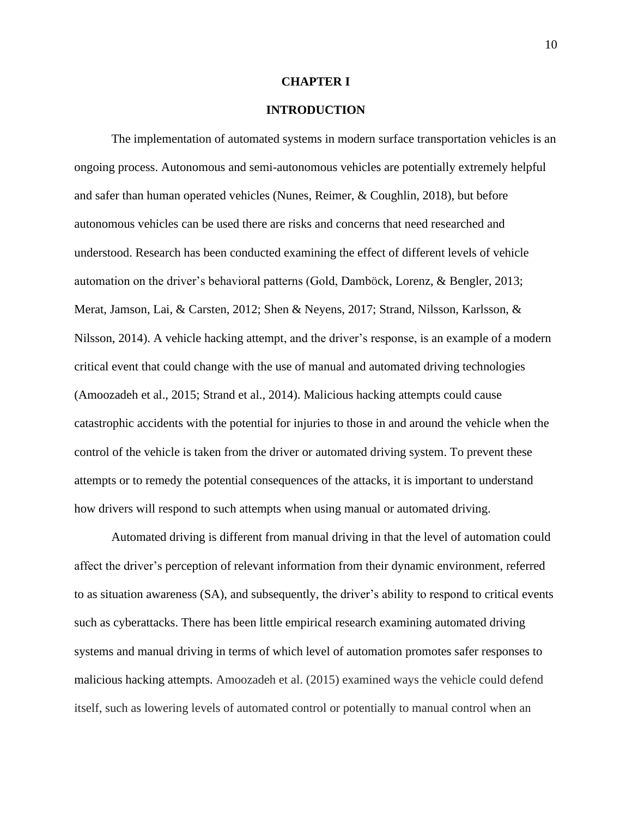#### **CHAPTER I**

## **INTRODUCTION**

The implementation of automated systems in modern surface transportation vehicles is an ongoing process. Autonomous and semi-autonomous vehicles are potentially extremely helpful and safer than human operated vehicles (Nunes, Reimer, & Coughlin, 2018), but before autonomous vehicles can be used there are risks and concerns that need researched and understood. Research has been conducted examining the effect of different levels of vehicle automation on the driver's behavioral patterns (Gold, Damböck, Lorenz, & Bengler, 2013; Merat, Jamson, Lai, & Carsten, 2012; Shen & Neyens, 2017; Strand, Nilsson, Karlsson, & Nilsson, 2014). A vehicle hacking attempt, and the driver's response, is an example of a modern critical event that could change with the use of manual and automated driving technologies (Amoozadeh et al., 2015; Strand et al., 2014). Malicious hacking attempts could cause catastrophic accidents with the potential for injuries to those in and around the vehicle when the control of the vehicle is taken from the driver or automated driving system. To prevent these attempts or to remedy the potential consequences of the attacks, it is important to understand how drivers will respond to such attempts when using manual or automated driving.

Automated driving is different from manual driving in that the level of automation could affect the driver's perception of relevant information from their dynamic environment, referred to as situation awareness (SA), and subsequently, the driver's ability to respond to critical events such as cyberattacks. There has been little empirical research examining automated driving systems and manual driving in terms of which level of automation promotes safer responses to malicious hacking attempts. Amoozadeh et al. (2015) examined ways the vehicle could defend itself, such as lowering levels of automated control or potentially to manual control when an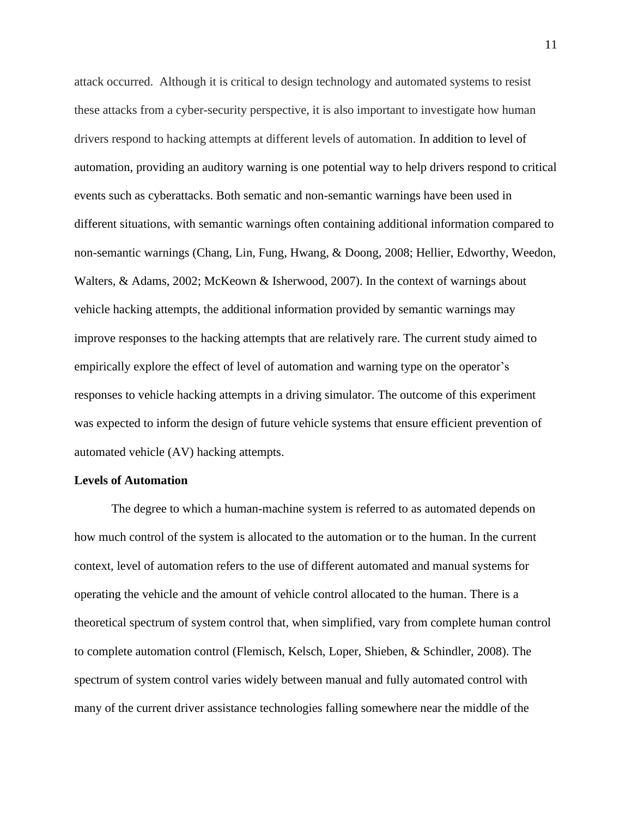attack occurred. Although it is critical to design technology and automated systems to resist these attacks from a cyber-security perspective, it is also important to investigate how human drivers respond to hacking attempts at different levels of automation. In addition to level of automation, providing an auditory warning is one potential way to help drivers respond to critical events such as cyberattacks. Both sematic and non-semantic warnings have been used in different situations, with semantic warnings often containing additional information compared to non-semantic warnings (Chang, Lin, Fung, Hwang, & Doong, 2008; Hellier, Edworthy, Weedon, Walters, & Adams, 2002; McKeown & Isherwood, 2007). In the context of warnings about vehicle hacking attempts, the additional information provided by semantic warnings may improve responses to the hacking attempts that are relatively rare. The current study aimed to empirically explore the effect of level of automation and warning type on the operator's responses to vehicle hacking attempts in a driving simulator. The outcome of this experiment was expected to inform the design of future vehicle systems that ensure efficient prevention of automated vehicle (AV) hacking attempts.

### **Levels of Automation**

The degree to which a human-machine system is referred to as automated depends on how much control of the system is allocated to the automation or to the human. In the current context, level of automation refers to the use of different automated and manual systems for operating the vehicle and the amount of vehicle control allocated to the human. There is a theoretical spectrum of system control that, when simplified, vary from complete human control to complete automation control (Flemisch, Kelsch, Loper, Shieben, & Schindler, 2008). The spectrum of system control varies widely between manual and fully automated control with many of the current driver assistance technologies falling somewhere near the middle of the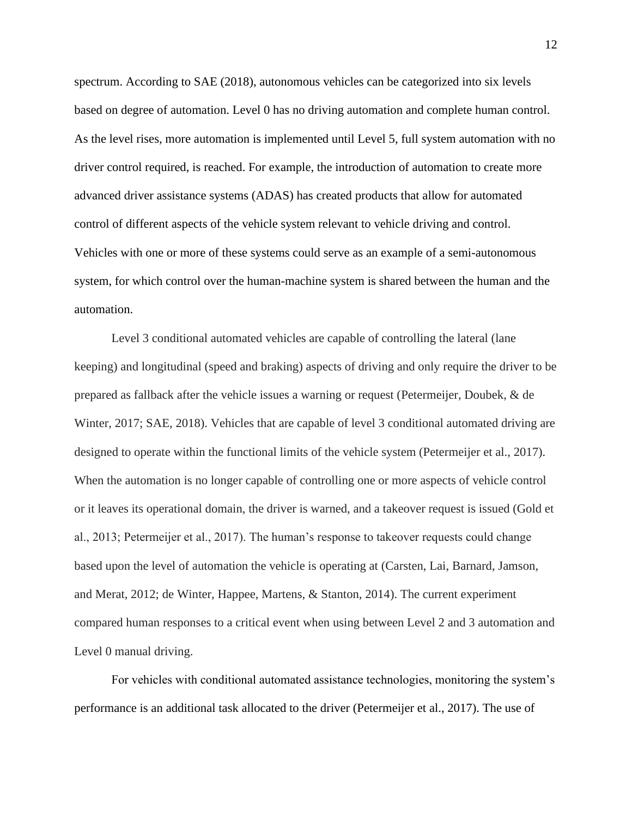spectrum. According to SAE (2018), autonomous vehicles can be categorized into six levels based on degree of automation. Level 0 has no driving automation and complete human control. As the level rises, more automation is implemented until Level 5, full system automation with no driver control required, is reached. For example, the introduction of automation to create more advanced driver assistance systems (ADAS) has created products that allow for automated control of different aspects of the vehicle system relevant to vehicle driving and control. Vehicles with one or more of these systems could serve as an example of a semi-autonomous system, for which control over the human-machine system is shared between the human and the automation.

Level 3 conditional automated vehicles are capable of controlling the lateral (lane keeping) and longitudinal (speed and braking) aspects of driving and only require the driver to be prepared as fallback after the vehicle issues a warning or request (Petermeijer, Doubek, & de Winter, 2017; SAE, 2018). Vehicles that are capable of level 3 conditional automated driving are designed to operate within the functional limits of the vehicle system (Petermeijer et al., 2017). When the automation is no longer capable of controlling one or more aspects of vehicle control or it leaves its operational domain, the driver is warned, and a takeover request is issued (Gold et al., 2013; Petermeijer et al., 2017). The human's response to takeover requests could change based upon the level of automation the vehicle is operating at (Carsten, Lai, Barnard, Jamson, and Merat, 2012; de Winter, Happee, Martens, & Stanton, 2014). The current experiment compared human responses to a critical event when using between Level 2 and 3 automation and Level 0 manual driving.

For vehicles with conditional automated assistance technologies, monitoring the system's performance is an additional task allocated to the driver (Petermeijer et al., 2017). The use of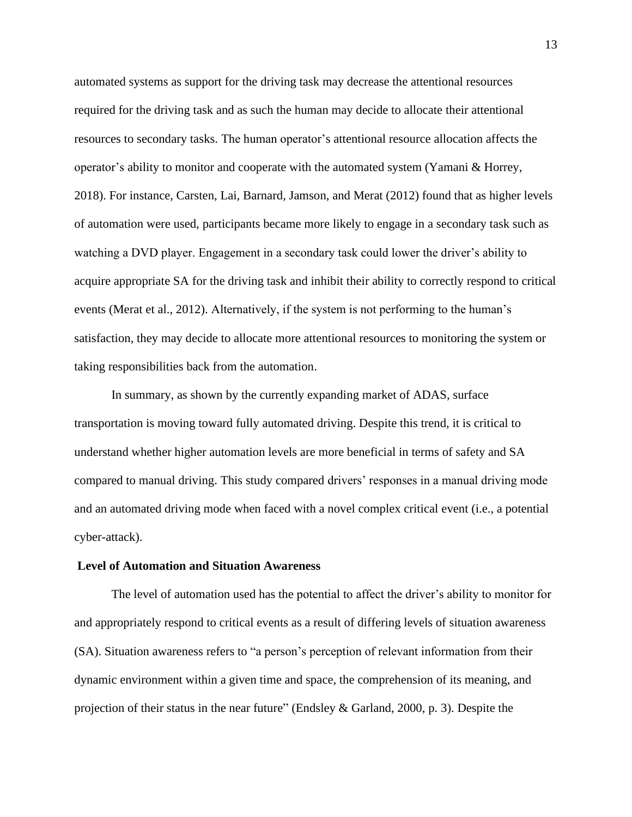automated systems as support for the driving task may decrease the attentional resources required for the driving task and as such the human may decide to allocate their attentional resources to secondary tasks. The human operator's attentional resource allocation affects the operator's ability to monitor and cooperate with the automated system (Yamani & Horrey, 2018). For instance, Carsten, Lai, Barnard, Jamson, and Merat (2012) found that as higher levels of automation were used, participants became more likely to engage in a secondary task such as watching a DVD player. Engagement in a secondary task could lower the driver's ability to acquire appropriate SA for the driving task and inhibit their ability to correctly respond to critical events (Merat et al., 2012). Alternatively, if the system is not performing to the human's satisfaction, they may decide to allocate more attentional resources to monitoring the system or taking responsibilities back from the automation.

In summary, as shown by the currently expanding market of ADAS, surface transportation is moving toward fully automated driving. Despite this trend, it is critical to understand whether higher automation levels are more beneficial in terms of safety and SA compared to manual driving. This study compared drivers' responses in a manual driving mode and an automated driving mode when faced with a novel complex critical event (i.e., a potential cyber-attack).

## **Level of Automation and Situation Awareness**

The level of automation used has the potential to affect the driver's ability to monitor for and appropriately respond to critical events as a result of differing levels of situation awareness (SA). Situation awareness refers to "a person's perception of relevant information from their dynamic environment within a given time and space, the comprehension of its meaning, and projection of their status in the near future" (Endsley & Garland, 2000, p. 3). Despite the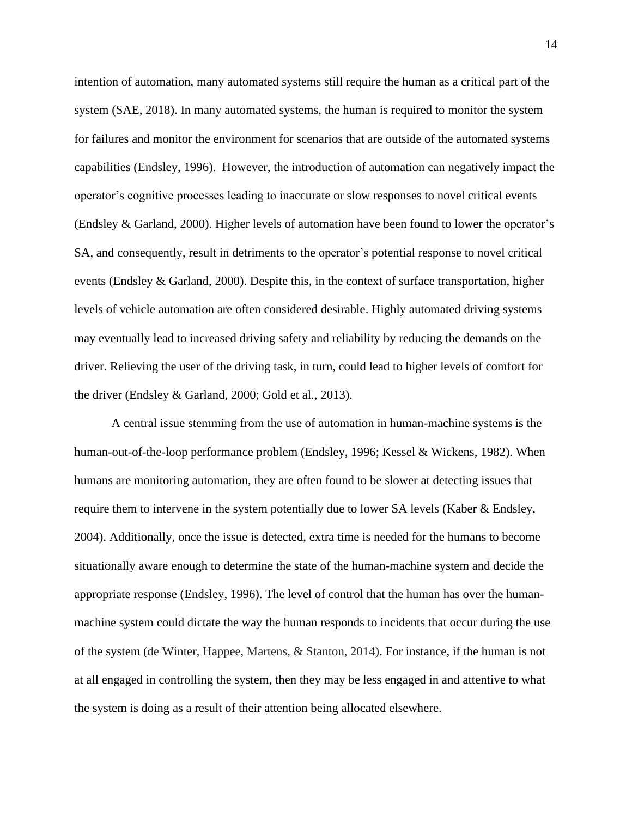intention of automation, many automated systems still require the human as a critical part of the system (SAE, 2018). In many automated systems, the human is required to monitor the system for failures and monitor the environment for scenarios that are outside of the automated systems capabilities (Endsley, 1996). However, the introduction of automation can negatively impact the operator's cognitive processes leading to inaccurate or slow responses to novel critical events (Endsley & Garland, 2000). Higher levels of automation have been found to lower the operator's SA, and consequently, result in detriments to the operator's potential response to novel critical events (Endsley & Garland, 2000). Despite this, in the context of surface transportation, higher levels of vehicle automation are often considered desirable. Highly automated driving systems may eventually lead to increased driving safety and reliability by reducing the demands on the driver. Relieving the user of the driving task, in turn, could lead to higher levels of comfort for the driver (Endsley & Garland, 2000; Gold et al., 2013).

A central issue stemming from the use of automation in human-machine systems is the human-out-of-the-loop performance problem (Endsley, 1996; Kessel & Wickens, 1982). When humans are monitoring automation, they are often found to be slower at detecting issues that require them to intervene in the system potentially due to lower SA levels (Kaber & Endsley, 2004). Additionally, once the issue is detected, extra time is needed for the humans to become situationally aware enough to determine the state of the human-machine system and decide the appropriate response (Endsley, 1996). The level of control that the human has over the humanmachine system could dictate the way the human responds to incidents that occur during the use of the system (de Winter, Happee, Martens, & Stanton, 2014). For instance, if the human is not at all engaged in controlling the system, then they may be less engaged in and attentive to what the system is doing as a result of their attention being allocated elsewhere.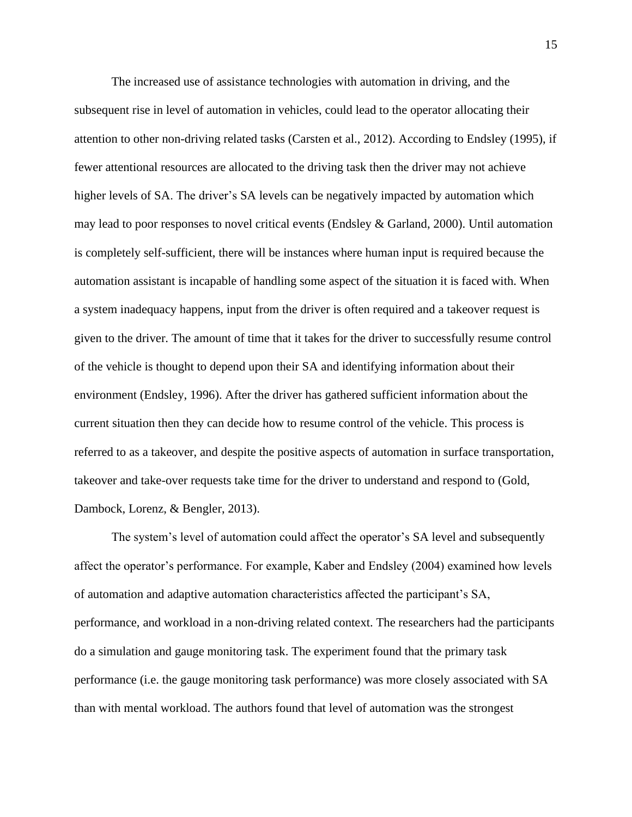The increased use of assistance technologies with automation in driving, and the subsequent rise in level of automation in vehicles, could lead to the operator allocating their attention to other non-driving related tasks (Carsten et al., 2012). According to Endsley (1995), if fewer attentional resources are allocated to the driving task then the driver may not achieve higher levels of SA. The driver's SA levels can be negatively impacted by automation which may lead to poor responses to novel critical events (Endsley & Garland, 2000). Until automation is completely self-sufficient, there will be instances where human input is required because the automation assistant is incapable of handling some aspect of the situation it is faced with. When a system inadequacy happens, input from the driver is often required and a takeover request is given to the driver. The amount of time that it takes for the driver to successfully resume control of the vehicle is thought to depend upon their SA and identifying information about their environment (Endsley, 1996). After the driver has gathered sufficient information about the current situation then they can decide how to resume control of the vehicle. This process is referred to as a takeover, and despite the positive aspects of automation in surface transportation, takeover and take-over requests take time for the driver to understand and respond to (Gold, Dambock, Lorenz, & Bengler, 2013).

The system's level of automation could affect the operator's SA level and subsequently affect the operator's performance. For example, Kaber and Endsley (2004) examined how levels of automation and adaptive automation characteristics affected the participant's SA, performance, and workload in a non-driving related context. The researchers had the participants do a simulation and gauge monitoring task. The experiment found that the primary task performance (i.e. the gauge monitoring task performance) was more closely associated with SA than with mental workload. The authors found that level of automation was the strongest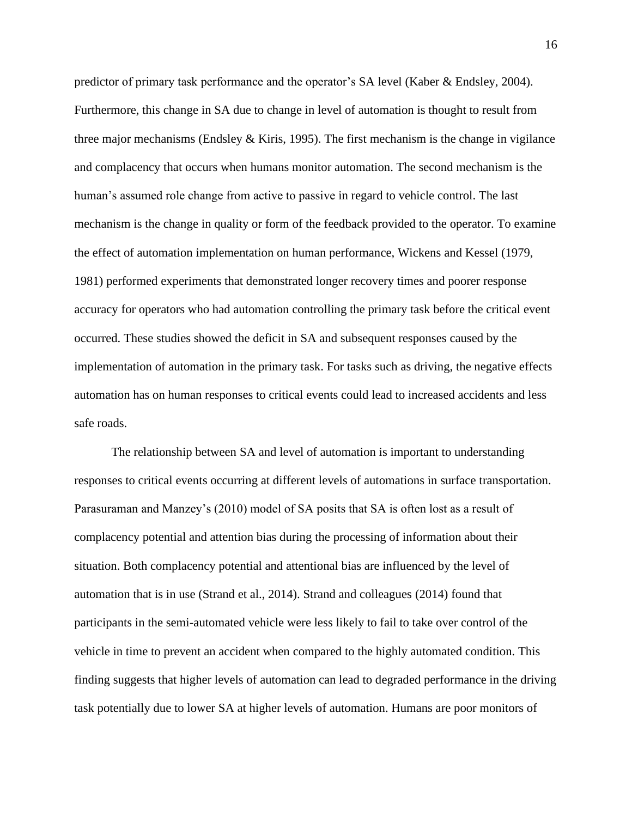predictor of primary task performance and the operator's SA level (Kaber & Endsley, 2004). Furthermore, this change in SA due to change in level of automation is thought to result from three major mechanisms (Endsley & Kiris, 1995). The first mechanism is the change in vigilance and complacency that occurs when humans monitor automation. The second mechanism is the human's assumed role change from active to passive in regard to vehicle control. The last mechanism is the change in quality or form of the feedback provided to the operator. To examine the effect of automation implementation on human performance, Wickens and Kessel (1979, 1981) performed experiments that demonstrated longer recovery times and poorer response accuracy for operators who had automation controlling the primary task before the critical event occurred. These studies showed the deficit in SA and subsequent responses caused by the implementation of automation in the primary task. For tasks such as driving, the negative effects automation has on human responses to critical events could lead to increased accidents and less safe roads.

The relationship between SA and level of automation is important to understanding responses to critical events occurring at different levels of automations in surface transportation. Parasuraman and Manzey's (2010) model of SA posits that SA is often lost as a result of complacency potential and attention bias during the processing of information about their situation. Both complacency potential and attentional bias are influenced by the level of automation that is in use (Strand et al., 2014). Strand and colleagues (2014) found that participants in the semi-automated vehicle were less likely to fail to take over control of the vehicle in time to prevent an accident when compared to the highly automated condition. This finding suggests that higher levels of automation can lead to degraded performance in the driving task potentially due to lower SA at higher levels of automation. Humans are poor monitors of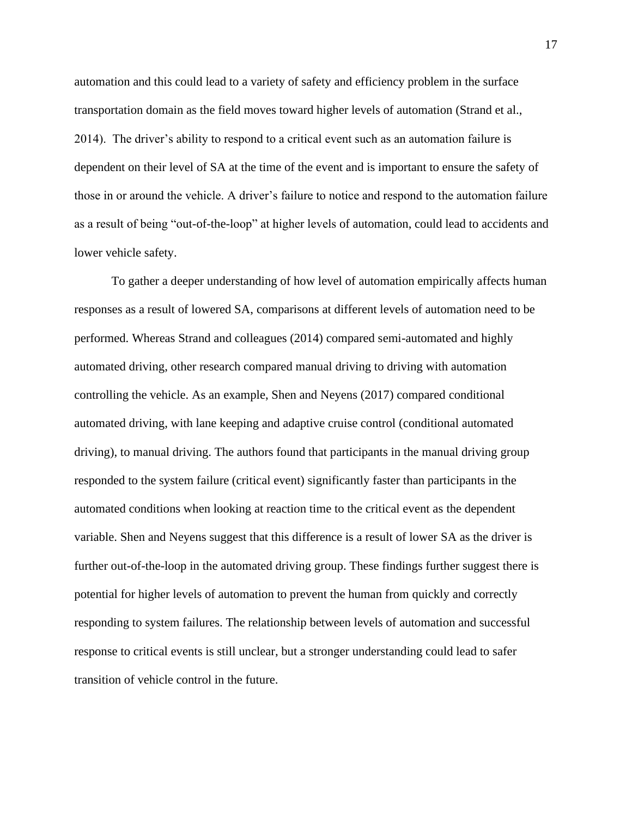automation and this could lead to a variety of safety and efficiency problem in the surface transportation domain as the field moves toward higher levels of automation (Strand et al., 2014). The driver's ability to respond to a critical event such as an automation failure is dependent on their level of SA at the time of the event and is important to ensure the safety of those in or around the vehicle. A driver's failure to notice and respond to the automation failure as a result of being "out-of-the-loop" at higher levels of automation, could lead to accidents and lower vehicle safety.

To gather a deeper understanding of how level of automation empirically affects human responses as a result of lowered SA, comparisons at different levels of automation need to be performed. Whereas Strand and colleagues (2014) compared semi-automated and highly automated driving, other research compared manual driving to driving with automation controlling the vehicle. As an example, Shen and Neyens (2017) compared conditional automated driving, with lane keeping and adaptive cruise control (conditional automated driving), to manual driving. The authors found that participants in the manual driving group responded to the system failure (critical event) significantly faster than participants in the automated conditions when looking at reaction time to the critical event as the dependent variable. Shen and Neyens suggest that this difference is a result of lower SA as the driver is further out-of-the-loop in the automated driving group. These findings further suggest there is potential for higher levels of automation to prevent the human from quickly and correctly responding to system failures. The relationship between levels of automation and successful response to critical events is still unclear, but a stronger understanding could lead to safer transition of vehicle control in the future.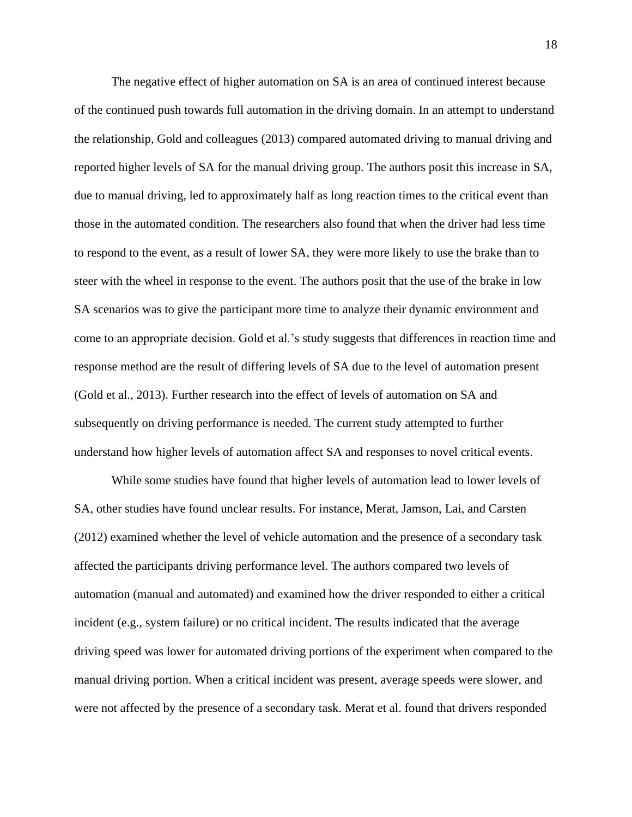The negative effect of higher automation on SA is an area of continued interest because of the continued push towards full automation in the driving domain. In an attempt to understand the relationship, Gold and colleagues (2013) compared automated driving to manual driving and reported higher levels of SA for the manual driving group. The authors posit this increase in SA, due to manual driving, led to approximately half as long reaction times to the critical event than those in the automated condition. The researchers also found that when the driver had less time to respond to the event, as a result of lower SA, they were more likely to use the brake than to steer with the wheel in response to the event. The authors posit that the use of the brake in low SA scenarios was to give the participant more time to analyze their dynamic environment and come to an appropriate decision. Gold et al.'s study suggests that differences in reaction time and response method are the result of differing levels of SA due to the level of automation present (Gold et al., 2013). Further research into the effect of levels of automation on SA and subsequently on driving performance is needed. The current study attempted to further understand how higher levels of automation affect SA and responses to novel critical events.

While some studies have found that higher levels of automation lead to lower levels of SA, other studies have found unclear results. For instance, Merat, Jamson, Lai, and Carsten (2012) examined whether the level of vehicle automation and the presence of a secondary task affected the participants driving performance level. The authors compared two levels of automation (manual and automated) and examined how the driver responded to either a critical incident (e.g., system failure) or no critical incident. The results indicated that the average driving speed was lower for automated driving portions of the experiment when compared to the manual driving portion. When a critical incident was present, average speeds were slower, and were not affected by the presence of a secondary task. Merat et al. found that drivers responded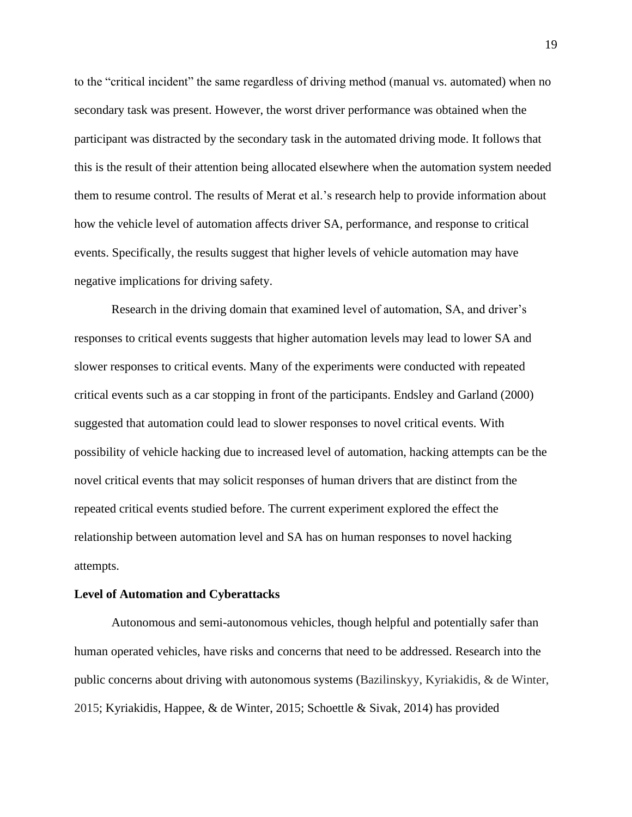to the "critical incident" the same regardless of driving method (manual vs. automated) when no secondary task was present. However, the worst driver performance was obtained when the participant was distracted by the secondary task in the automated driving mode. It follows that this is the result of their attention being allocated elsewhere when the automation system needed them to resume control. The results of Merat et al.'s research help to provide information about how the vehicle level of automation affects driver SA, performance, and response to critical events. Specifically, the results suggest that higher levels of vehicle automation may have negative implications for driving safety.

Research in the driving domain that examined level of automation, SA, and driver's responses to critical events suggests that higher automation levels may lead to lower SA and slower responses to critical events. Many of the experiments were conducted with repeated critical events such as a car stopping in front of the participants. Endsley and Garland (2000) suggested that automation could lead to slower responses to novel critical events. With possibility of vehicle hacking due to increased level of automation, hacking attempts can be the novel critical events that may solicit responses of human drivers that are distinct from the repeated critical events studied before. The current experiment explored the effect the relationship between automation level and SA has on human responses to novel hacking attempts.

#### **Level of Automation and Cyberattacks**

Autonomous and semi-autonomous vehicles, though helpful and potentially safer than human operated vehicles, have risks and concerns that need to be addressed. Research into the public concerns about driving with autonomous systems (Bazilinskyy, Kyriakidis, & de Winter, 2015; Kyriakidis, Happee, & de Winter, 2015; Schoettle & Sivak, 2014) has provided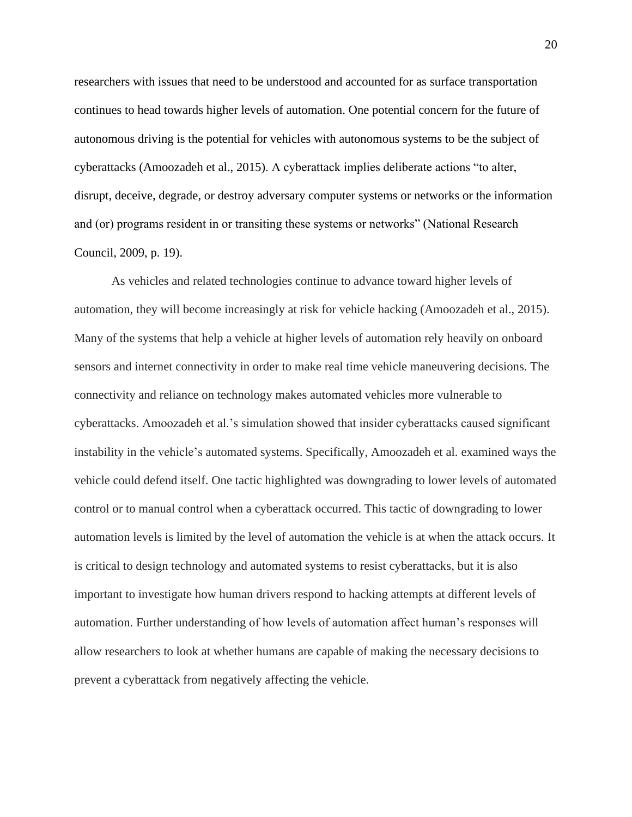researchers with issues that need to be understood and accounted for as surface transportation continues to head towards higher levels of automation. One potential concern for the future of autonomous driving is the potential for vehicles with autonomous systems to be the subject of cyberattacks (Amoozadeh et al., 2015). A cyberattack implies deliberate actions "to alter, disrupt, deceive, degrade, or destroy adversary computer systems or networks or the information and (or) programs resident in or transiting these systems or networks" (National Research Council, 2009, p. 19).

As vehicles and related technologies continue to advance toward higher levels of automation, they will become increasingly at risk for vehicle hacking (Amoozadeh et al., 2015). Many of the systems that help a vehicle at higher levels of automation rely heavily on onboard sensors and internet connectivity in order to make real time vehicle maneuvering decisions. The connectivity and reliance on technology makes automated vehicles more vulnerable to cyberattacks. Amoozadeh et al.'s simulation showed that insider cyberattacks caused significant instability in the vehicle's automated systems. Specifically, Amoozadeh et al. examined ways the vehicle could defend itself. One tactic highlighted was downgrading to lower levels of automated control or to manual control when a cyberattack occurred. This tactic of downgrading to lower automation levels is limited by the level of automation the vehicle is at when the attack occurs. It is critical to design technology and automated systems to resist cyberattacks, but it is also important to investigate how human drivers respond to hacking attempts at different levels of automation. Further understanding of how levels of automation affect human's responses will allow researchers to look at whether humans are capable of making the necessary decisions to prevent a cyberattack from negatively affecting the vehicle.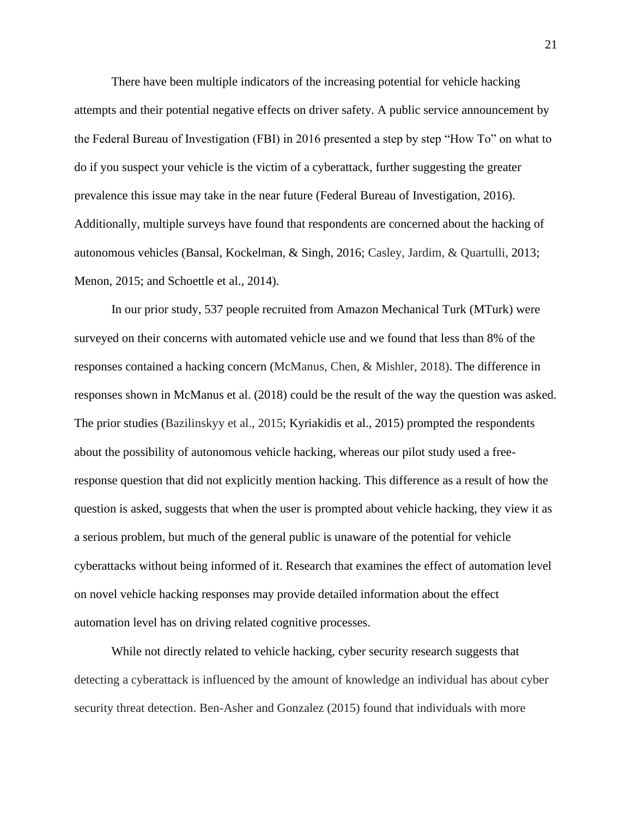There have been multiple indicators of the increasing potential for vehicle hacking attempts and their potential negative effects on driver safety. A public service announcement by the Federal Bureau of Investigation (FBI) in 2016 presented a step by step "How To" on what to do if you suspect your vehicle is the victim of a cyberattack, further suggesting the greater prevalence this issue may take in the near future (Federal Bureau of Investigation, 2016). Additionally, multiple surveys have found that respondents are concerned about the hacking of autonomous vehicles (Bansal, Kockelman, & Singh, 2016; Casley, Jardim, & Quartulli, 2013; Menon, 2015; and Schoettle et al., 2014).

In our prior study, 537 people recruited from Amazon Mechanical Turk (MTurk) were surveyed on their concerns with automated vehicle use and we found that less than 8% of the responses contained a hacking concern (McManus, Chen, & Mishler, 2018). The difference in responses shown in McManus et al. (2018) could be the result of the way the question was asked. The prior studies (Bazilinskyy et al., 2015; Kyriakidis et al., 2015) prompted the respondents about the possibility of autonomous vehicle hacking, whereas our pilot study used a freeresponse question that did not explicitly mention hacking. This difference as a result of how the question is asked, suggests that when the user is prompted about vehicle hacking, they view it as a serious problem, but much of the general public is unaware of the potential for vehicle cyberattacks without being informed of it. Research that examines the effect of automation level on novel vehicle hacking responses may provide detailed information about the effect automation level has on driving related cognitive processes.

While not directly related to vehicle hacking, cyber security research suggests that detecting a cyberattack is influenced by the amount of knowledge an individual has about cyber security threat detection. Ben-Asher and Gonzalez (2015) found that individuals with more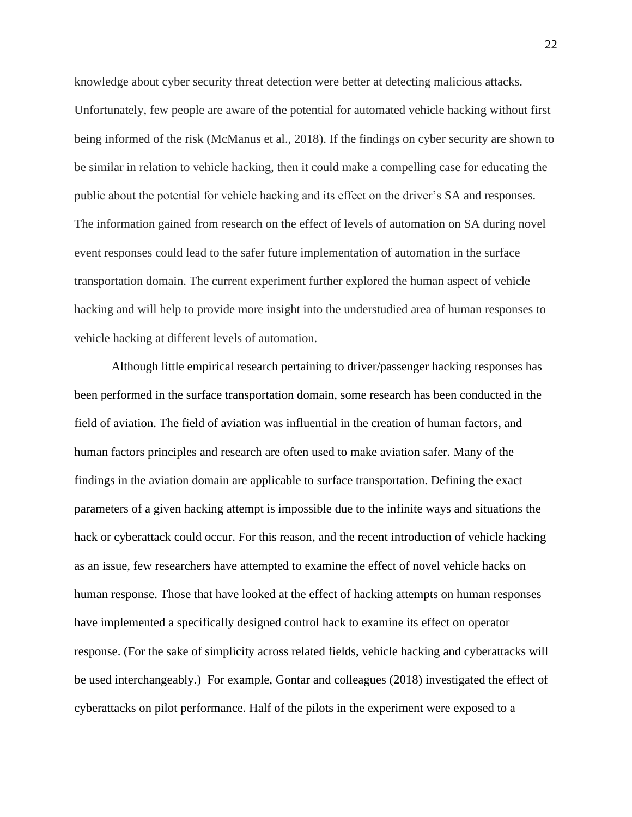knowledge about cyber security threat detection were better at detecting malicious attacks. Unfortunately, few people are aware of the potential for automated vehicle hacking without first being informed of the risk (McManus et al., 2018). If the findings on cyber security are shown to be similar in relation to vehicle hacking, then it could make a compelling case for educating the public about the potential for vehicle hacking and its effect on the driver's SA and responses. The information gained from research on the effect of levels of automation on SA during novel event responses could lead to the safer future implementation of automation in the surface transportation domain. The current experiment further explored the human aspect of vehicle hacking and will help to provide more insight into the understudied area of human responses to vehicle hacking at different levels of automation.

Although little empirical research pertaining to driver/passenger hacking responses has been performed in the surface transportation domain, some research has been conducted in the field of aviation. The field of aviation was influential in the creation of human factors, and human factors principles and research are often used to make aviation safer. Many of the findings in the aviation domain are applicable to surface transportation. Defining the exact parameters of a given hacking attempt is impossible due to the infinite ways and situations the hack or cyberattack could occur. For this reason, and the recent introduction of vehicle hacking as an issue, few researchers have attempted to examine the effect of novel vehicle hacks on human response. Those that have looked at the effect of hacking attempts on human responses have implemented a specifically designed control hack to examine its effect on operator response. (For the sake of simplicity across related fields, vehicle hacking and cyberattacks will be used interchangeably.) For example, Gontar and colleagues (2018) investigated the effect of cyberattacks on pilot performance. Half of the pilots in the experiment were exposed to a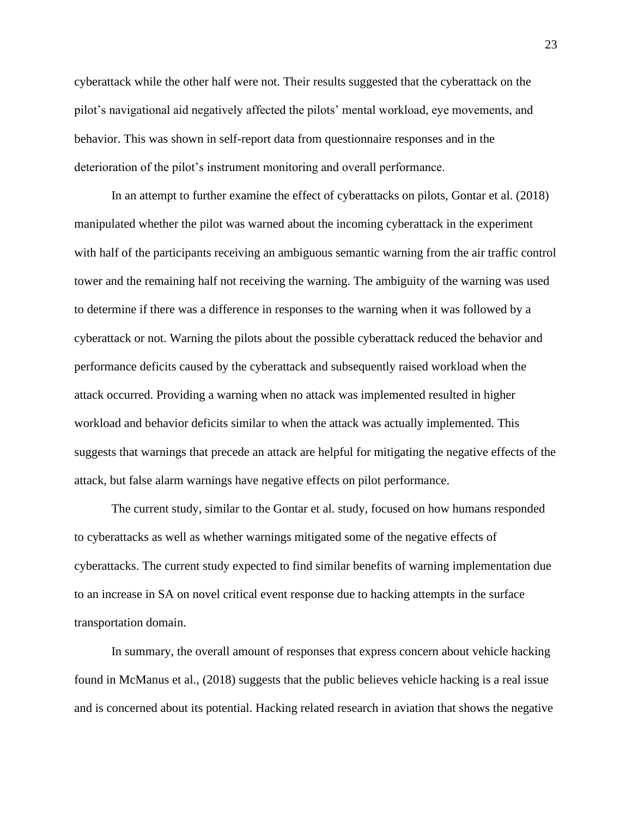cyberattack while the other half were not. Their results suggested that the cyberattack on the pilot's navigational aid negatively affected the pilots' mental workload, eye movements, and behavior. This was shown in self-report data from questionnaire responses and in the deterioration of the pilot's instrument monitoring and overall performance.

In an attempt to further examine the effect of cyberattacks on pilots, Gontar et al. (2018) manipulated whether the pilot was warned about the incoming cyberattack in the experiment with half of the participants receiving an ambiguous semantic warning from the air traffic control tower and the remaining half not receiving the warning. The ambiguity of the warning was used to determine if there was a difference in responses to the warning when it was followed by a cyberattack or not. Warning the pilots about the possible cyberattack reduced the behavior and performance deficits caused by the cyberattack and subsequently raised workload when the attack occurred. Providing a warning when no attack was implemented resulted in higher workload and behavior deficits similar to when the attack was actually implemented. This suggests that warnings that precede an attack are helpful for mitigating the negative effects of the attack, but false alarm warnings have negative effects on pilot performance.

The current study, similar to the Gontar et al. study, focused on how humans responded to cyberattacks as well as whether warnings mitigated some of the negative effects of cyberattacks. The current study expected to find similar benefits of warning implementation due to an increase in SA on novel critical event response due to hacking attempts in the surface transportation domain.

In summary, the overall amount of responses that express concern about vehicle hacking found in McManus et al., (2018) suggests that the public believes vehicle hacking is a real issue and is concerned about its potential. Hacking related research in aviation that shows the negative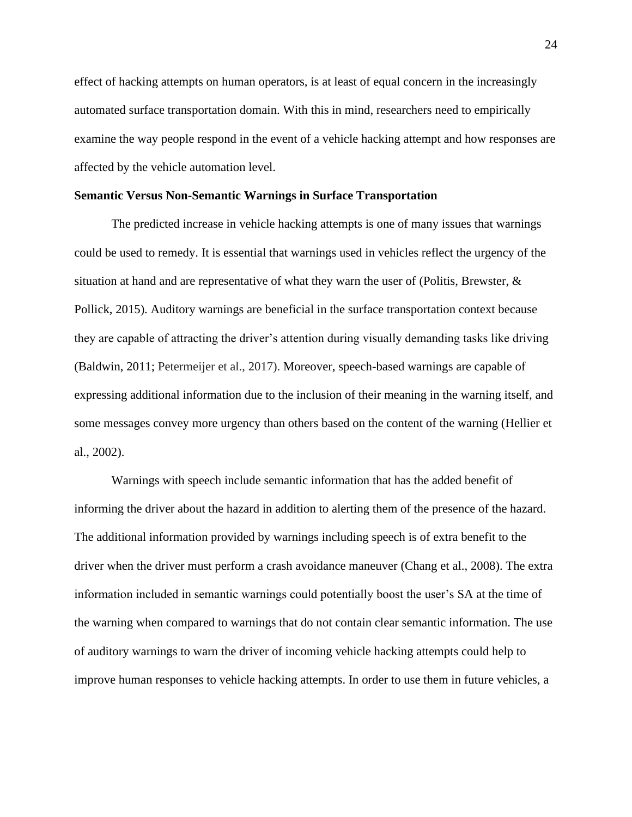effect of hacking attempts on human operators, is at least of equal concern in the increasingly automated surface transportation domain. With this in mind, researchers need to empirically examine the way people respond in the event of a vehicle hacking attempt and how responses are affected by the vehicle automation level.

#### **Semantic Versus Non-Semantic Warnings in Surface Transportation**

The predicted increase in vehicle hacking attempts is one of many issues that warnings could be used to remedy. It is essential that warnings used in vehicles reflect the urgency of the situation at hand and are representative of what they warn the user of (Politis, Brewster, & Pollick, 2015). Auditory warnings are beneficial in the surface transportation context because they are capable of attracting the driver's attention during visually demanding tasks like driving (Baldwin, 2011; Petermeijer et al., 2017). Moreover, speech-based warnings are capable of expressing additional information due to the inclusion of their meaning in the warning itself, and some messages convey more urgency than others based on the content of the warning (Hellier et al., 2002).

Warnings with speech include semantic information that has the added benefit of informing the driver about the hazard in addition to alerting them of the presence of the hazard. The additional information provided by warnings including speech is of extra benefit to the driver when the driver must perform a crash avoidance maneuver (Chang et al., 2008). The extra information included in semantic warnings could potentially boost the user's SA at the time of the warning when compared to warnings that do not contain clear semantic information. The use of auditory warnings to warn the driver of incoming vehicle hacking attempts could help to improve human responses to vehicle hacking attempts. In order to use them in future vehicles, a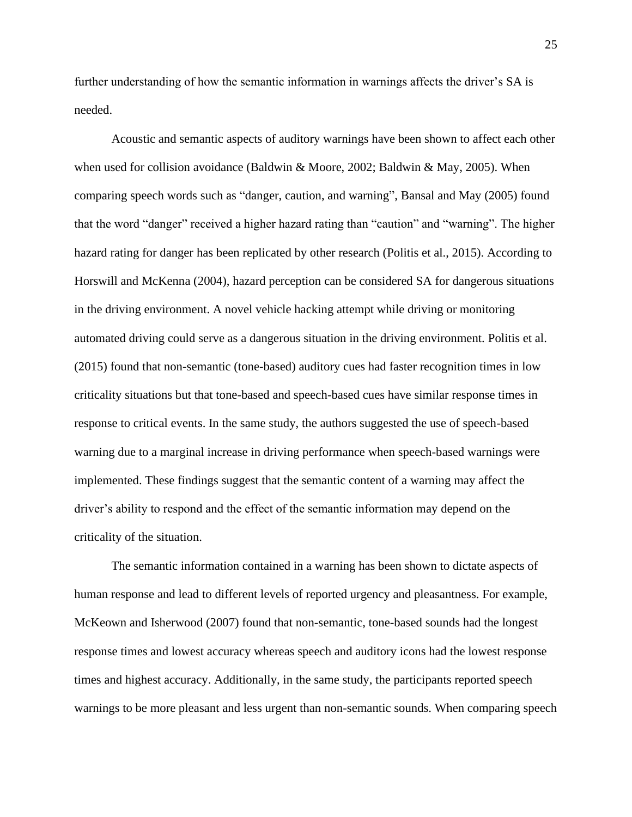further understanding of how the semantic information in warnings affects the driver's SA is needed.

Acoustic and semantic aspects of auditory warnings have been shown to affect each other when used for collision avoidance (Baldwin & Moore, 2002; Baldwin & May, 2005). When comparing speech words such as "danger, caution, and warning", Bansal and May (2005) found that the word "danger" received a higher hazard rating than "caution" and "warning". The higher hazard rating for danger has been replicated by other research (Politis et al., 2015). According to Horswill and McKenna (2004), hazard perception can be considered SA for dangerous situations in the driving environment. A novel vehicle hacking attempt while driving or monitoring automated driving could serve as a dangerous situation in the driving environment. Politis et al. (2015) found that non-semantic (tone-based) auditory cues had faster recognition times in low criticality situations but that tone-based and speech-based cues have similar response times in response to critical events. In the same study, the authors suggested the use of speech-based warning due to a marginal increase in driving performance when speech-based warnings were implemented. These findings suggest that the semantic content of a warning may affect the driver's ability to respond and the effect of the semantic information may depend on the criticality of the situation.

The semantic information contained in a warning has been shown to dictate aspects of human response and lead to different levels of reported urgency and pleasantness. For example, McKeown and Isherwood (2007) found that non-semantic, tone-based sounds had the longest response times and lowest accuracy whereas speech and auditory icons had the lowest response times and highest accuracy. Additionally, in the same study, the participants reported speech warnings to be more pleasant and less urgent than non-semantic sounds. When comparing speech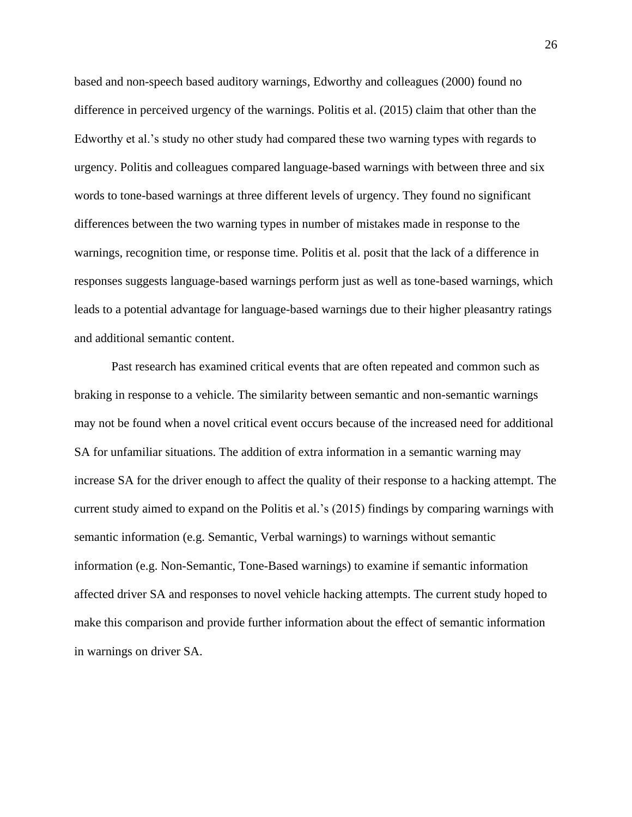based and non-speech based auditory warnings, Edworthy and colleagues (2000) found no difference in perceived urgency of the warnings. Politis et al. (2015) claim that other than the Edworthy et al.'s study no other study had compared these two warning types with regards to urgency. Politis and colleagues compared language-based warnings with between three and six words to tone-based warnings at three different levels of urgency. They found no significant differences between the two warning types in number of mistakes made in response to the warnings, recognition time, or response time. Politis et al. posit that the lack of a difference in responses suggests language-based warnings perform just as well as tone-based warnings, which leads to a potential advantage for language-based warnings due to their higher pleasantry ratings and additional semantic content.

Past research has examined critical events that are often repeated and common such as braking in response to a vehicle. The similarity between semantic and non-semantic warnings may not be found when a novel critical event occurs because of the increased need for additional SA for unfamiliar situations. The addition of extra information in a semantic warning may increase SA for the driver enough to affect the quality of their response to a hacking attempt. The current study aimed to expand on the Politis et al.'s (2015) findings by comparing warnings with semantic information (e.g. Semantic, Verbal warnings) to warnings without semantic information (e.g. Non-Semantic, Tone-Based warnings) to examine if semantic information affected driver SA and responses to novel vehicle hacking attempts. The current study hoped to make this comparison and provide further information about the effect of semantic information in warnings on driver SA.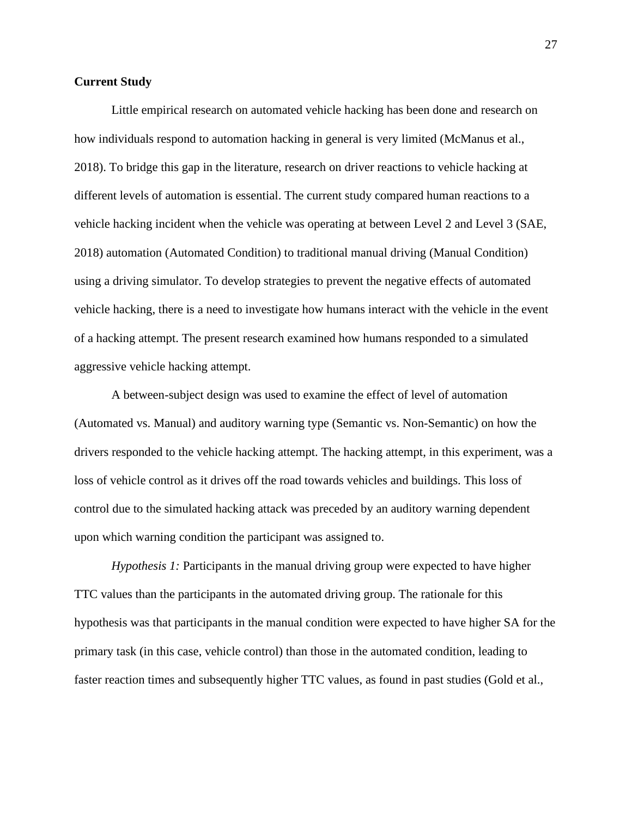## **Current Study**

Little empirical research on automated vehicle hacking has been done and research on how individuals respond to automation hacking in general is very limited (McManus et al., 2018). To bridge this gap in the literature, research on driver reactions to vehicle hacking at different levels of automation is essential. The current study compared human reactions to a vehicle hacking incident when the vehicle was operating at between Level 2 and Level 3 (SAE, 2018) automation (Automated Condition) to traditional manual driving (Manual Condition) using a driving simulator. To develop strategies to prevent the negative effects of automated vehicle hacking, there is a need to investigate how humans interact with the vehicle in the event of a hacking attempt. The present research examined how humans responded to a simulated aggressive vehicle hacking attempt.

A between-subject design was used to examine the effect of level of automation (Automated vs. Manual) and auditory warning type (Semantic vs. Non-Semantic) on how the drivers responded to the vehicle hacking attempt. The hacking attempt, in this experiment, was a loss of vehicle control as it drives off the road towards vehicles and buildings. This loss of control due to the simulated hacking attack was preceded by an auditory warning dependent upon which warning condition the participant was assigned to.

*Hypothesis 1:* Participants in the manual driving group were expected to have higher TTC values than the participants in the automated driving group. The rationale for this hypothesis was that participants in the manual condition were expected to have higher SA for the primary task (in this case, vehicle control) than those in the automated condition, leading to faster reaction times and subsequently higher TTC values, as found in past studies (Gold et al.,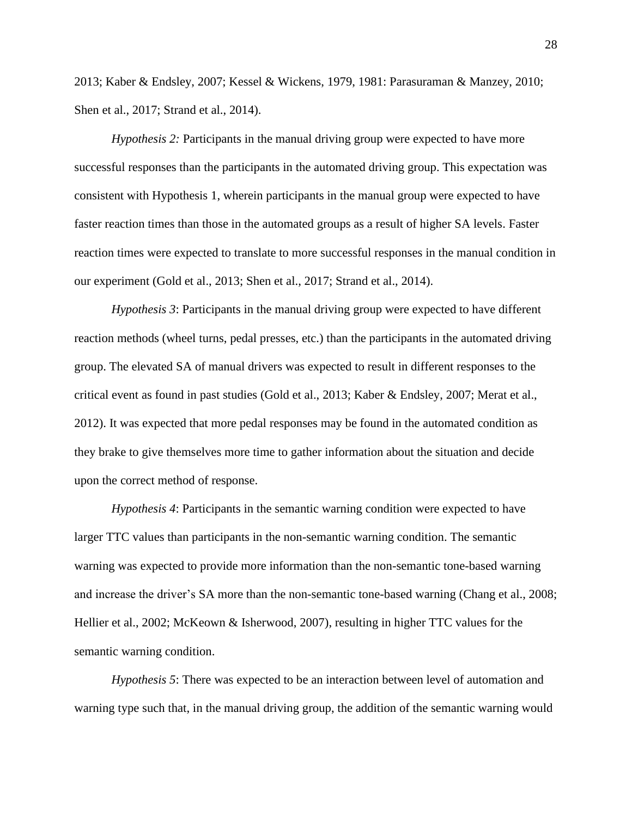2013; Kaber & Endsley, 2007; Kessel & Wickens, 1979, 1981: Parasuraman & Manzey, 2010; Shen et al., 2017; Strand et al., 2014).

*Hypothesis 2:* Participants in the manual driving group were expected to have more successful responses than the participants in the automated driving group. This expectation was consistent with Hypothesis 1, wherein participants in the manual group were expected to have faster reaction times than those in the automated groups as a result of higher SA levels. Faster reaction times were expected to translate to more successful responses in the manual condition in our experiment (Gold et al., 2013; Shen et al., 2017; Strand et al., 2014).

*Hypothesis 3*: Participants in the manual driving group were expected to have different reaction methods (wheel turns, pedal presses, etc.) than the participants in the automated driving group. The elevated SA of manual drivers was expected to result in different responses to the critical event as found in past studies (Gold et al., 2013; Kaber & Endsley, 2007; Merat et al., 2012). It was expected that more pedal responses may be found in the automated condition as they brake to give themselves more time to gather information about the situation and decide upon the correct method of response.

*Hypothesis 4*: Participants in the semantic warning condition were expected to have larger TTC values than participants in the non-semantic warning condition. The semantic warning was expected to provide more information than the non-semantic tone-based warning and increase the driver's SA more than the non-semantic tone-based warning (Chang et al., 2008; Hellier et al., 2002; McKeown & Isherwood, 2007), resulting in higher TTC values for the semantic warning condition.

*Hypothesis 5*: There was expected to be an interaction between level of automation and warning type such that, in the manual driving group, the addition of the semantic warning would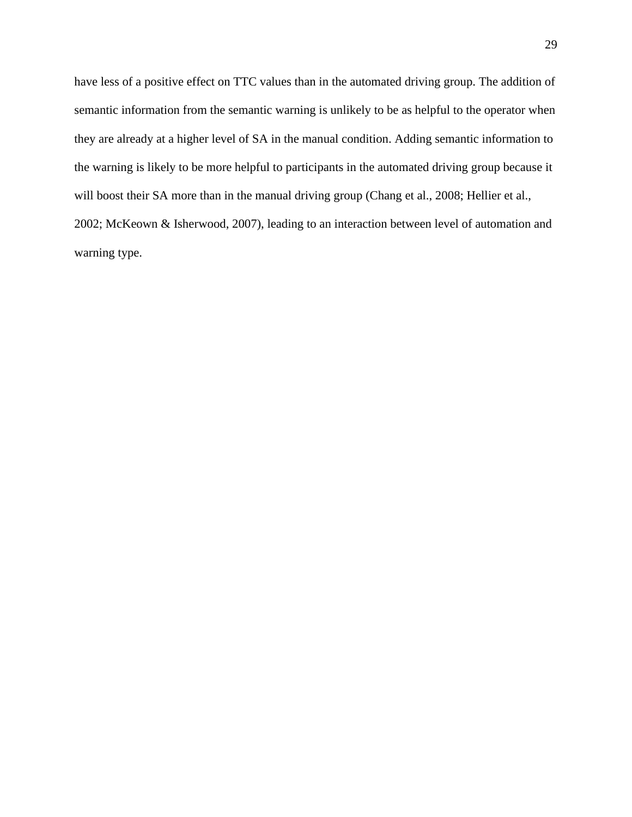have less of a positive effect on TTC values than in the automated driving group. The addition of semantic information from the semantic warning is unlikely to be as helpful to the operator when they are already at a higher level of SA in the manual condition. Adding semantic information to the warning is likely to be more helpful to participants in the automated driving group because it will boost their SA more than in the manual driving group (Chang et al., 2008; Hellier et al., 2002; McKeown & Isherwood, 2007), leading to an interaction between level of automation and warning type.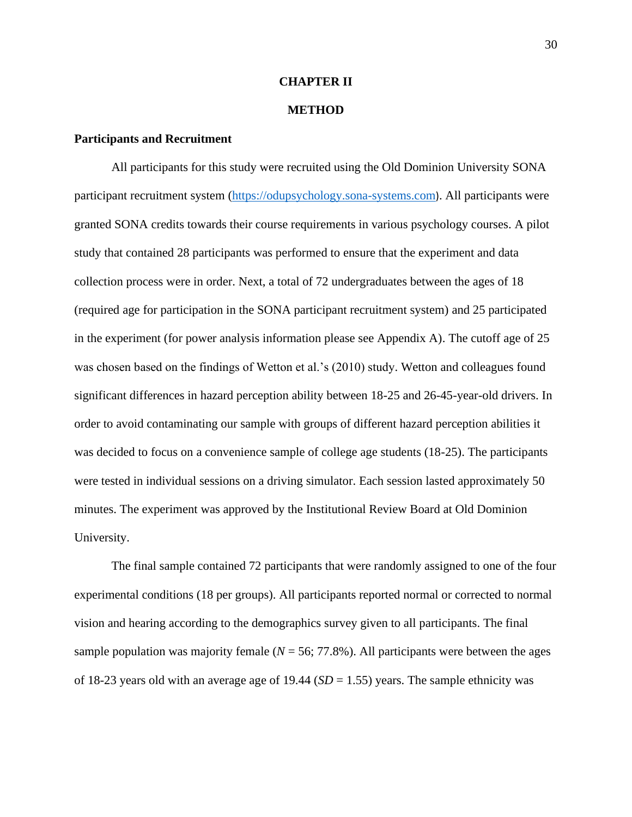### **CHAPTER II**

### **METHOD**

## **Participants and Recruitment**

All participants for this study were recruited using the Old Dominion University SONA participant recruitment system [\(https://odupsychology.sona-systems.com](https://odupsychology.sona-systems.com/)). All participants were granted SONA credits towards their course requirements in various psychology courses. A pilot study that contained 28 participants was performed to ensure that the experiment and data collection process were in order. Next, a total of 72 undergraduates between the ages of 18 (required age for participation in the SONA participant recruitment system) and 25 participated in the experiment (for power analysis information please see Appendix A). The cutoff age of 25 was chosen based on the findings of Wetton et al.'s (2010) study. Wetton and colleagues found significant differences in hazard perception ability between 18-25 and 26-45-year-old drivers. In order to avoid contaminating our sample with groups of different hazard perception abilities it was decided to focus on a convenience sample of college age students (18-25). The participants were tested in individual sessions on a driving simulator. Each session lasted approximately 50 minutes. The experiment was approved by the Institutional Review Board at Old Dominion University.

The final sample contained 72 participants that were randomly assigned to one of the four experimental conditions (18 per groups). All participants reported normal or corrected to normal vision and hearing according to the demographics survey given to all participants. The final sample population was majority female  $(N = 56, 77.8\%)$ . All participants were between the ages of 18-23 years old with an average age of 19.44 (*SD* = 1.55) years. The sample ethnicity was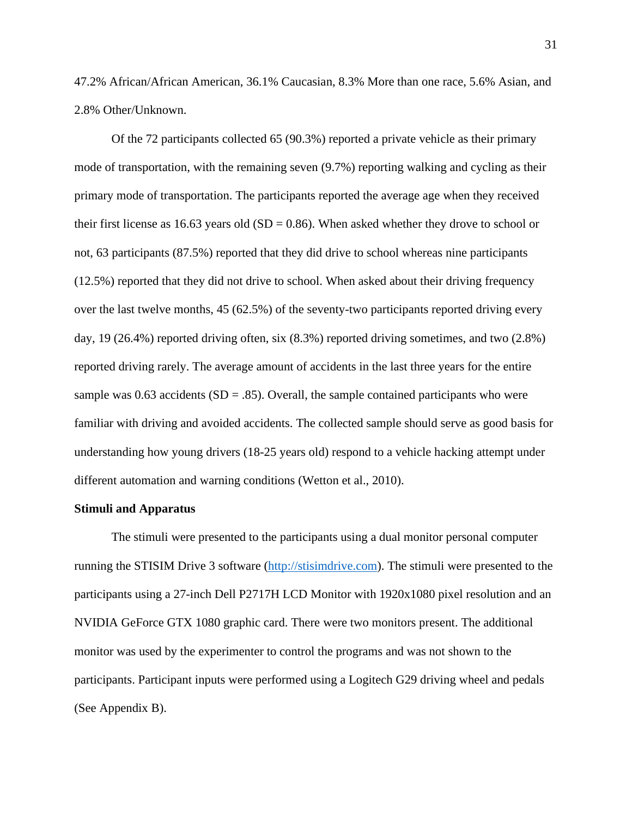47.2% African/African American, 36.1% Caucasian, 8.3% More than one race, 5.6% Asian, and 2.8% Other/Unknown.

Of the 72 participants collected 65 (90.3%) reported a private vehicle as their primary mode of transportation, with the remaining seven (9.7%) reporting walking and cycling as their primary mode of transportation. The participants reported the average age when they received their first license as 16.63 years old  $(SD = 0.86)$ . When asked whether they drove to school or not, 63 participants (87.5%) reported that they did drive to school whereas nine participants (12.5%) reported that they did not drive to school. When asked about their driving frequency over the last twelve months, 45 (62.5%) of the seventy-two participants reported driving every day, 19 (26.4%) reported driving often, six (8.3%) reported driving sometimes, and two (2.8%) reported driving rarely. The average amount of accidents in the last three years for the entire sample was  $0.63$  accidents (SD = .85). Overall, the sample contained participants who were familiar with driving and avoided accidents. The collected sample should serve as good basis for understanding how young drivers (18-25 years old) respond to a vehicle hacking attempt under different automation and warning conditions (Wetton et al., 2010).

## **Stimuli and Apparatus**

The stimuli were presented to the participants using a dual monitor personal computer running the STISIM Drive 3 software [\(http://stisimdrive.com\)](http://stisimdrive.com/). The stimuli were presented to the participants using a 27-inch Dell P2717H LCD Monitor with 1920x1080 pixel resolution and an NVIDIA GeForce GTX 1080 graphic card. There were two monitors present. The additional monitor was used by the experimenter to control the programs and was not shown to the participants. Participant inputs were performed using a Logitech G29 driving wheel and pedals (See Appendix B).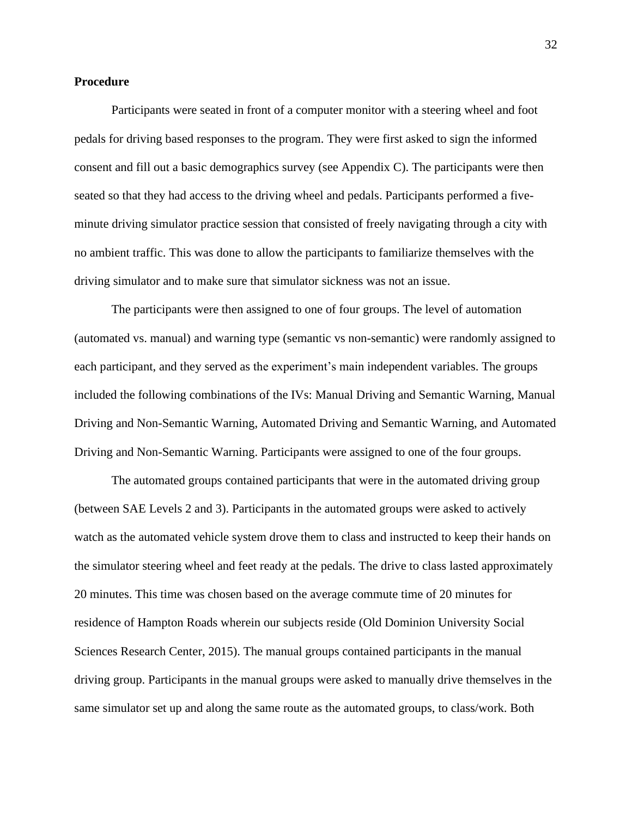## **Procedure**

Participants were seated in front of a computer monitor with a steering wheel and foot pedals for driving based responses to the program. They were first asked to sign the informed consent and fill out a basic demographics survey (see Appendix C). The participants were then seated so that they had access to the driving wheel and pedals. Participants performed a fiveminute driving simulator practice session that consisted of freely navigating through a city with no ambient traffic. This was done to allow the participants to familiarize themselves with the driving simulator and to make sure that simulator sickness was not an issue.

The participants were then assigned to one of four groups. The level of automation (automated vs. manual) and warning type (semantic vs non-semantic) were randomly assigned to each participant, and they served as the experiment's main independent variables. The groups included the following combinations of the IVs: Manual Driving and Semantic Warning, Manual Driving and Non-Semantic Warning, Automated Driving and Semantic Warning, and Automated Driving and Non-Semantic Warning. Participants were assigned to one of the four groups.

The automated groups contained participants that were in the automated driving group (between SAE Levels 2 and 3). Participants in the automated groups were asked to actively watch as the automated vehicle system drove them to class and instructed to keep their hands on the simulator steering wheel and feet ready at the pedals. The drive to class lasted approximately 20 minutes. This time was chosen based on the average commute time of 20 minutes for residence of Hampton Roads wherein our subjects reside (Old Dominion University Social Sciences Research Center, 2015). The manual groups contained participants in the manual driving group. Participants in the manual groups were asked to manually drive themselves in the same simulator set up and along the same route as the automated groups, to class/work. Both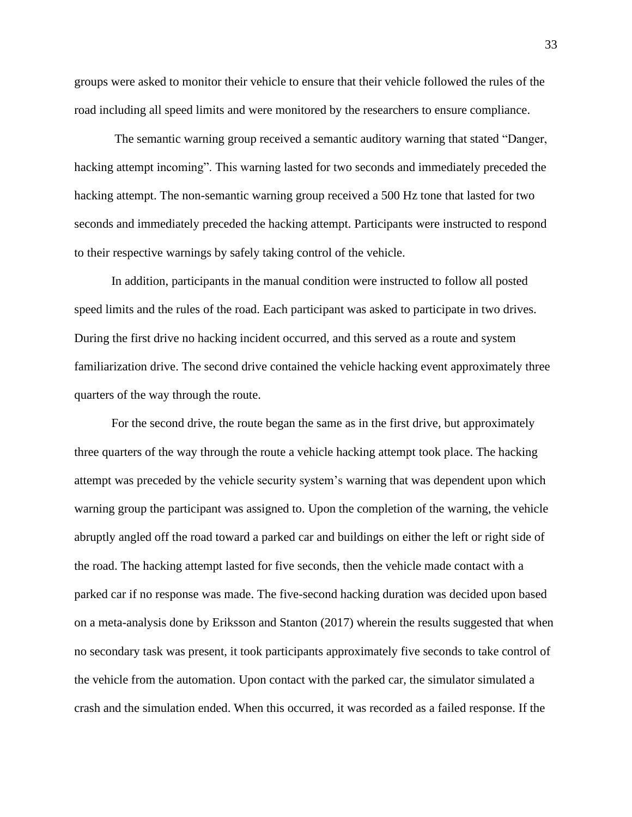groups were asked to monitor their vehicle to ensure that their vehicle followed the rules of the road including all speed limits and were monitored by the researchers to ensure compliance.

The semantic warning group received a semantic auditory warning that stated "Danger, hacking attempt incoming". This warning lasted for two seconds and immediately preceded the hacking attempt. The non-semantic warning group received a 500 Hz tone that lasted for two seconds and immediately preceded the hacking attempt. Participants were instructed to respond to their respective warnings by safely taking control of the vehicle.

In addition, participants in the manual condition were instructed to follow all posted speed limits and the rules of the road. Each participant was asked to participate in two drives. During the first drive no hacking incident occurred, and this served as a route and system familiarization drive. The second drive contained the vehicle hacking event approximately three quarters of the way through the route.

For the second drive, the route began the same as in the first drive, but approximately three quarters of the way through the route a vehicle hacking attempt took place. The hacking attempt was preceded by the vehicle security system's warning that was dependent upon which warning group the participant was assigned to. Upon the completion of the warning, the vehicle abruptly angled off the road toward a parked car and buildings on either the left or right side of the road. The hacking attempt lasted for five seconds, then the vehicle made contact with a parked car if no response was made. The five-second hacking duration was decided upon based on a meta-analysis done by Eriksson and Stanton (2017) wherein the results suggested that when no secondary task was present, it took participants approximately five seconds to take control of the vehicle from the automation. Upon contact with the parked car, the simulator simulated a crash and the simulation ended. When this occurred, it was recorded as a failed response. If the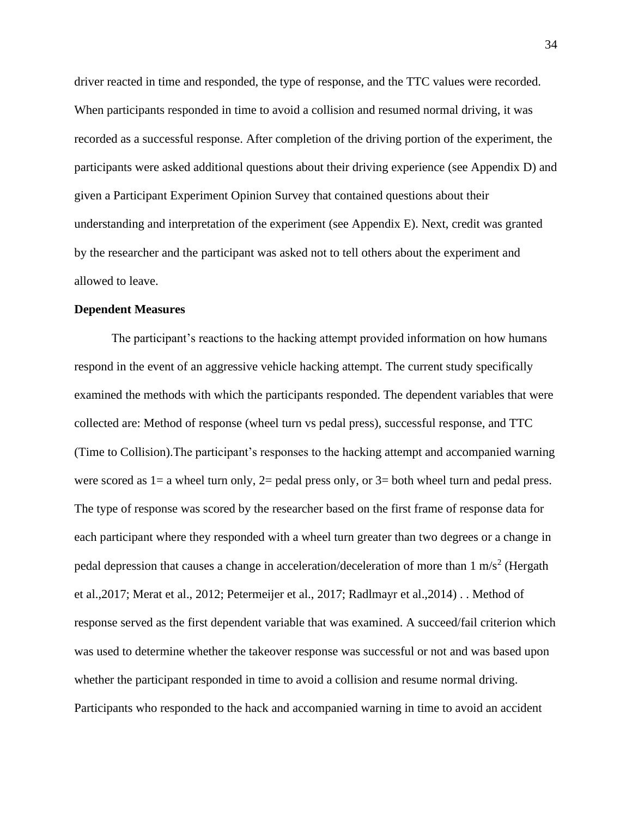driver reacted in time and responded, the type of response, and the TTC values were recorded. When participants responded in time to avoid a collision and resumed normal driving, it was recorded as a successful response. After completion of the driving portion of the experiment, the participants were asked additional questions about their driving experience (see Appendix D) and given a Participant Experiment Opinion Survey that contained questions about their understanding and interpretation of the experiment (see Appendix E). Next, credit was granted by the researcher and the participant was asked not to tell others about the experiment and allowed to leave.

#### **Dependent Measures**

The participant's reactions to the hacking attempt provided information on how humans respond in the event of an aggressive vehicle hacking attempt. The current study specifically examined the methods with which the participants responded. The dependent variables that were collected are: Method of response (wheel turn vs pedal press), successful response, and TTC (Time to Collision).The participant's responses to the hacking attempt and accompanied warning were scored as 1= a wheel turn only, 2= pedal press only, or 3= both wheel turn and pedal press. The type of response was scored by the researcher based on the first frame of response data for each participant where they responded with a wheel turn greater than two degrees or a change in pedal depression that causes a change in acceleration/deceleration of more than  $1 \text{ m/s}^2$  (Hergath et al.,2017; Merat et al., 2012; Petermeijer et al., 2017; Radlmayr et al.,2014) . . Method of response served as the first dependent variable that was examined. A succeed/fail criterion which was used to determine whether the takeover response was successful or not and was based upon whether the participant responded in time to avoid a collision and resume normal driving. Participants who responded to the hack and accompanied warning in time to avoid an accident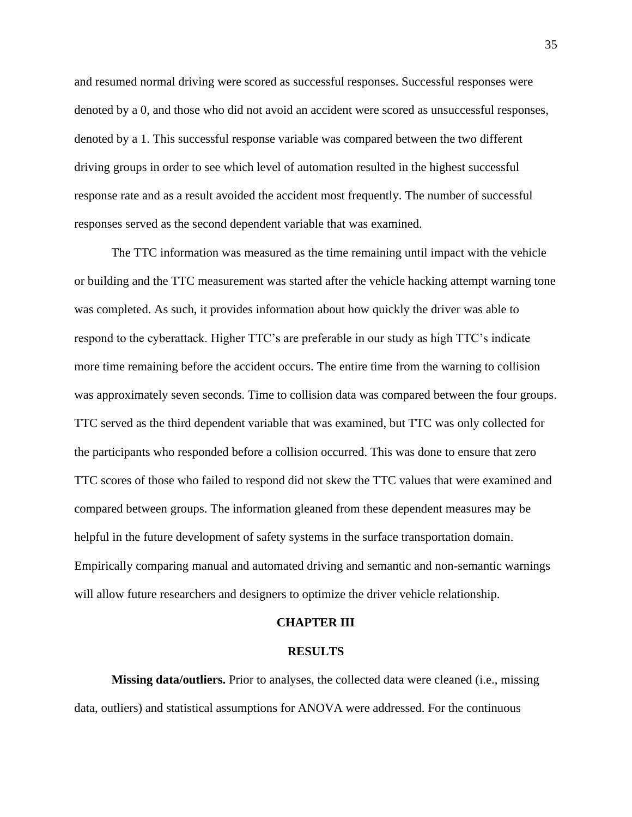and resumed normal driving were scored as successful responses. Successful responses were denoted by a 0, and those who did not avoid an accident were scored as unsuccessful responses, denoted by a 1. This successful response variable was compared between the two different driving groups in order to see which level of automation resulted in the highest successful response rate and as a result avoided the accident most frequently. The number of successful responses served as the second dependent variable that was examined.

The TTC information was measured as the time remaining until impact with the vehicle or building and the TTC measurement was started after the vehicle hacking attempt warning tone was completed. As such, it provides information about how quickly the driver was able to respond to the cyberattack. Higher TTC's are preferable in our study as high TTC's indicate more time remaining before the accident occurs. The entire time from the warning to collision was approximately seven seconds. Time to collision data was compared between the four groups. TTC served as the third dependent variable that was examined, but TTC was only collected for the participants who responded before a collision occurred. This was done to ensure that zero TTC scores of those who failed to respond did not skew the TTC values that were examined and compared between groups. The information gleaned from these dependent measures may be helpful in the future development of safety systems in the surface transportation domain. Empirically comparing manual and automated driving and semantic and non-semantic warnings will allow future researchers and designers to optimize the driver vehicle relationship.

#### **CHAPTER III**

#### **RESULTS**

**Missing data/outliers.** Prior to analyses, the collected data were cleaned (i.e., missing data, outliers) and statistical assumptions for ANOVA were addressed. For the continuous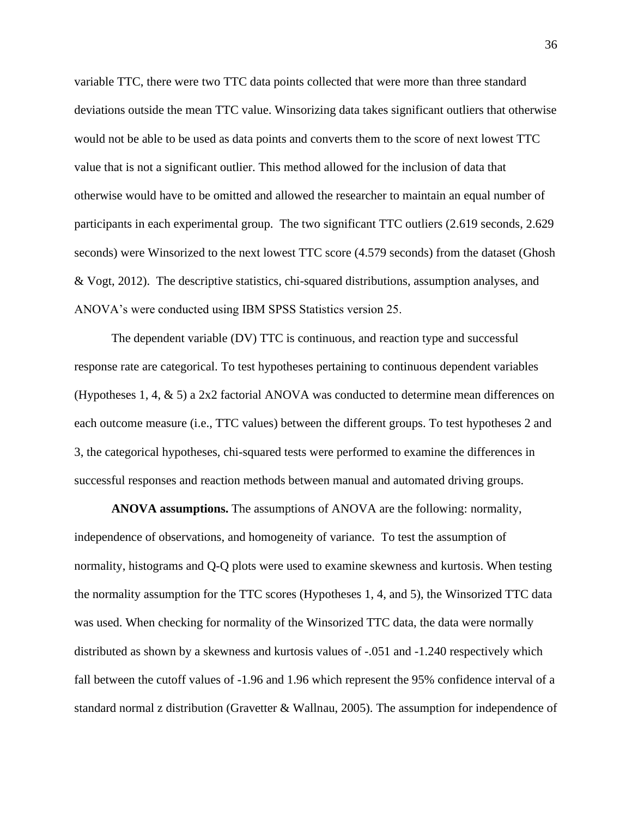variable TTC, there were two TTC data points collected that were more than three standard deviations outside the mean TTC value. Winsorizing data takes significant outliers that otherwise would not be able to be used as data points and converts them to the score of next lowest TTC value that is not a significant outlier. This method allowed for the inclusion of data that otherwise would have to be omitted and allowed the researcher to maintain an equal number of participants in each experimental group. The two significant TTC outliers (2.619 seconds, 2.629 seconds) were Winsorized to the next lowest TTC score (4.579 seconds) from the dataset (Ghosh & Vogt, 2012). The descriptive statistics, chi-squared distributions, assumption analyses, and ANOVA's were conducted using IBM SPSS Statistics version 25.

The dependent variable (DV) TTC is continuous, and reaction type and successful response rate are categorical. To test hypotheses pertaining to continuous dependent variables (Hypotheses 1, 4, & 5) a 2x2 factorial ANOVA was conducted to determine mean differences on each outcome measure (i.e., TTC values) between the different groups. To test hypotheses 2 and 3, the categorical hypotheses, chi-squared tests were performed to examine the differences in successful responses and reaction methods between manual and automated driving groups.

**ANOVA assumptions.** The assumptions of ANOVA are the following: normality, independence of observations, and homogeneity of variance. To test the assumption of normality, histograms and Q-Q plots were used to examine skewness and kurtosis. When testing the normality assumption for the TTC scores (Hypotheses 1, 4, and 5), the Winsorized TTC data was used. When checking for normality of the Winsorized TTC data, the data were normally distributed as shown by a skewness and kurtosis values of -.051 and -1.240 respectively which fall between the cutoff values of -1.96 and 1.96 which represent the 95% confidence interval of a standard normal z distribution (Gravetter & Wallnau, 2005). The assumption for independence of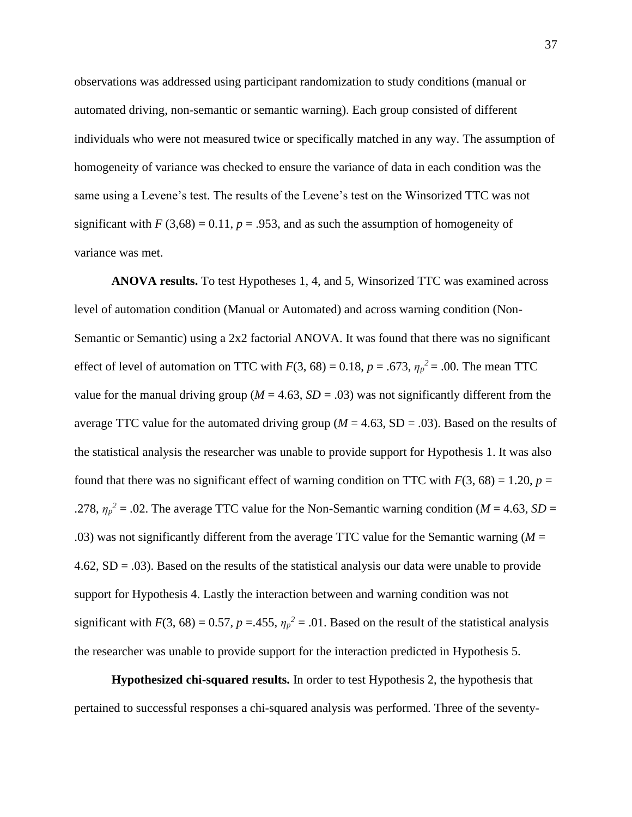observations was addressed using participant randomization to study conditions (manual or automated driving, non-semantic or semantic warning). Each group consisted of different individuals who were not measured twice or specifically matched in any way. The assumption of homogeneity of variance was checked to ensure the variance of data in each condition was the same using a Levene's test. The results of the Levene's test on the Winsorized TTC was not significant with  $F(3,68) = 0.11$ ,  $p = .953$ , and as such the assumption of homogeneity of variance was met.

**ANOVA results.** To test Hypotheses 1, 4, and 5, Winsorized TTC was examined across level of automation condition (Manual or Automated) and across warning condition (Non-Semantic or Semantic) using a 2x2 factorial ANOVA. It was found that there was no significant effect of level of automation on TTC with  $F(3, 68) = 0.18$ ,  $p = .673$ ,  $\eta_p^2 = .00$ . The mean TTC value for the manual driving group ( $M = 4.63$ ,  $SD = .03$ ) was not significantly different from the average TTC value for the automated driving group ( $M = 4.63$ , SD = .03). Based on the results of the statistical analysis the researcher was unable to provide support for Hypothesis 1. It was also found that there was no significant effect of warning condition on TTC with  $F(3, 68) = 1.20$ ,  $p =$ .278,  $\eta_p^2 = 0.02$ . The average TTC value for the Non-Semantic warning condition (*M* = 4.63, *SD* = .03) was not significantly different from the average TTC value for the Semantic warning  $(M =$ 4.62,  $SD = .03$ ). Based on the results of the statistical analysis our data were unable to provide support for Hypothesis 4. Lastly the interaction between and warning condition was not significant with  $F(3, 68) = 0.57$ ,  $p = 0.455$ ,  $\eta_p^2 = 0.01$ . Based on the result of the statistical analysis the researcher was unable to provide support for the interaction predicted in Hypothesis 5.

**Hypothesized chi-squared results.** In order to test Hypothesis 2, the hypothesis that pertained to successful responses a chi-squared analysis was performed. Three of the seventy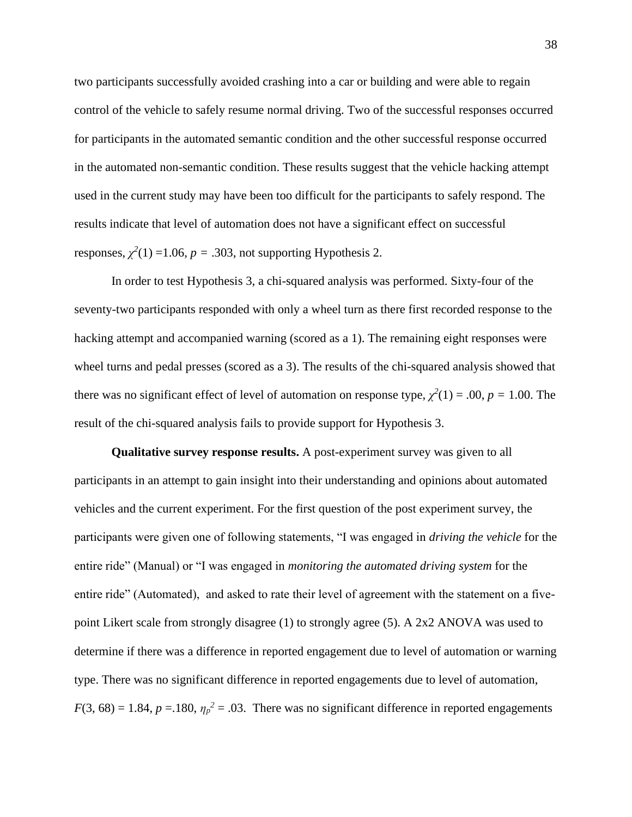two participants successfully avoided crashing into a car or building and were able to regain control of the vehicle to safely resume normal driving. Two of the successful responses occurred for participants in the automated semantic condition and the other successful response occurred in the automated non-semantic condition. These results suggest that the vehicle hacking attempt used in the current study may have been too difficult for the participants to safely respond. The results indicate that level of automation does not have a significant effect on successful responses,  $\chi^2(1)$  =1.06,  $p = .303$ , not supporting Hypothesis 2.

In order to test Hypothesis 3, a chi-squared analysis was performed. Sixty-four of the seventy-two participants responded with only a wheel turn as there first recorded response to the hacking attempt and accompanied warning (scored as a 1). The remaining eight responses were wheel turns and pedal presses (scored as a 3). The results of the chi-squared analysis showed that there was no significant effect of level of automation on response type,  $\chi^2(1) = .00$ ,  $p = 1.00$ . The result of the chi-squared analysis fails to provide support for Hypothesis 3.

**Qualitative survey response results.** A post-experiment survey was given to all participants in an attempt to gain insight into their understanding and opinions about automated vehicles and the current experiment. For the first question of the post experiment survey, the participants were given one of following statements, "I was engaged in *driving the vehicle* for the entire ride" (Manual) or "I was engaged in *monitoring the automated driving system* for the entire ride" (Automated), and asked to rate their level of agreement with the statement on a fivepoint Likert scale from strongly disagree (1) to strongly agree (5). A 2x2 ANOVA was used to determine if there was a difference in reported engagement due to level of automation or warning type. There was no significant difference in reported engagements due to level of automation,  $F(3, 68) = 1.84$ ,  $p = .180$ ,  $\eta_p^2 = .03$ . There was no significant difference in reported engagements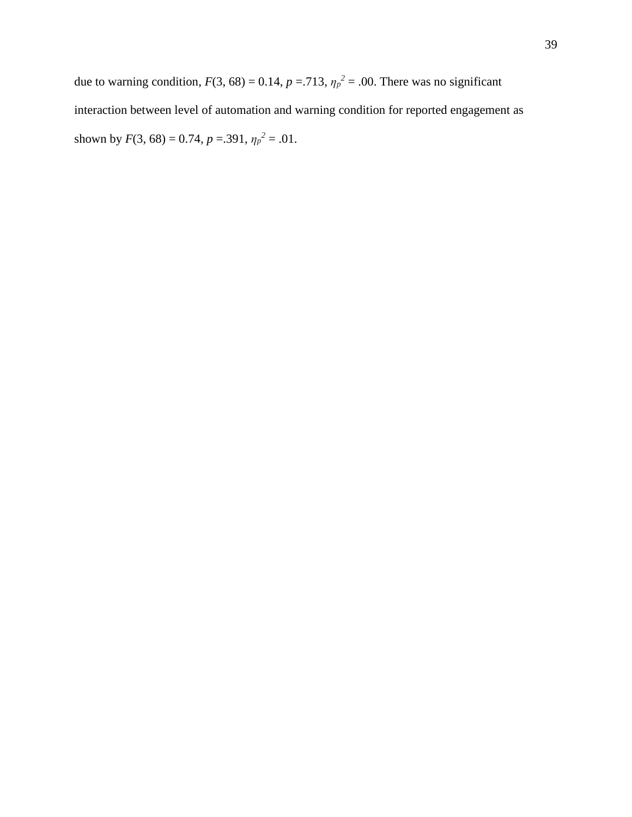due to warning condition,  $F(3, 68) = 0.14$ ,  $p = .713$ ,  $\eta_p^2 = .00$ . There was no significant interaction between level of automation and warning condition for reported engagement as shown by  $F(3, 68) = 0.74$ ,  $p = .391$ ,  $\eta_p^2 = .01$ .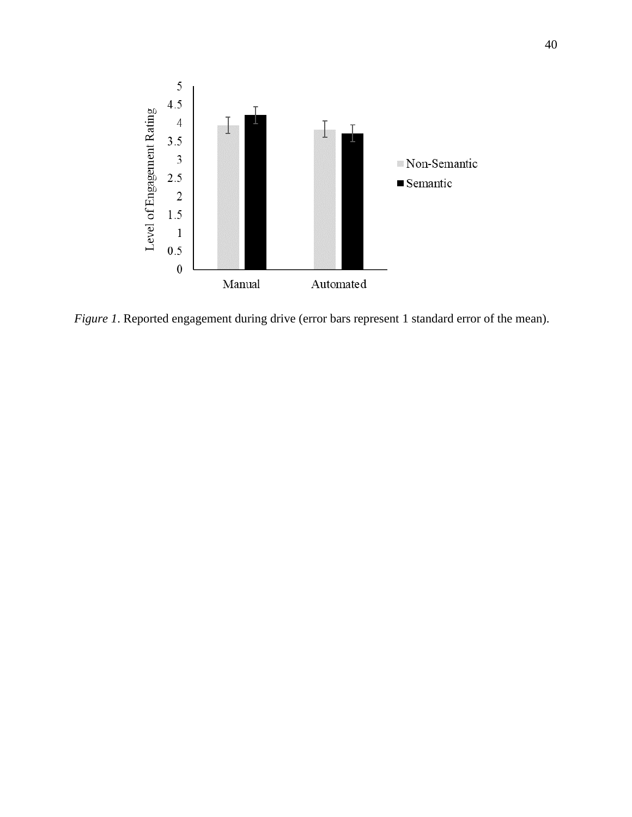

*Figure 1*. Reported engagement during drive (error bars represent 1 standard error of the mean).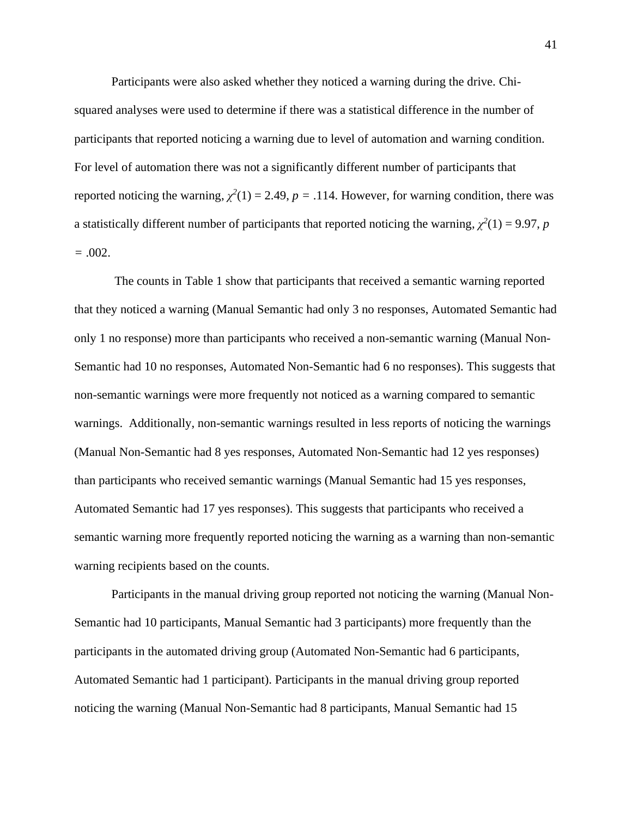Participants were also asked whether they noticed a warning during the drive. Chisquared analyses were used to determine if there was a statistical difference in the number of participants that reported noticing a warning due to level of automation and warning condition. For level of automation there was not a significantly different number of participants that reported noticing the warning,  $\chi^2(1) = 2.49$ ,  $p = .114$ . However, for warning condition, there was a statistically different number of participants that reported noticing the warning,  $\chi^2(1) = 9.97$ , *p =* .002.

The counts in Table 1 show that participants that received a semantic warning reported that they noticed a warning (Manual Semantic had only 3 no responses, Automated Semantic had only 1 no response) more than participants who received a non-semantic warning (Manual Non-Semantic had 10 no responses, Automated Non-Semantic had 6 no responses). This suggests that non-semantic warnings were more frequently not noticed as a warning compared to semantic warnings. Additionally, non-semantic warnings resulted in less reports of noticing the warnings (Manual Non-Semantic had 8 yes responses, Automated Non-Semantic had 12 yes responses) than participants who received semantic warnings (Manual Semantic had 15 yes responses, Automated Semantic had 17 yes responses). This suggests that participants who received a semantic warning more frequently reported noticing the warning as a warning than non-semantic warning recipients based on the counts.

Participants in the manual driving group reported not noticing the warning (Manual Non-Semantic had 10 participants, Manual Semantic had 3 participants) more frequently than the participants in the automated driving group (Automated Non-Semantic had 6 participants, Automated Semantic had 1 participant). Participants in the manual driving group reported noticing the warning (Manual Non-Semantic had 8 participants, Manual Semantic had 15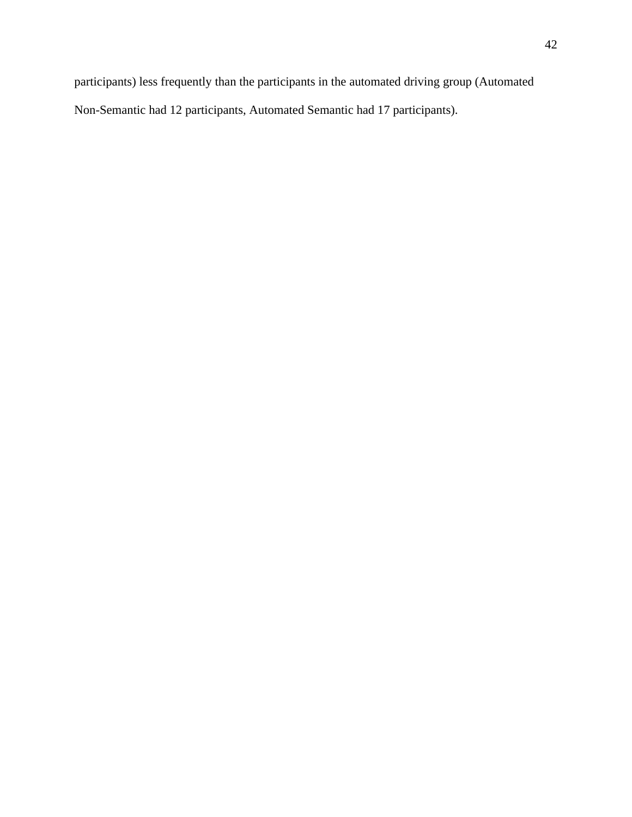participants) less frequently than the participants in the automated driving group (Automated Non-Semantic had 12 participants, Automated Semantic had 17 participants).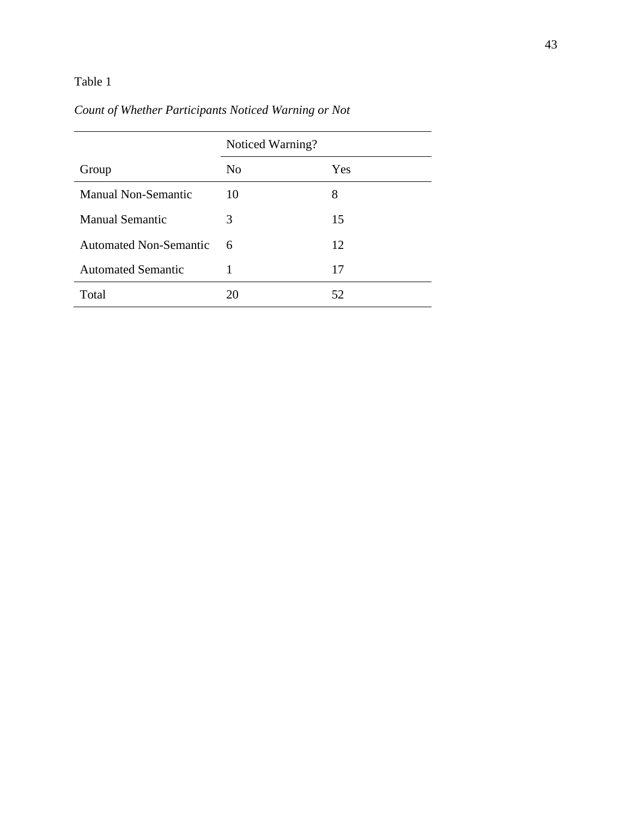## Table 1

# *Count of Whether Participants Noticed Warning or Not*

|                            | Noticed Warning? |     |
|----------------------------|------------------|-----|
| Group                      | N <sub>0</sub>   | Yes |
| <b>Manual Non-Semantic</b> | 10               | 8   |
| Manual Semantic            | 3                | 15  |
| Automated Non-Semantic     | 6                | 12  |
| <b>Automated Semantic</b>  |                  | 17  |
| Total                      | 20               | 52  |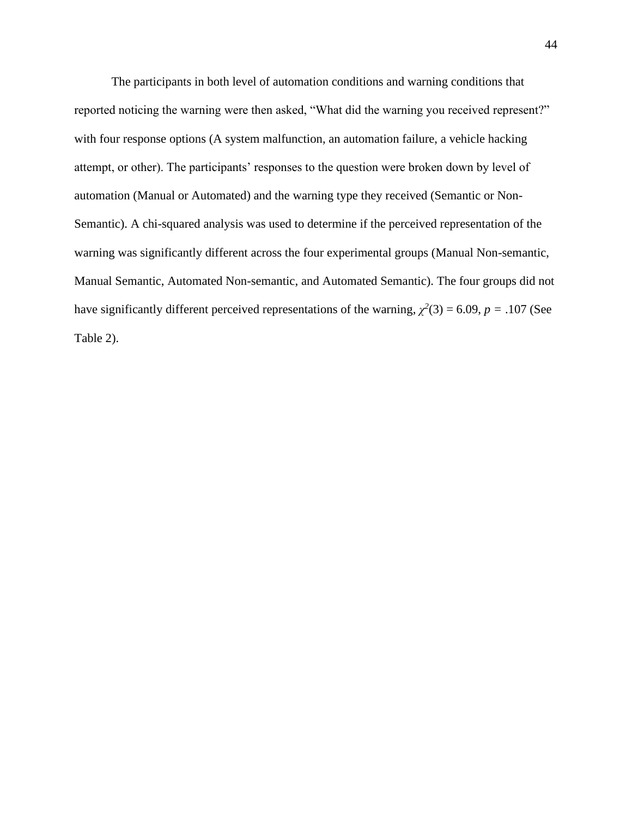The participants in both level of automation conditions and warning conditions that reported noticing the warning were then asked, "What did the warning you received represent?" with four response options (A system malfunction, an automation failure, a vehicle hacking attempt, or other). The participants' responses to the question were broken down by level of automation (Manual or Automated) and the warning type they received (Semantic or Non-Semantic). A chi-squared analysis was used to determine if the perceived representation of the warning was significantly different across the four experimental groups (Manual Non-semantic, Manual Semantic, Automated Non-semantic, and Automated Semantic). The four groups did not have significantly different perceived representations of the warning,  $\chi^2(3) = 6.09$ ,  $p = .107$  (See Table 2).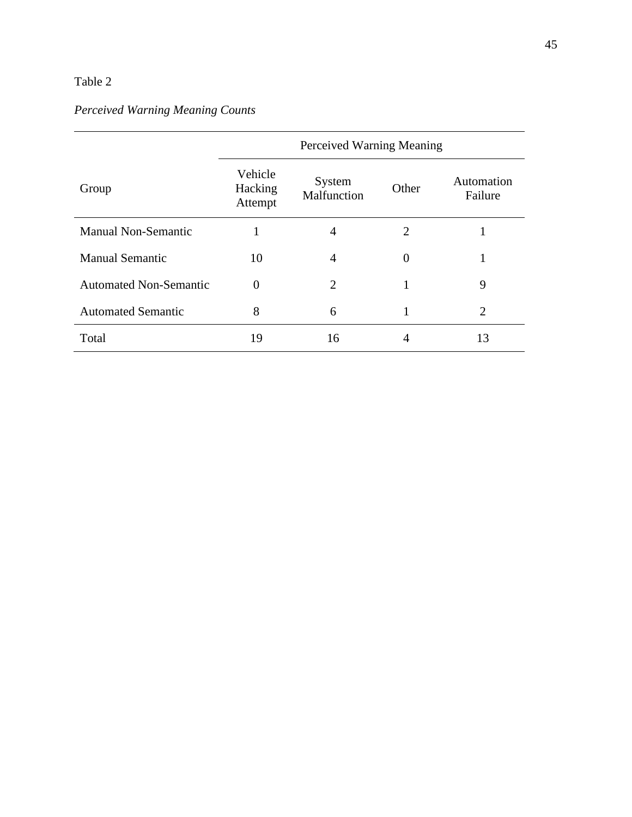### Table 2

# *Perceived Warning Meaning Counts*

|                               | Perceived Warning Meaning     |                       |          |                       |
|-------------------------------|-------------------------------|-----------------------|----------|-----------------------|
| Group                         | Vehicle<br>Hacking<br>Attempt | System<br>Malfunction | Other    | Automation<br>Failure |
| <b>Manual Non-Semantic</b>    |                               | $\overline{4}$        | 2        |                       |
| <b>Manual Semantic</b>        | 10                            | $\overline{A}$        | $\Omega$ |                       |
| <b>Automated Non-Semantic</b> | $\theta$                      | $\overline{2}$        | 1        | 9                     |
| <b>Automated Semantic</b>     | 8                             | 6                     |          | $\overline{2}$        |
| Total                         | 19                            | 16                    |          | 13                    |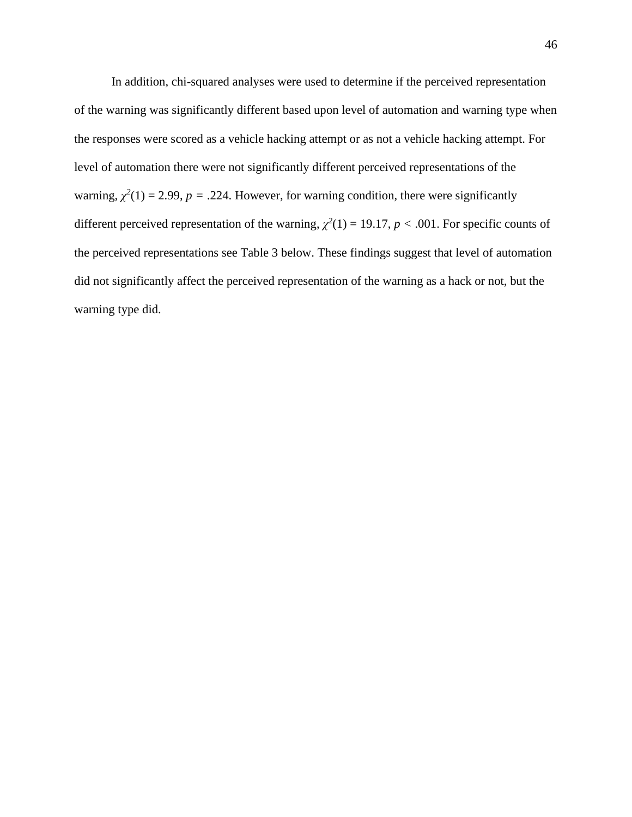In addition, chi-squared analyses were used to determine if the perceived representation of the warning was significantly different based upon level of automation and warning type when the responses were scored as a vehicle hacking attempt or as not a vehicle hacking attempt. For level of automation there were not significantly different perceived representations of the warning,  $\chi^2(1) = 2.99$ ,  $p = .224$ . However, for warning condition, there were significantly different perceived representation of the warning,  $\chi^2(1) = 19.17$ ,  $p < .001$ . For specific counts of the perceived representations see Table 3 below. These findings suggest that level of automation did not significantly affect the perceived representation of the warning as a hack or not, but the warning type did.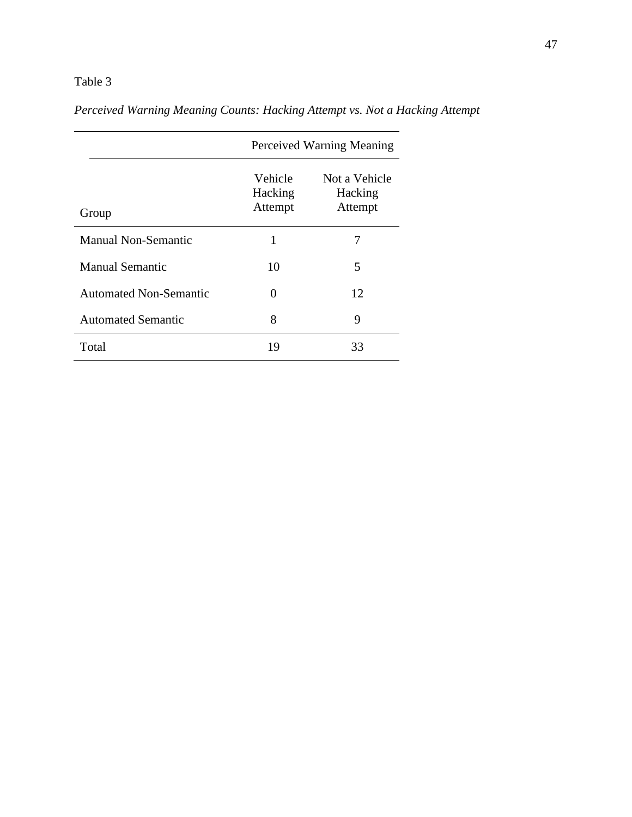## Table 3

|                               | Perceived Warning Meaning            |                                     |  |
|-------------------------------|--------------------------------------|-------------------------------------|--|
| Group                         | <b>Vehicle</b><br>Hacking<br>Attempt | Not a Vehicle<br>Hacking<br>Attempt |  |
| Manual Non-Semantic           | 1                                    |                                     |  |
| <b>Manual Semantic</b>        | 10                                   | 5                                   |  |
| <b>Automated Non-Semantic</b> | 0                                    | 12                                  |  |
| <b>Automated Semantic</b>     | 8                                    | 9                                   |  |

Total 19 33

*Perceived Warning Meaning Counts: Hacking Attempt vs. Not a Hacking Attempt*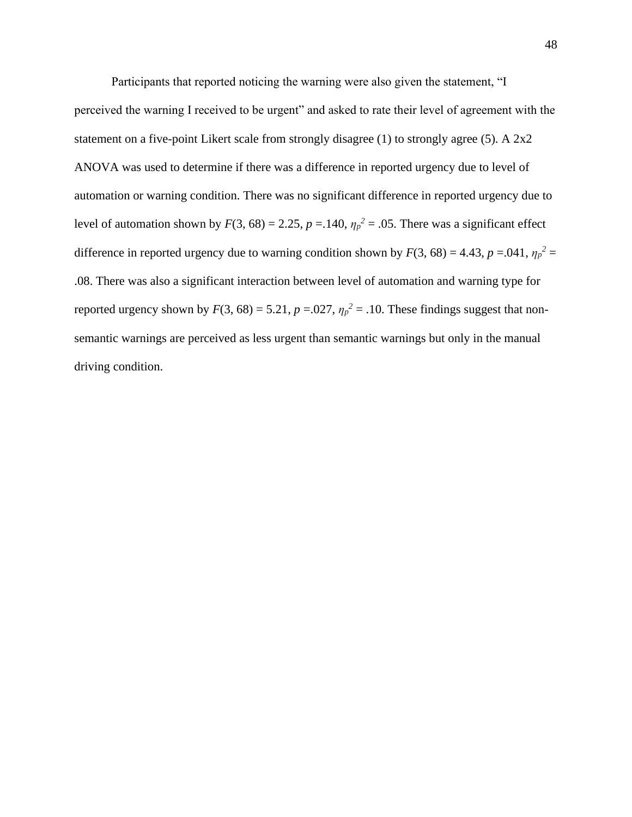Participants that reported noticing the warning were also given the statement, "I perceived the warning I received to be urgent" and asked to rate their level of agreement with the statement on a five-point Likert scale from strongly disagree (1) to strongly agree (5). A 2x2 ANOVA was used to determine if there was a difference in reported urgency due to level of automation or warning condition. There was no significant difference in reported urgency due to level of automation shown by  $F(3, 68) = 2.25$ ,  $p = .140$ ,  $\eta_p^2 = .05$ . There was a significant effect difference in reported urgency due to warning condition shown by  $F(3, 68) = 4.43$ ,  $p = .041$ ,  $\eta_p^2 =$ .08. There was also a significant interaction between level of automation and warning type for reported urgency shown by  $F(3, 68) = 5.21$ ,  $p = .027$ ,  $\eta_p^2 = .10$ . These findings suggest that nonsemantic warnings are perceived as less urgent than semantic warnings but only in the manual driving condition.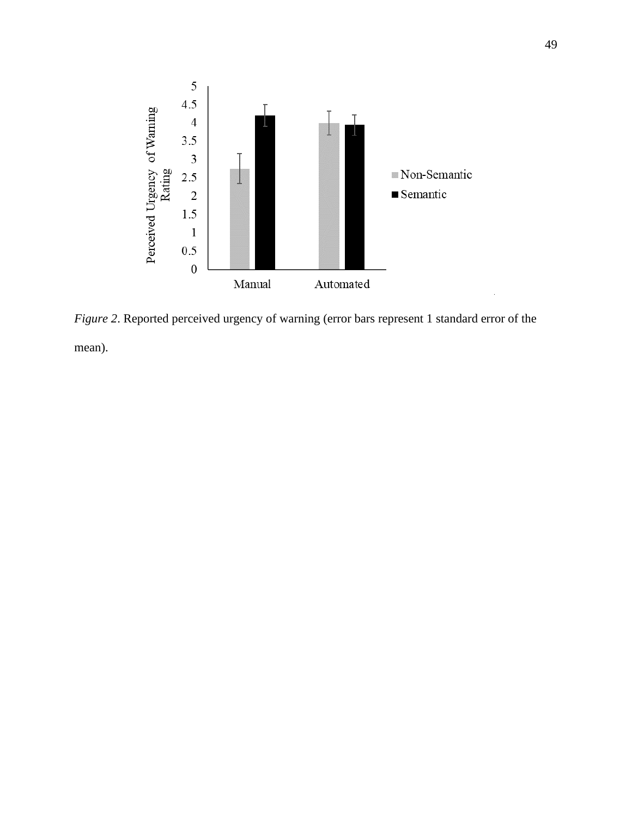

*Figure 2*. Reported perceived urgency of warning (error bars represent 1 standard error of the mean).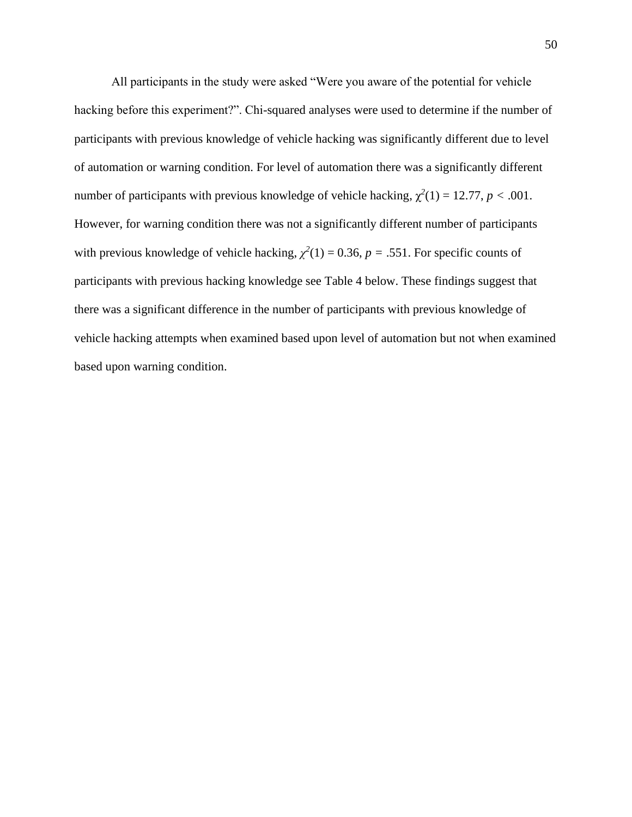All participants in the study were asked "Were you aware of the potential for vehicle hacking before this experiment?". Chi-squared analyses were used to determine if the number of participants with previous knowledge of vehicle hacking was significantly different due to level of automation or warning condition. For level of automation there was a significantly different number of participants with previous knowledge of vehicle hacking,  $\chi^2(1) = 12.77$ ,  $p < .001$ . However, for warning condition there was not a significantly different number of participants with previous knowledge of vehicle hacking,  $\chi^2(1) = 0.36$ ,  $p = .551$ . For specific counts of participants with previous hacking knowledge see Table 4 below. These findings suggest that there was a significant difference in the number of participants with previous knowledge of vehicle hacking attempts when examined based upon level of automation but not when examined based upon warning condition.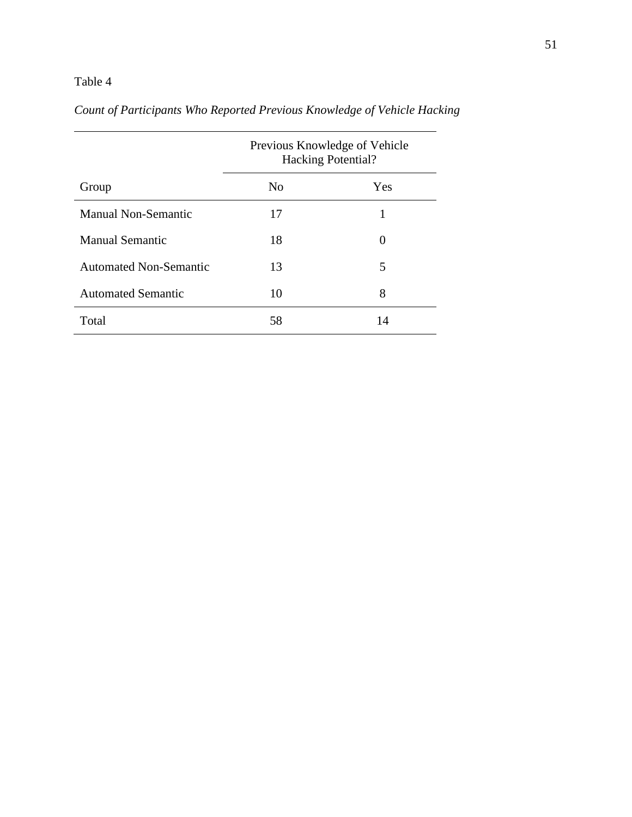## Table 4

|                               | Previous Knowledge of Vehicle<br><b>Hacking Potential?</b> |     |  |
|-------------------------------|------------------------------------------------------------|-----|--|
| Group                         | N <sub>0</sub>                                             | Yes |  |
| <b>Manual Non-Semantic</b>    | 17                                                         |     |  |
| <b>Manual Semantic</b>        | 18                                                         | 0   |  |
| <b>Automated Non-Semantic</b> | 13                                                         | 5   |  |
| <b>Automated Semantic</b>     | 10                                                         | 8   |  |
| Total                         | 58                                                         | 14  |  |

# *Count of Participants Who Reported Previous Knowledge of Vehicle Hacking*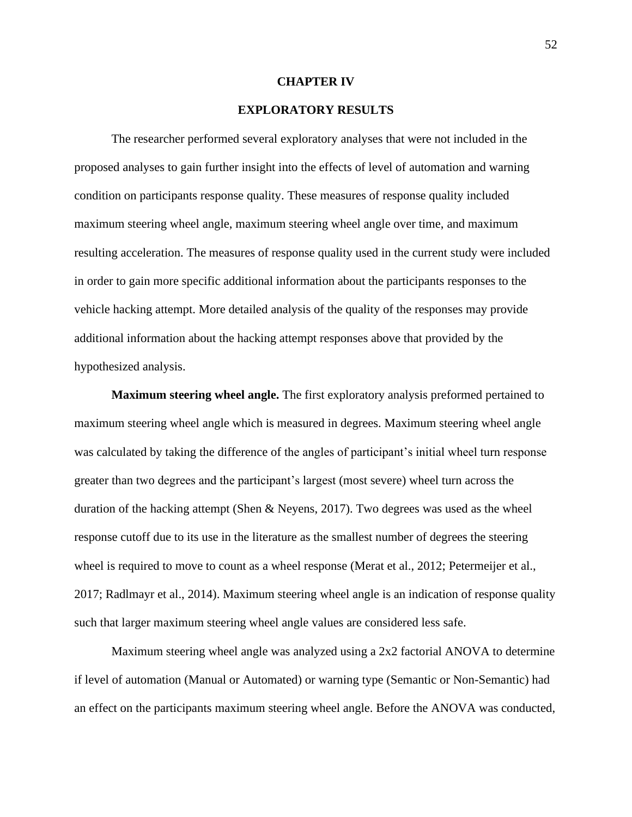#### **CHAPTER IV**

### **EXPLORATORY RESULTS**

The researcher performed several exploratory analyses that were not included in the proposed analyses to gain further insight into the effects of level of automation and warning condition on participants response quality. These measures of response quality included maximum steering wheel angle, maximum steering wheel angle over time, and maximum resulting acceleration. The measures of response quality used in the current study were included in order to gain more specific additional information about the participants responses to the vehicle hacking attempt. More detailed analysis of the quality of the responses may provide additional information about the hacking attempt responses above that provided by the hypothesized analysis.

**Maximum steering wheel angle.** The first exploratory analysis preformed pertained to maximum steering wheel angle which is measured in degrees. Maximum steering wheel angle was calculated by taking the difference of the angles of participant's initial wheel turn response greater than two degrees and the participant's largest (most severe) wheel turn across the duration of the hacking attempt (Shen & Neyens, 2017). Two degrees was used as the wheel response cutoff due to its use in the literature as the smallest number of degrees the steering wheel is required to move to count as a wheel response (Merat et al., 2012; Petermeijer et al., 2017; Radlmayr et al., 2014). Maximum steering wheel angle is an indication of response quality such that larger maximum steering wheel angle values are considered less safe.

Maximum steering wheel angle was analyzed using a 2x2 factorial ANOVA to determine if level of automation (Manual or Automated) or warning type (Semantic or Non-Semantic) had an effect on the participants maximum steering wheel angle. Before the ANOVA was conducted,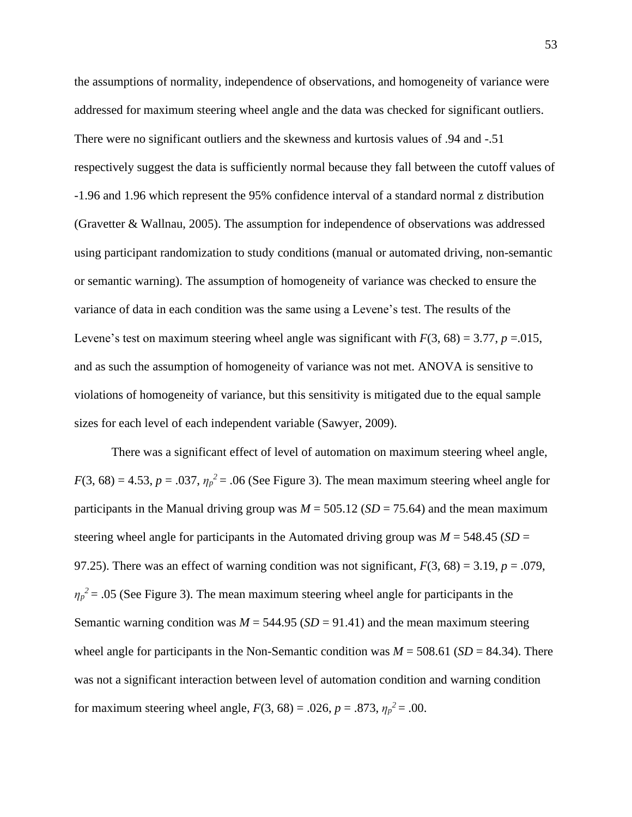the assumptions of normality, independence of observations, and homogeneity of variance were addressed for maximum steering wheel angle and the data was checked for significant outliers. There were no significant outliers and the skewness and kurtosis values of .94 and -.51 respectively suggest the data is sufficiently normal because they fall between the cutoff values of -1.96 and 1.96 which represent the 95% confidence interval of a standard normal z distribution (Gravetter & Wallnau, 2005). The assumption for independence of observations was addressed using participant randomization to study conditions (manual or automated driving, non-semantic or semantic warning). The assumption of homogeneity of variance was checked to ensure the variance of data in each condition was the same using a Levene's test. The results of the Levene's test on maximum steering wheel angle was significant with  $F(3, 68) = 3.77$ ,  $p = .015$ , and as such the assumption of homogeneity of variance was not met. ANOVA is sensitive to violations of homogeneity of variance, but this sensitivity is mitigated due to the equal sample sizes for each level of each independent variable (Sawyer, 2009).

There was a significant effect of level of automation on maximum steering wheel angle,  $F(3, 68) = 4.53$ ,  $p = .037$ ,  $\eta_p^2 = .06$  (See Figure 3). The mean maximum steering wheel angle for participants in the Manual driving group was  $M = 505.12$  ( $SD = 75.64$ ) and the mean maximum steering wheel angle for participants in the Automated driving group was  $M = 548.45$  (*SD* = 97.25). There was an effect of warning condition was not significant,  $F(3, 68) = 3.19$ ,  $p = .079$ ,  $\eta_p^2$  = .05 (See Figure 3). The mean maximum steering wheel angle for participants in the Semantic warning condition was  $M = 544.95$  ( $SD = 91.41$ ) and the mean maximum steering wheel angle for participants in the Non-Semantic condition was  $M = 508.61$  (*SD* = 84.34). There was not a significant interaction between level of automation condition and warning condition for maximum steering wheel angle,  $F(3, 68) = .026$ ,  $p = .873$ ,  $\eta_p^2 = .00$ .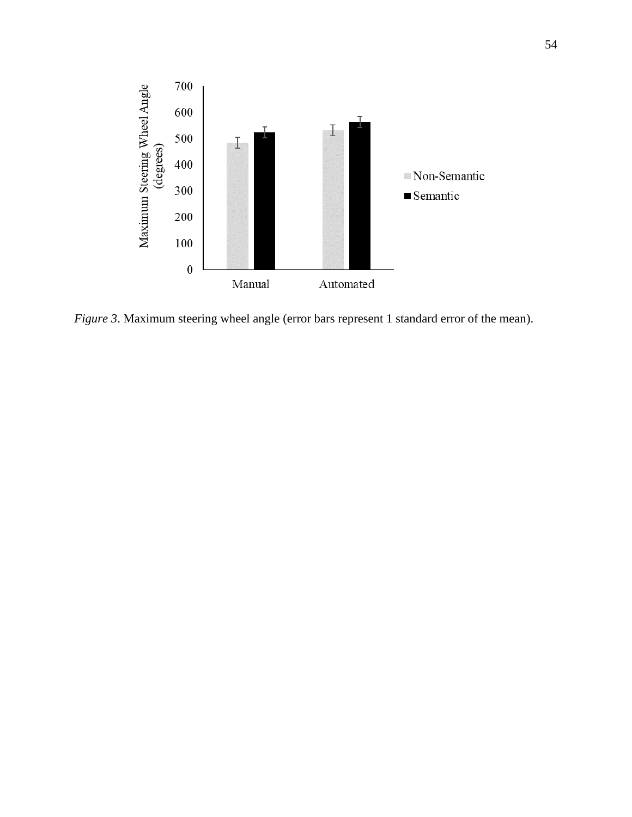

*Figure* 3. Maximum steering wheel angle (error bars represent 1 standard error of the mean).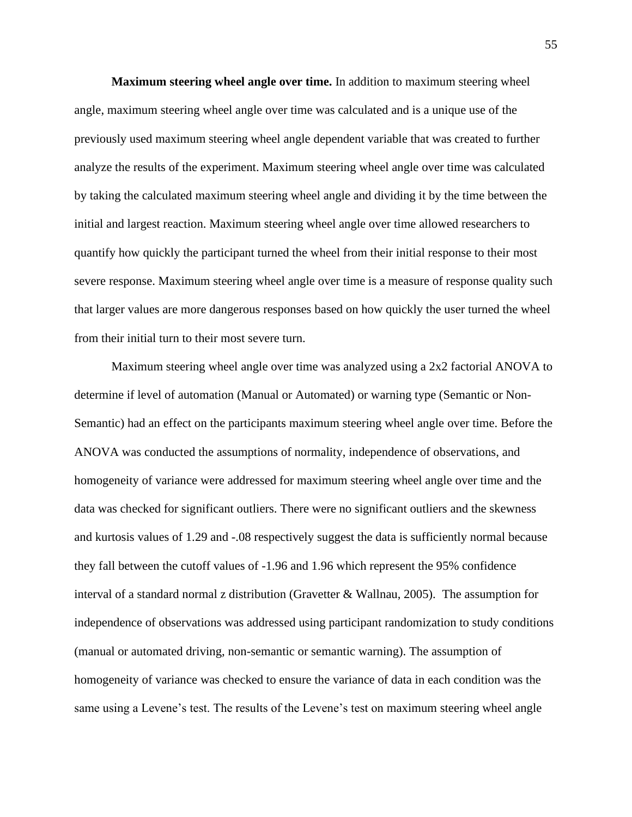**Maximum steering wheel angle over time.** In addition to maximum steering wheel angle, maximum steering wheel angle over time was calculated and is a unique use of the previously used maximum steering wheel angle dependent variable that was created to further analyze the results of the experiment. Maximum steering wheel angle over time was calculated by taking the calculated maximum steering wheel angle and dividing it by the time between the initial and largest reaction. Maximum steering wheel angle over time allowed researchers to quantify how quickly the participant turned the wheel from their initial response to their most severe response. Maximum steering wheel angle over time is a measure of response quality such that larger values are more dangerous responses based on how quickly the user turned the wheel from their initial turn to their most severe turn.

Maximum steering wheel angle over time was analyzed using a 2x2 factorial ANOVA to determine if level of automation (Manual or Automated) or warning type (Semantic or Non-Semantic) had an effect on the participants maximum steering wheel angle over time. Before the ANOVA was conducted the assumptions of normality, independence of observations, and homogeneity of variance were addressed for maximum steering wheel angle over time and the data was checked for significant outliers. There were no significant outliers and the skewness and kurtosis values of 1.29 and -.08 respectively suggest the data is sufficiently normal because they fall between the cutoff values of -1.96 and 1.96 which represent the 95% confidence interval of a standard normal z distribution (Gravetter  $\&$  Wallnau, 2005). The assumption for independence of observations was addressed using participant randomization to study conditions (manual or automated driving, non-semantic or semantic warning). The assumption of homogeneity of variance was checked to ensure the variance of data in each condition was the same using a Levene's test. The results of the Levene's test on maximum steering wheel angle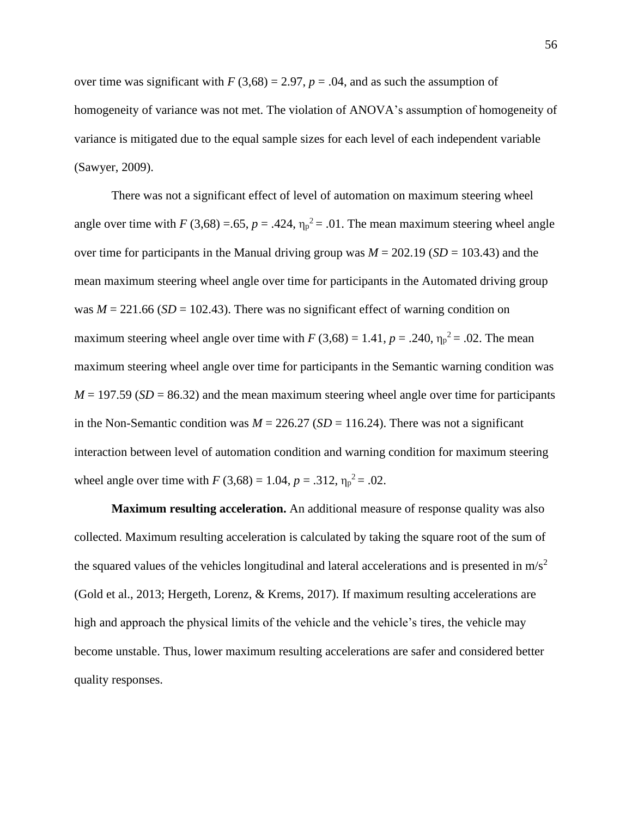over time was significant with  $F(3,68) = 2.97$ ,  $p = .04$ , and as such the assumption of homogeneity of variance was not met. The violation of ANOVA's assumption of homogeneity of variance is mitigated due to the equal sample sizes for each level of each independent variable (Sawyer, 2009).

There was not a significant effect of level of automation on maximum steering wheel angle over time with *F* (3,68) = .65,  $p = .424$ ,  $\eta_p^2 = .01$ . The mean maximum steering wheel angle over time for participants in the Manual driving group was *M* = 202.19 (*SD* = 103.43) and the mean maximum steering wheel angle over time for participants in the Automated driving group was  $M = 221.66$  (*SD* = 102.43). There was no significant effect of warning condition on maximum steering wheel angle over time with  $F(3,68) = 1.41$ ,  $p = .240$ ,  $\eta_p^2 = .02$ . The mean maximum steering wheel angle over time for participants in the Semantic warning condition was  $M = 197.59$  (*SD* = 86.32) and the mean maximum steering wheel angle over time for participants in the Non-Semantic condition was  $M = 226.27$  (*SD* = 116.24). There was not a significant interaction between level of automation condition and warning condition for maximum steering wheel angle over time with  $F(3,68) = 1.04$ ,  $p = .312$ ,  $\eta_p^2 = .02$ .

**Maximum resulting acceleration.** An additional measure of response quality was also collected. Maximum resulting acceleration is calculated by taking the square root of the sum of the squared values of the vehicles longitudinal and lateral accelerations and is presented in  $m/s^2$ (Gold et al., 2013; Hergeth, Lorenz, & Krems, 2017). If maximum resulting accelerations are high and approach the physical limits of the vehicle and the vehicle's tires, the vehicle may become unstable. Thus, lower maximum resulting accelerations are safer and considered better quality responses.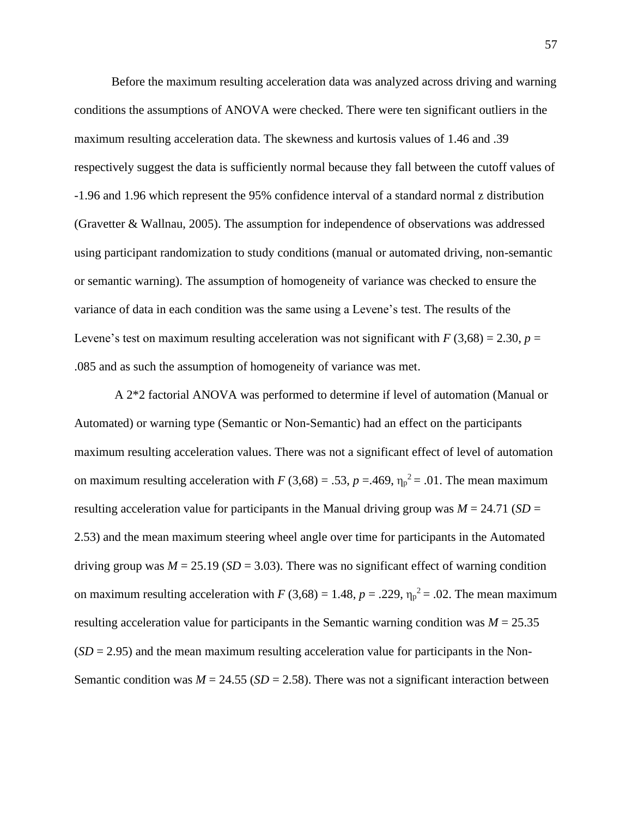Before the maximum resulting acceleration data was analyzed across driving and warning conditions the assumptions of ANOVA were checked. There were ten significant outliers in the maximum resulting acceleration data. The skewness and kurtosis values of 1.46 and .39 respectively suggest the data is sufficiently normal because they fall between the cutoff values of -1.96 and 1.96 which represent the 95% confidence interval of a standard normal z distribution (Gravetter & Wallnau, 2005). The assumption for independence of observations was addressed using participant randomization to study conditions (manual or automated driving, non-semantic or semantic warning). The assumption of homogeneity of variance was checked to ensure the variance of data in each condition was the same using a Levene's test. The results of the Levene's test on maximum resulting acceleration was not significant with  $F(3,68) = 2.30$ ,  $p =$ .085 and as such the assumption of homogeneity of variance was met.

A 2\*2 factorial ANOVA was performed to determine if level of automation (Manual or Automated) or warning type (Semantic or Non-Semantic) had an effect on the participants maximum resulting acceleration values. There was not a significant effect of level of automation on maximum resulting acceleration with  $F(3,68) = .53$ ,  $p = .469$ ,  $\eta_p^2 = .01$ . The mean maximum resulting acceleration value for participants in the Manual driving group was  $M = 24.71$  (*SD* = 2.53) and the mean maximum steering wheel angle over time for participants in the Automated driving group was  $M = 25.19$  ( $SD = 3.03$ ). There was no significant effect of warning condition on maximum resulting acceleration with  $F(3,68) = 1.48$ ,  $p = .229$ ,  $\eta_p^2 = .02$ . The mean maximum resulting acceleration value for participants in the Semantic warning condition was  $M = 25.35$  $(SD = 2.95)$  and the mean maximum resulting acceleration value for participants in the Non-Semantic condition was  $M = 24.55$  (*SD* = 2.58). There was not a significant interaction between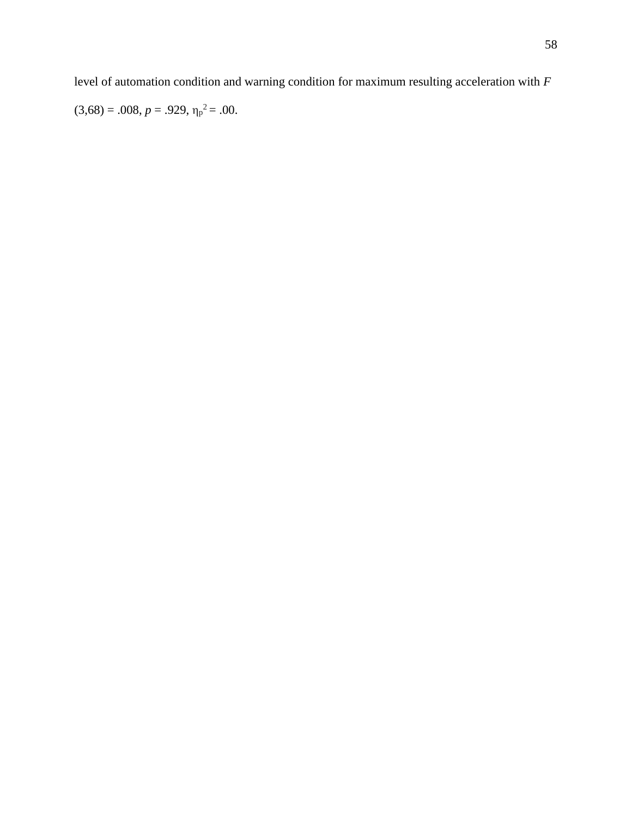level of automation condition and warning condition for maximum resulting acceleration with *F*

 $(3,68) = .008, p = .929, \eta_p^2 = .00.$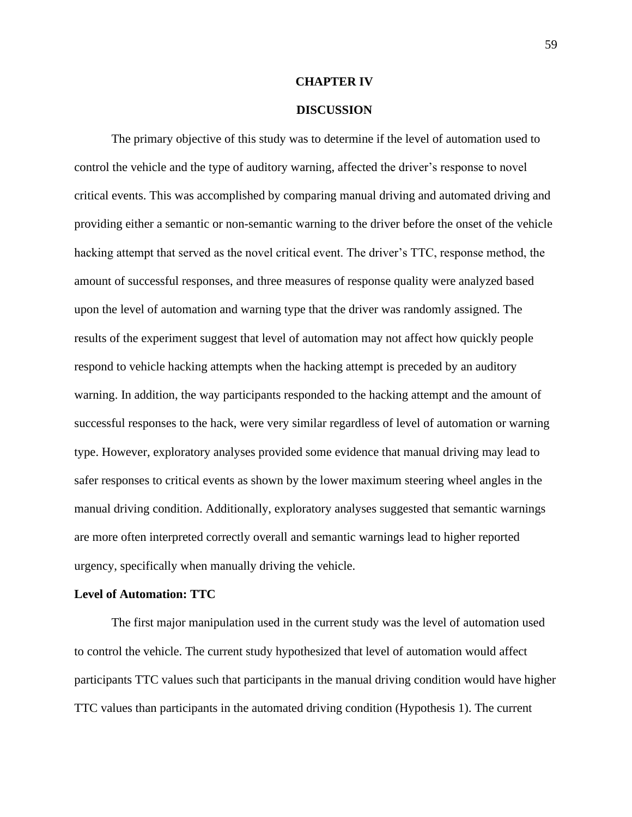#### **CHAPTER IV**

#### **DISCUSSION**

The primary objective of this study was to determine if the level of automation used to control the vehicle and the type of auditory warning, affected the driver's response to novel critical events. This was accomplished by comparing manual driving and automated driving and providing either a semantic or non-semantic warning to the driver before the onset of the vehicle hacking attempt that served as the novel critical event. The driver's TTC, response method, the amount of successful responses, and three measures of response quality were analyzed based upon the level of automation and warning type that the driver was randomly assigned. The results of the experiment suggest that level of automation may not affect how quickly people respond to vehicle hacking attempts when the hacking attempt is preceded by an auditory warning. In addition, the way participants responded to the hacking attempt and the amount of successful responses to the hack, were very similar regardless of level of automation or warning type. However, exploratory analyses provided some evidence that manual driving may lead to safer responses to critical events as shown by the lower maximum steering wheel angles in the manual driving condition. Additionally, exploratory analyses suggested that semantic warnings are more often interpreted correctly overall and semantic warnings lead to higher reported urgency, specifically when manually driving the vehicle.

#### **Level of Automation: TTC**

The first major manipulation used in the current study was the level of automation used to control the vehicle. The current study hypothesized that level of automation would affect participants TTC values such that participants in the manual driving condition would have higher TTC values than participants in the automated driving condition (Hypothesis 1). The current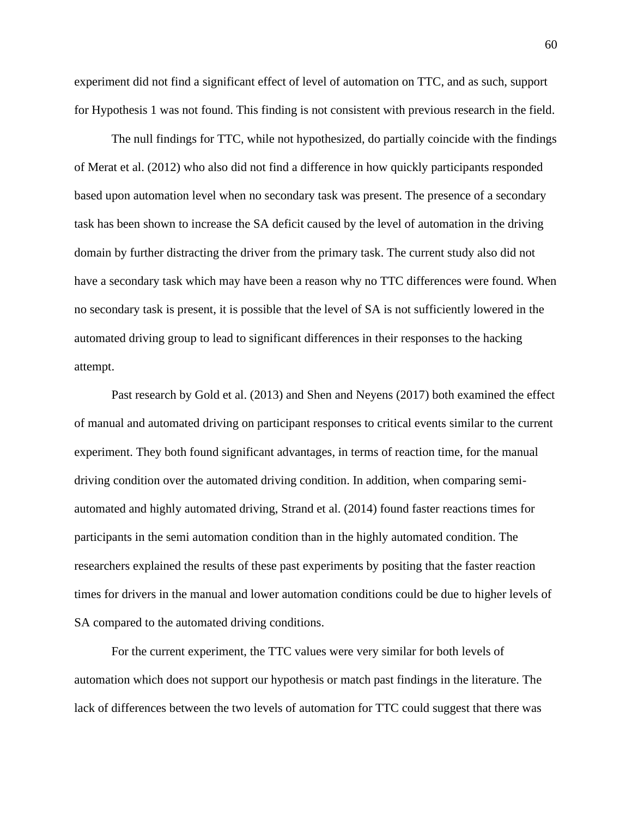experiment did not find a significant effect of level of automation on TTC, and as such, support for Hypothesis 1 was not found. This finding is not consistent with previous research in the field.

The null findings for TTC, while not hypothesized, do partially coincide with the findings of Merat et al. (2012) who also did not find a difference in how quickly participants responded based upon automation level when no secondary task was present. The presence of a secondary task has been shown to increase the SA deficit caused by the level of automation in the driving domain by further distracting the driver from the primary task. The current study also did not have a secondary task which may have been a reason why no TTC differences were found. When no secondary task is present, it is possible that the level of SA is not sufficiently lowered in the automated driving group to lead to significant differences in their responses to the hacking attempt.

Past research by Gold et al. (2013) and Shen and Neyens (2017) both examined the effect of manual and automated driving on participant responses to critical events similar to the current experiment. They both found significant advantages, in terms of reaction time, for the manual driving condition over the automated driving condition. In addition, when comparing semiautomated and highly automated driving, Strand et al. (2014) found faster reactions times for participants in the semi automation condition than in the highly automated condition. The researchers explained the results of these past experiments by positing that the faster reaction times for drivers in the manual and lower automation conditions could be due to higher levels of SA compared to the automated driving conditions.

For the current experiment, the TTC values were very similar for both levels of automation which does not support our hypothesis or match past findings in the literature. The lack of differences between the two levels of automation for TTC could suggest that there was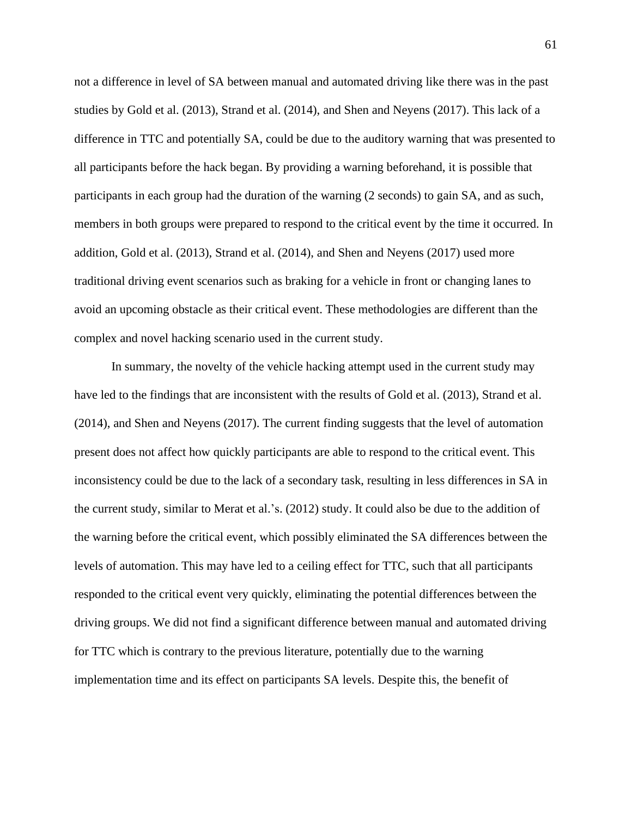not a difference in level of SA between manual and automated driving like there was in the past studies by Gold et al. (2013), Strand et al. (2014), and Shen and Neyens (2017). This lack of a difference in TTC and potentially SA, could be due to the auditory warning that was presented to all participants before the hack began. By providing a warning beforehand, it is possible that participants in each group had the duration of the warning (2 seconds) to gain SA, and as such, members in both groups were prepared to respond to the critical event by the time it occurred. In addition, Gold et al. (2013), Strand et al. (2014), and Shen and Neyens (2017) used more traditional driving event scenarios such as braking for a vehicle in front or changing lanes to avoid an upcoming obstacle as their critical event. These methodologies are different than the complex and novel hacking scenario used in the current study.

In summary, the novelty of the vehicle hacking attempt used in the current study may have led to the findings that are inconsistent with the results of Gold et al. (2013), Strand et al. (2014), and Shen and Neyens (2017). The current finding suggests that the level of automation present does not affect how quickly participants are able to respond to the critical event. This inconsistency could be due to the lack of a secondary task, resulting in less differences in SA in the current study, similar to Merat et al.'s. (2012) study. It could also be due to the addition of the warning before the critical event, which possibly eliminated the SA differences between the levels of automation. This may have led to a ceiling effect for TTC, such that all participants responded to the critical event very quickly, eliminating the potential differences between the driving groups. We did not find a significant difference between manual and automated driving for TTC which is contrary to the previous literature, potentially due to the warning implementation time and its effect on participants SA levels. Despite this, the benefit of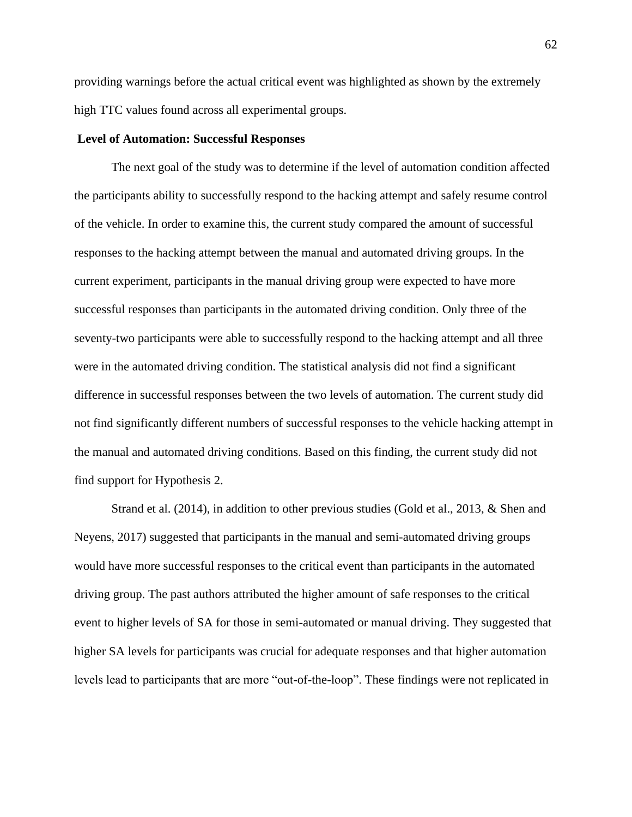providing warnings before the actual critical event was highlighted as shown by the extremely high TTC values found across all experimental groups.

#### **Level of Automation: Successful Responses**

The next goal of the study was to determine if the level of automation condition affected the participants ability to successfully respond to the hacking attempt and safely resume control of the vehicle. In order to examine this, the current study compared the amount of successful responses to the hacking attempt between the manual and automated driving groups. In the current experiment, participants in the manual driving group were expected to have more successful responses than participants in the automated driving condition. Only three of the seventy-two participants were able to successfully respond to the hacking attempt and all three were in the automated driving condition. The statistical analysis did not find a significant difference in successful responses between the two levels of automation. The current study did not find significantly different numbers of successful responses to the vehicle hacking attempt in the manual and automated driving conditions. Based on this finding, the current study did not find support for Hypothesis 2.

Strand et al. (2014), in addition to other previous studies (Gold et al., 2013, & Shen and Neyens, 2017) suggested that participants in the manual and semi-automated driving groups would have more successful responses to the critical event than participants in the automated driving group. The past authors attributed the higher amount of safe responses to the critical event to higher levels of SA for those in semi-automated or manual driving. They suggested that higher SA levels for participants was crucial for adequate responses and that higher automation levels lead to participants that are more "out-of-the-loop". These findings were not replicated in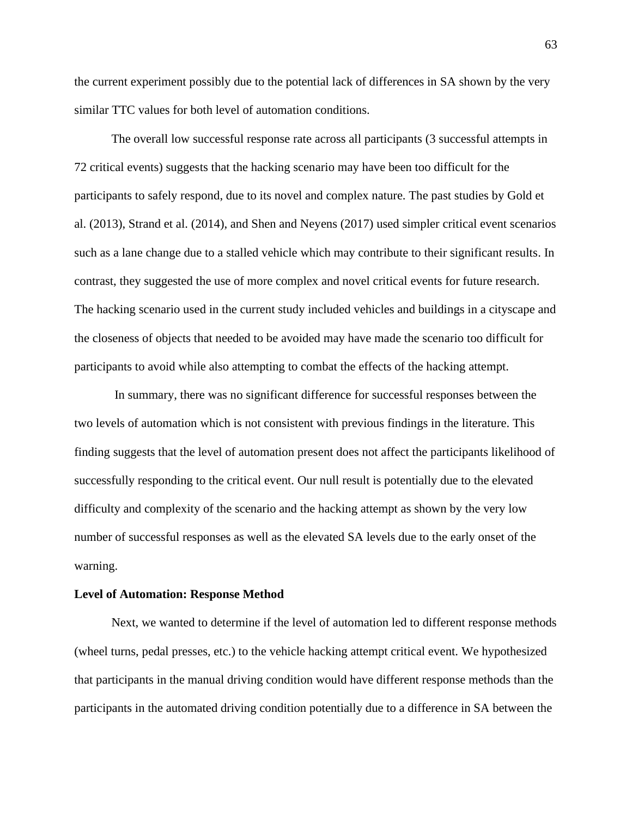the current experiment possibly due to the potential lack of differences in SA shown by the very similar TTC values for both level of automation conditions.

The overall low successful response rate across all participants (3 successful attempts in 72 critical events) suggests that the hacking scenario may have been too difficult for the participants to safely respond, due to its novel and complex nature. The past studies by Gold et al. (2013), Strand et al. (2014), and Shen and Neyens (2017) used simpler critical event scenarios such as a lane change due to a stalled vehicle which may contribute to their significant results. In contrast, they suggested the use of more complex and novel critical events for future research. The hacking scenario used in the current study included vehicles and buildings in a cityscape and the closeness of objects that needed to be avoided may have made the scenario too difficult for participants to avoid while also attempting to combat the effects of the hacking attempt.

In summary, there was no significant difference for successful responses between the two levels of automation which is not consistent with previous findings in the literature. This finding suggests that the level of automation present does not affect the participants likelihood of successfully responding to the critical event. Our null result is potentially due to the elevated difficulty and complexity of the scenario and the hacking attempt as shown by the very low number of successful responses as well as the elevated SA levels due to the early onset of the warning.

#### **Level of Automation: Response Method**

Next, we wanted to determine if the level of automation led to different response methods (wheel turns, pedal presses, etc.) to the vehicle hacking attempt critical event. We hypothesized that participants in the manual driving condition would have different response methods than the participants in the automated driving condition potentially due to a difference in SA between the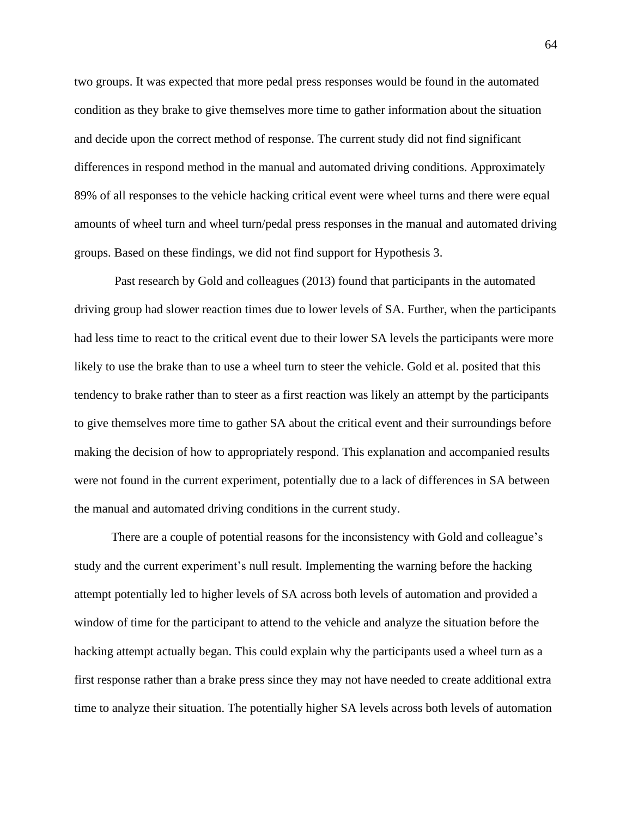two groups. It was expected that more pedal press responses would be found in the automated condition as they brake to give themselves more time to gather information about the situation and decide upon the correct method of response. The current study did not find significant differences in respond method in the manual and automated driving conditions. Approximately 89% of all responses to the vehicle hacking critical event were wheel turns and there were equal amounts of wheel turn and wheel turn/pedal press responses in the manual and automated driving groups. Based on these findings, we did not find support for Hypothesis 3.

Past research by Gold and colleagues (2013) found that participants in the automated driving group had slower reaction times due to lower levels of SA. Further, when the participants had less time to react to the critical event due to their lower SA levels the participants were more likely to use the brake than to use a wheel turn to steer the vehicle. Gold et al. posited that this tendency to brake rather than to steer as a first reaction was likely an attempt by the participants to give themselves more time to gather SA about the critical event and their surroundings before making the decision of how to appropriately respond. This explanation and accompanied results were not found in the current experiment, potentially due to a lack of differences in SA between the manual and automated driving conditions in the current study.

There are a couple of potential reasons for the inconsistency with Gold and colleague's study and the current experiment's null result. Implementing the warning before the hacking attempt potentially led to higher levels of SA across both levels of automation and provided a window of time for the participant to attend to the vehicle and analyze the situation before the hacking attempt actually began. This could explain why the participants used a wheel turn as a first response rather than a brake press since they may not have needed to create additional extra time to analyze their situation. The potentially higher SA levels across both levels of automation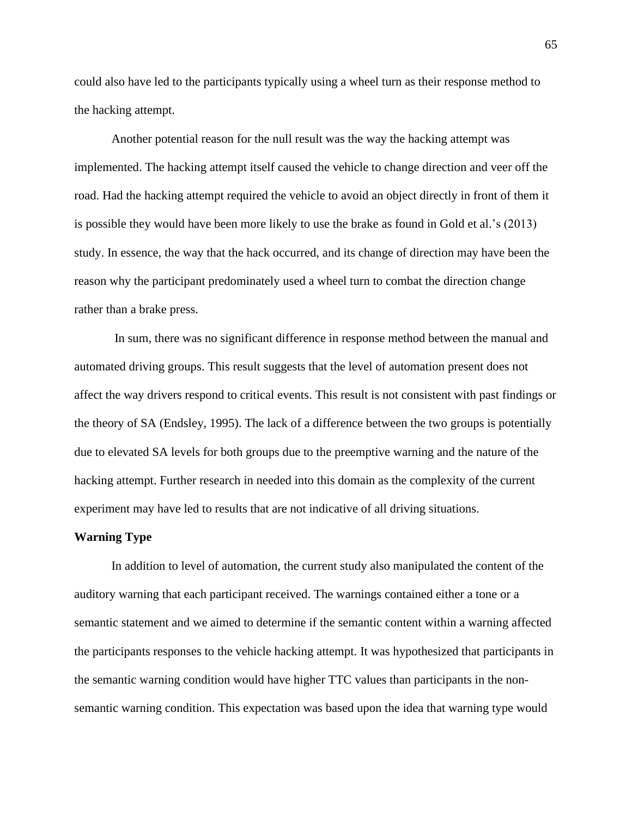could also have led to the participants typically using a wheel turn as their response method to the hacking attempt.

Another potential reason for the null result was the way the hacking attempt was implemented. The hacking attempt itself caused the vehicle to change direction and veer off the road. Had the hacking attempt required the vehicle to avoid an object directly in front of them it is possible they would have been more likely to use the brake as found in Gold et al.'s (2013) study. In essence, the way that the hack occurred, and its change of direction may have been the reason why the participant predominately used a wheel turn to combat the direction change rather than a brake press.

In sum, there was no significant difference in response method between the manual and automated driving groups. This result suggests that the level of automation present does not affect the way drivers respond to critical events. This result is not consistent with past findings or the theory of SA (Endsley, 1995). The lack of a difference between the two groups is potentially due to elevated SA levels for both groups due to the preemptive warning and the nature of the hacking attempt. Further research in needed into this domain as the complexity of the current experiment may have led to results that are not indicative of all driving situations.

### **Warning Type**

In addition to level of automation, the current study also manipulated the content of the auditory warning that each participant received. The warnings contained either a tone or a semantic statement and we aimed to determine if the semantic content within a warning affected the participants responses to the vehicle hacking attempt. It was hypothesized that participants in the semantic warning condition would have higher TTC values than participants in the nonsemantic warning condition. This expectation was based upon the idea that warning type would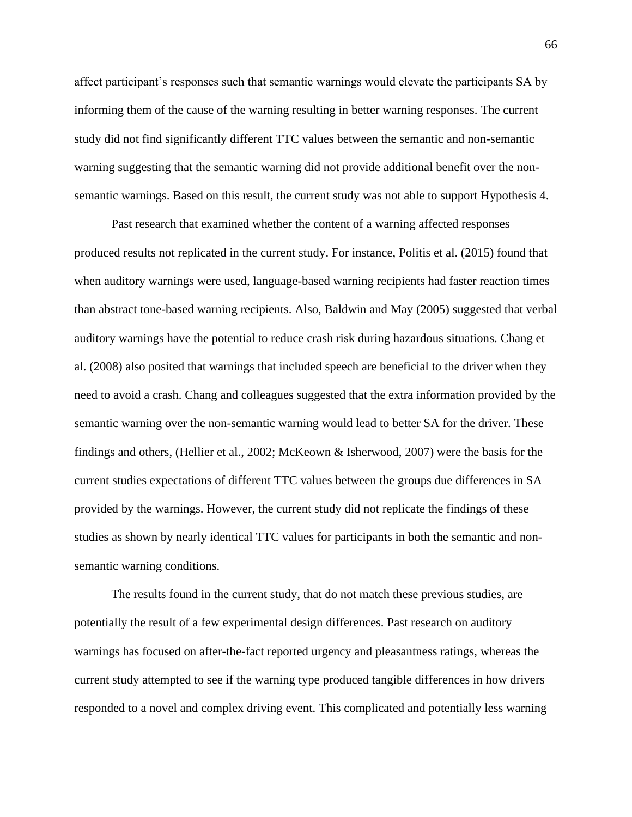affect participant's responses such that semantic warnings would elevate the participants SA by informing them of the cause of the warning resulting in better warning responses. The current study did not find significantly different TTC values between the semantic and non-semantic warning suggesting that the semantic warning did not provide additional benefit over the nonsemantic warnings. Based on this result, the current study was not able to support Hypothesis 4.

Past research that examined whether the content of a warning affected responses produced results not replicated in the current study. For instance, Politis et al. (2015) found that when auditory warnings were used, language-based warning recipients had faster reaction times than abstract tone-based warning recipients. Also, Baldwin and May (2005) suggested that verbal auditory warnings have the potential to reduce crash risk during hazardous situations. Chang et al. (2008) also posited that warnings that included speech are beneficial to the driver when they need to avoid a crash. Chang and colleagues suggested that the extra information provided by the semantic warning over the non-semantic warning would lead to better SA for the driver. These findings and others, (Hellier et al., 2002; McKeown & Isherwood, 2007) were the basis for the current studies expectations of different TTC values between the groups due differences in SA provided by the warnings. However, the current study did not replicate the findings of these studies as shown by nearly identical TTC values for participants in both the semantic and nonsemantic warning conditions.

The results found in the current study, that do not match these previous studies, are potentially the result of a few experimental design differences. Past research on auditory warnings has focused on after-the-fact reported urgency and pleasantness ratings, whereas the current study attempted to see if the warning type produced tangible differences in how drivers responded to a novel and complex driving event. This complicated and potentially less warning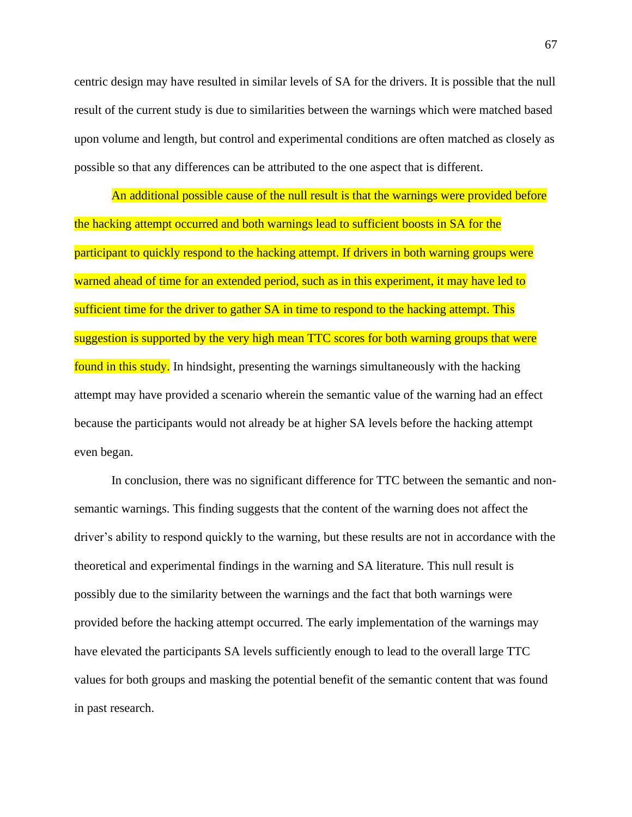centric design may have resulted in similar levels of SA for the drivers. It is possible that the null result of the current study is due to similarities between the warnings which were matched based upon volume and length, but control and experimental conditions are often matched as closely as possible so that any differences can be attributed to the one aspect that is different.

An additional possible cause of the null result is that the warnings were provided before the hacking attempt occurred and both warnings lead to sufficient boosts in SA for the participant to quickly respond to the hacking attempt. If drivers in both warning groups were warned ahead of time for an extended period, such as in this experiment, it may have led to sufficient time for the driver to gather SA in time to respond to the hacking attempt. This suggestion is supported by the very high mean TTC scores for both warning groups that were found in this study. In hindsight, presenting the warnings simultaneously with the hacking attempt may have provided a scenario wherein the semantic value of the warning had an effect because the participants would not already be at higher SA levels before the hacking attempt even began.

In conclusion, there was no significant difference for TTC between the semantic and nonsemantic warnings. This finding suggests that the content of the warning does not affect the driver's ability to respond quickly to the warning, but these results are not in accordance with the theoretical and experimental findings in the warning and SA literature. This null result is possibly due to the similarity between the warnings and the fact that both warnings were provided before the hacking attempt occurred. The early implementation of the warnings may have elevated the participants SA levels sufficiently enough to lead to the overall large TTC values for both groups and masking the potential benefit of the semantic content that was found in past research.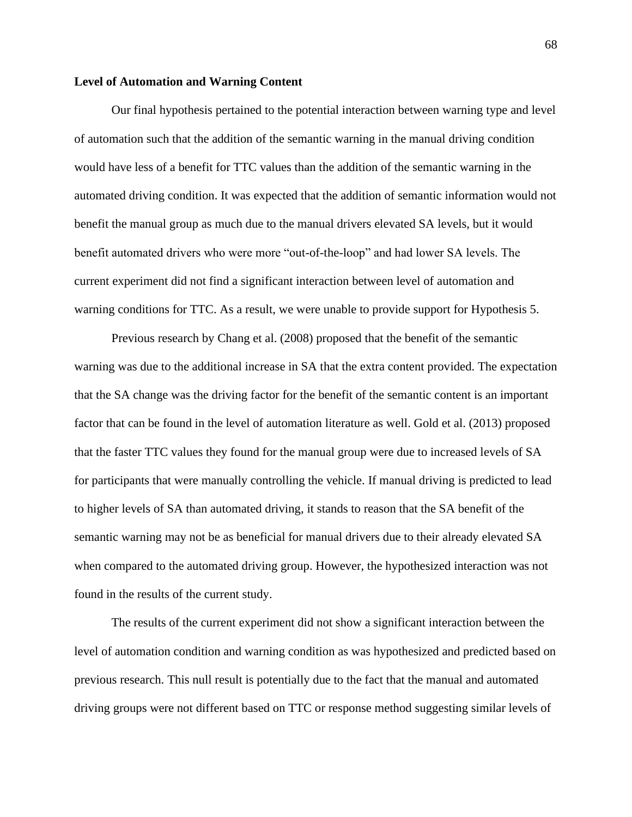#### **Level of Automation and Warning Content**

Our final hypothesis pertained to the potential interaction between warning type and level of automation such that the addition of the semantic warning in the manual driving condition would have less of a benefit for TTC values than the addition of the semantic warning in the automated driving condition. It was expected that the addition of semantic information would not benefit the manual group as much due to the manual drivers elevated SA levels, but it would benefit automated drivers who were more "out-of-the-loop" and had lower SA levels. The current experiment did not find a significant interaction between level of automation and warning conditions for TTC. As a result, we were unable to provide support for Hypothesis 5.

Previous research by Chang et al. (2008) proposed that the benefit of the semantic warning was due to the additional increase in SA that the extra content provided. The expectation that the SA change was the driving factor for the benefit of the semantic content is an important factor that can be found in the level of automation literature as well. Gold et al. (2013) proposed that the faster TTC values they found for the manual group were due to increased levels of SA for participants that were manually controlling the vehicle. If manual driving is predicted to lead to higher levels of SA than automated driving, it stands to reason that the SA benefit of the semantic warning may not be as beneficial for manual drivers due to their already elevated SA when compared to the automated driving group. However, the hypothesized interaction was not found in the results of the current study.

The results of the current experiment did not show a significant interaction between the level of automation condition and warning condition as was hypothesized and predicted based on previous research. This null result is potentially due to the fact that the manual and automated driving groups were not different based on TTC or response method suggesting similar levels of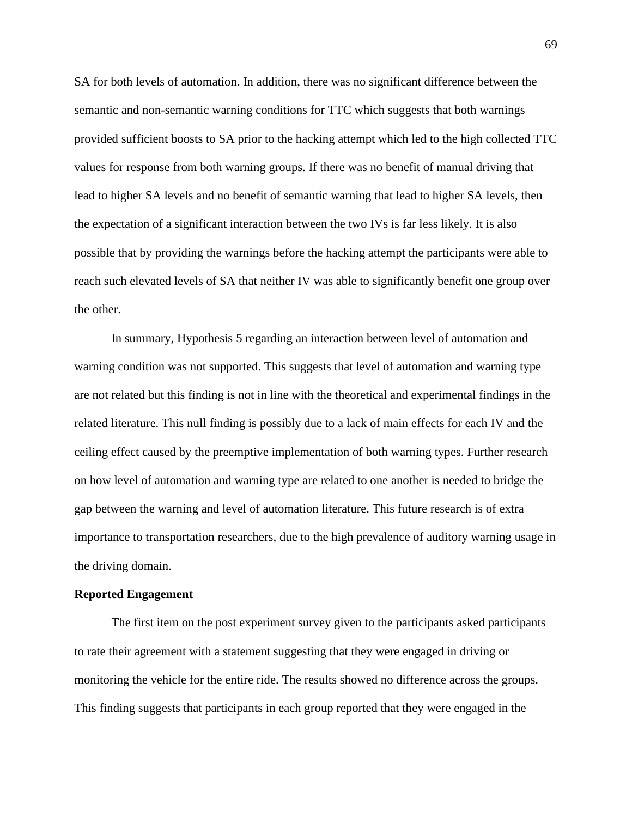SA for both levels of automation. In addition, there was no significant difference between the semantic and non-semantic warning conditions for TTC which suggests that both warnings provided sufficient boosts to SA prior to the hacking attempt which led to the high collected TTC values for response from both warning groups. If there was no benefit of manual driving that lead to higher SA levels and no benefit of semantic warning that lead to higher SA levels, then the expectation of a significant interaction between the two IVs is far less likely. It is also possible that by providing the warnings before the hacking attempt the participants were able to reach such elevated levels of SA that neither IV was able to significantly benefit one group over the other.

In summary, Hypothesis 5 regarding an interaction between level of automation and warning condition was not supported. This suggests that level of automation and warning type are not related but this finding is not in line with the theoretical and experimental findings in the related literature. This null finding is possibly due to a lack of main effects for each IV and the ceiling effect caused by the preemptive implementation of both warning types. Further research on how level of automation and warning type are related to one another is needed to bridge the gap between the warning and level of automation literature. This future research is of extra importance to transportation researchers, due to the high prevalence of auditory warning usage in the driving domain.

#### **Reported Engagement**

The first item on the post experiment survey given to the participants asked participants to rate their agreement with a statement suggesting that they were engaged in driving or monitoring the vehicle for the entire ride. The results showed no difference across the groups. This finding suggests that participants in each group reported that they were engaged in the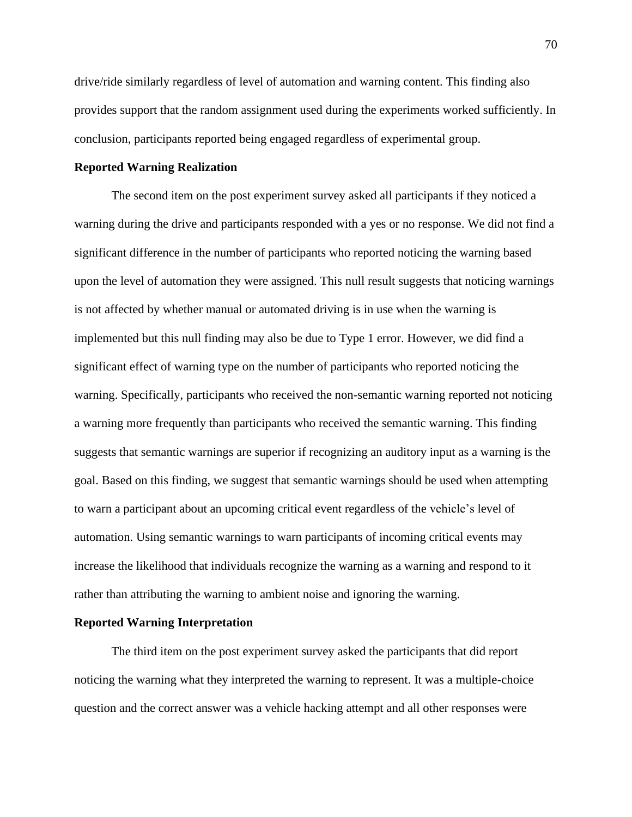drive/ride similarly regardless of level of automation and warning content. This finding also provides support that the random assignment used during the experiments worked sufficiently. In conclusion, participants reported being engaged regardless of experimental group.

#### **Reported Warning Realization**

The second item on the post experiment survey asked all participants if they noticed a warning during the drive and participants responded with a yes or no response. We did not find a significant difference in the number of participants who reported noticing the warning based upon the level of automation they were assigned. This null result suggests that noticing warnings is not affected by whether manual or automated driving is in use when the warning is implemented but this null finding may also be due to Type 1 error. However, we did find a significant effect of warning type on the number of participants who reported noticing the warning. Specifically, participants who received the non-semantic warning reported not noticing a warning more frequently than participants who received the semantic warning. This finding suggests that semantic warnings are superior if recognizing an auditory input as a warning is the goal. Based on this finding, we suggest that semantic warnings should be used when attempting to warn a participant about an upcoming critical event regardless of the vehicle's level of automation. Using semantic warnings to warn participants of incoming critical events may increase the likelihood that individuals recognize the warning as a warning and respond to it rather than attributing the warning to ambient noise and ignoring the warning.

#### **Reported Warning Interpretation**

The third item on the post experiment survey asked the participants that did report noticing the warning what they interpreted the warning to represent. It was a multiple-choice question and the correct answer was a vehicle hacking attempt and all other responses were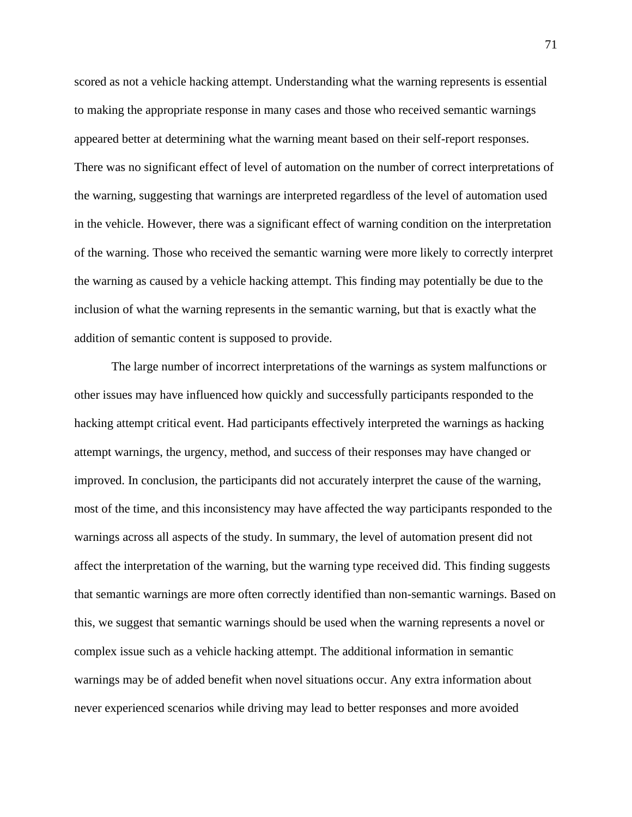scored as not a vehicle hacking attempt. Understanding what the warning represents is essential to making the appropriate response in many cases and those who received semantic warnings appeared better at determining what the warning meant based on their self-report responses. There was no significant effect of level of automation on the number of correct interpretations of the warning, suggesting that warnings are interpreted regardless of the level of automation used in the vehicle. However, there was a significant effect of warning condition on the interpretation of the warning. Those who received the semantic warning were more likely to correctly interpret the warning as caused by a vehicle hacking attempt. This finding may potentially be due to the inclusion of what the warning represents in the semantic warning, but that is exactly what the addition of semantic content is supposed to provide.

The large number of incorrect interpretations of the warnings as system malfunctions or other issues may have influenced how quickly and successfully participants responded to the hacking attempt critical event. Had participants effectively interpreted the warnings as hacking attempt warnings, the urgency, method, and success of their responses may have changed or improved. In conclusion, the participants did not accurately interpret the cause of the warning, most of the time, and this inconsistency may have affected the way participants responded to the warnings across all aspects of the study. In summary, the level of automation present did not affect the interpretation of the warning, but the warning type received did. This finding suggests that semantic warnings are more often correctly identified than non-semantic warnings. Based on this, we suggest that semantic warnings should be used when the warning represents a novel or complex issue such as a vehicle hacking attempt. The additional information in semantic warnings may be of added benefit when novel situations occur. Any extra information about never experienced scenarios while driving may lead to better responses and more avoided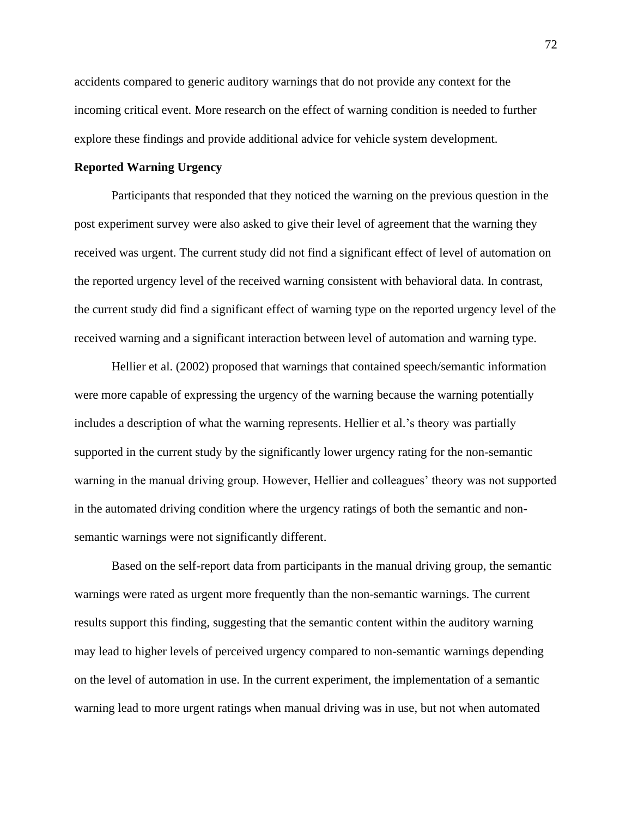accidents compared to generic auditory warnings that do not provide any context for the incoming critical event. More research on the effect of warning condition is needed to further explore these findings and provide additional advice for vehicle system development.

## **Reported Warning Urgency**

Participants that responded that they noticed the warning on the previous question in the post experiment survey were also asked to give their level of agreement that the warning they received was urgent. The current study did not find a significant effect of level of automation on the reported urgency level of the received warning consistent with behavioral data. In contrast, the current study did find a significant effect of warning type on the reported urgency level of the received warning and a significant interaction between level of automation and warning type.

Hellier et al. (2002) proposed that warnings that contained speech/semantic information were more capable of expressing the urgency of the warning because the warning potentially includes a description of what the warning represents. Hellier et al.'s theory was partially supported in the current study by the significantly lower urgency rating for the non-semantic warning in the manual driving group. However, Hellier and colleagues' theory was not supported in the automated driving condition where the urgency ratings of both the semantic and nonsemantic warnings were not significantly different.

Based on the self-report data from participants in the manual driving group, the semantic warnings were rated as urgent more frequently than the non-semantic warnings. The current results support this finding, suggesting that the semantic content within the auditory warning may lead to higher levels of perceived urgency compared to non-semantic warnings depending on the level of automation in use. In the current experiment, the implementation of a semantic warning lead to more urgent ratings when manual driving was in use, but not when automated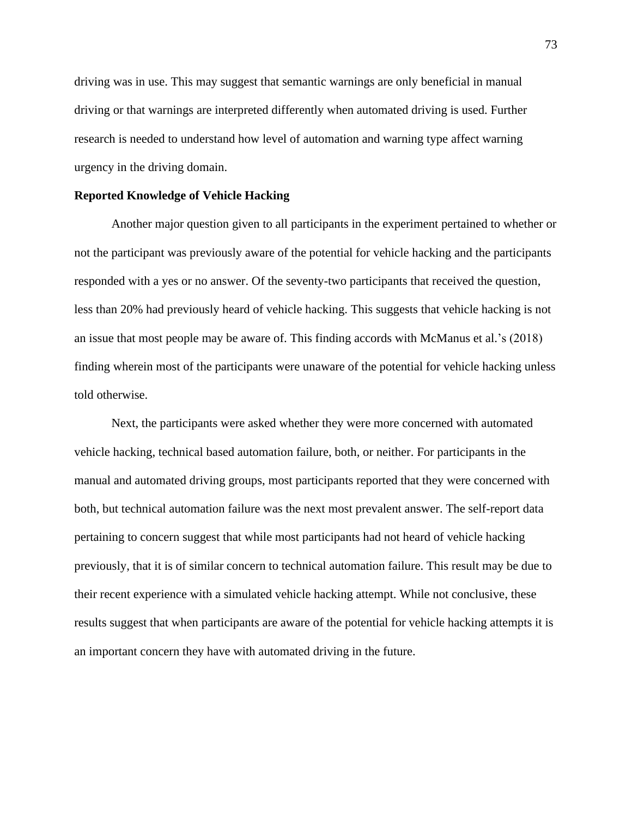driving was in use. This may suggest that semantic warnings are only beneficial in manual driving or that warnings are interpreted differently when automated driving is used. Further research is needed to understand how level of automation and warning type affect warning urgency in the driving domain.

#### **Reported Knowledge of Vehicle Hacking**

Another major question given to all participants in the experiment pertained to whether or not the participant was previously aware of the potential for vehicle hacking and the participants responded with a yes or no answer. Of the seventy-two participants that received the question, less than 20% had previously heard of vehicle hacking. This suggests that vehicle hacking is not an issue that most people may be aware of. This finding accords with McManus et al.'s (2018) finding wherein most of the participants were unaware of the potential for vehicle hacking unless told otherwise.

Next, the participants were asked whether they were more concerned with automated vehicle hacking, technical based automation failure, both, or neither. For participants in the manual and automated driving groups, most participants reported that they were concerned with both, but technical automation failure was the next most prevalent answer. The self-report data pertaining to concern suggest that while most participants had not heard of vehicle hacking previously, that it is of similar concern to technical automation failure. This result may be due to their recent experience with a simulated vehicle hacking attempt. While not conclusive, these results suggest that when participants are aware of the potential for vehicle hacking attempts it is an important concern they have with automated driving in the future.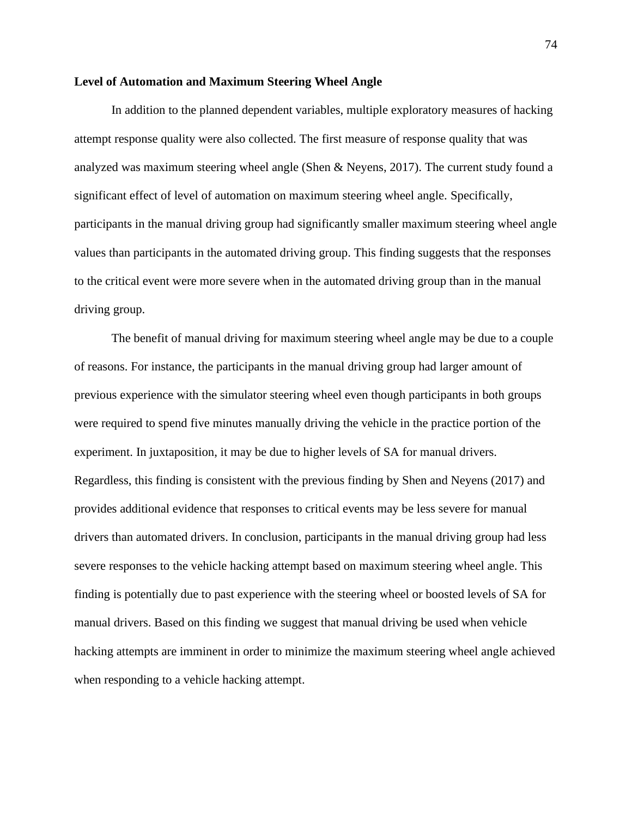### **Level of Automation and Maximum Steering Wheel Angle**

In addition to the planned dependent variables, multiple exploratory measures of hacking attempt response quality were also collected. The first measure of response quality that was analyzed was maximum steering wheel angle (Shen & Neyens, 2017). The current study found a significant effect of level of automation on maximum steering wheel angle. Specifically, participants in the manual driving group had significantly smaller maximum steering wheel angle values than participants in the automated driving group. This finding suggests that the responses to the critical event were more severe when in the automated driving group than in the manual driving group.

The benefit of manual driving for maximum steering wheel angle may be due to a couple of reasons. For instance, the participants in the manual driving group had larger amount of previous experience with the simulator steering wheel even though participants in both groups were required to spend five minutes manually driving the vehicle in the practice portion of the experiment. In juxtaposition, it may be due to higher levels of SA for manual drivers. Regardless, this finding is consistent with the previous finding by Shen and Neyens (2017) and provides additional evidence that responses to critical events may be less severe for manual drivers than automated drivers. In conclusion, participants in the manual driving group had less severe responses to the vehicle hacking attempt based on maximum steering wheel angle. This finding is potentially due to past experience with the steering wheel or boosted levels of SA for manual drivers. Based on this finding we suggest that manual driving be used when vehicle hacking attempts are imminent in order to minimize the maximum steering wheel angle achieved when responding to a vehicle hacking attempt.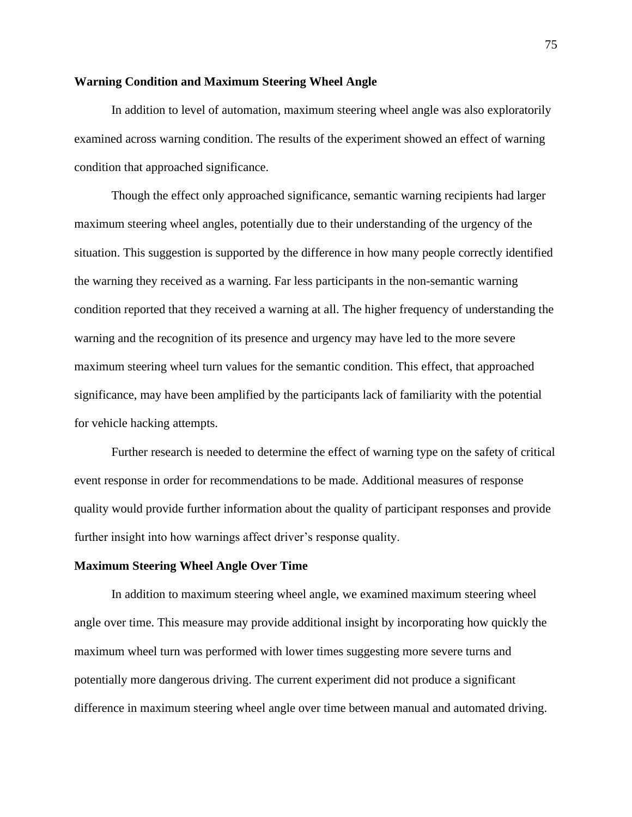### **Warning Condition and Maximum Steering Wheel Angle**

In addition to level of automation, maximum steering wheel angle was also exploratorily examined across warning condition. The results of the experiment showed an effect of warning condition that approached significance.

Though the effect only approached significance, semantic warning recipients had larger maximum steering wheel angles, potentially due to their understanding of the urgency of the situation. This suggestion is supported by the difference in how many people correctly identified the warning they received as a warning. Far less participants in the non-semantic warning condition reported that they received a warning at all. The higher frequency of understanding the warning and the recognition of its presence and urgency may have led to the more severe maximum steering wheel turn values for the semantic condition. This effect, that approached significance, may have been amplified by the participants lack of familiarity with the potential for vehicle hacking attempts.

Further research is needed to determine the effect of warning type on the safety of critical event response in order for recommendations to be made. Additional measures of response quality would provide further information about the quality of participant responses and provide further insight into how warnings affect driver's response quality.

# **Maximum Steering Wheel Angle Over Time**

In addition to maximum steering wheel angle, we examined maximum steering wheel angle over time. This measure may provide additional insight by incorporating how quickly the maximum wheel turn was performed with lower times suggesting more severe turns and potentially more dangerous driving. The current experiment did not produce a significant difference in maximum steering wheel angle over time between manual and automated driving.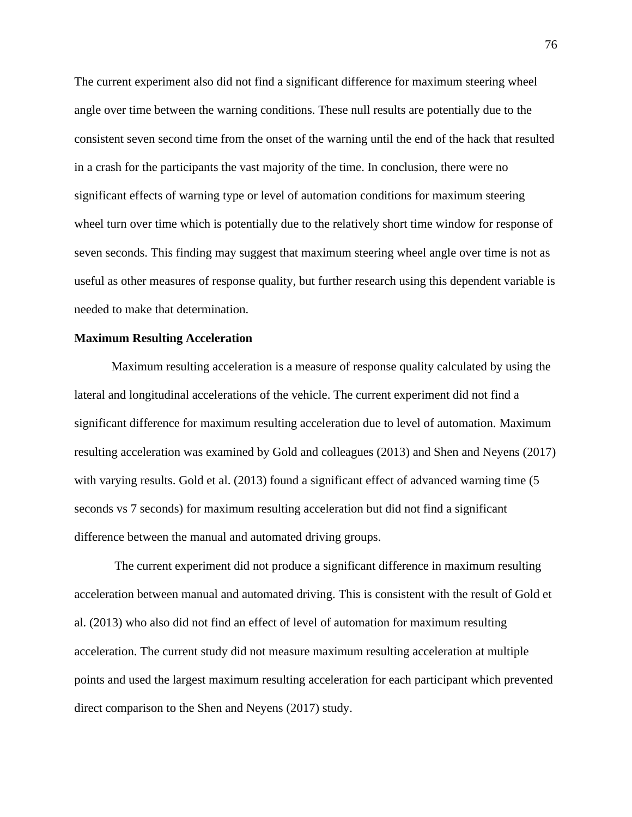The current experiment also did not find a significant difference for maximum steering wheel angle over time between the warning conditions. These null results are potentially due to the consistent seven second time from the onset of the warning until the end of the hack that resulted in a crash for the participants the vast majority of the time. In conclusion, there were no significant effects of warning type or level of automation conditions for maximum steering wheel turn over time which is potentially due to the relatively short time window for response of seven seconds. This finding may suggest that maximum steering wheel angle over time is not as useful as other measures of response quality, but further research using this dependent variable is needed to make that determination.

#### **Maximum Resulting Acceleration**

Maximum resulting acceleration is a measure of response quality calculated by using the lateral and longitudinal accelerations of the vehicle. The current experiment did not find a significant difference for maximum resulting acceleration due to level of automation. Maximum resulting acceleration was examined by Gold and colleagues (2013) and Shen and Neyens (2017) with varying results. Gold et al. (2013) found a significant effect of advanced warning time (5 seconds vs 7 seconds) for maximum resulting acceleration but did not find a significant difference between the manual and automated driving groups.

The current experiment did not produce a significant difference in maximum resulting acceleration between manual and automated driving. This is consistent with the result of Gold et al. (2013) who also did not find an effect of level of automation for maximum resulting acceleration. The current study did not measure maximum resulting acceleration at multiple points and used the largest maximum resulting acceleration for each participant which prevented direct comparison to the Shen and Neyens (2017) study.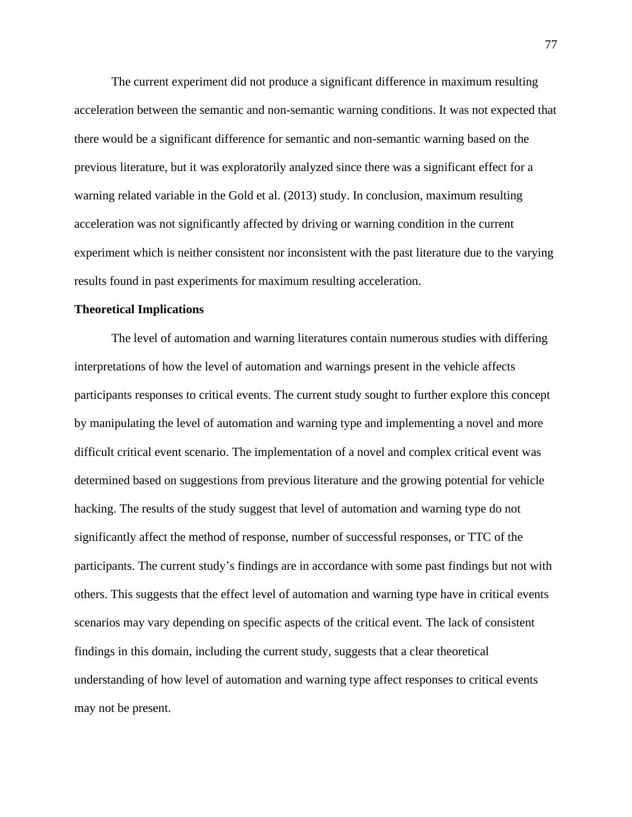The current experiment did not produce a significant difference in maximum resulting acceleration between the semantic and non-semantic warning conditions. It was not expected that there would be a significant difference for semantic and non-semantic warning based on the previous literature, but it was exploratorily analyzed since there was a significant effect for a warning related variable in the Gold et al. (2013) study. In conclusion, maximum resulting acceleration was not significantly affected by driving or warning condition in the current experiment which is neither consistent nor inconsistent with the past literature due to the varying results found in past experiments for maximum resulting acceleration.

### **Theoretical Implications**

The level of automation and warning literatures contain numerous studies with differing interpretations of how the level of automation and warnings present in the vehicle affects participants responses to critical events. The current study sought to further explore this concept by manipulating the level of automation and warning type and implementing a novel and more difficult critical event scenario. The implementation of a novel and complex critical event was determined based on suggestions from previous literature and the growing potential for vehicle hacking. The results of the study suggest that level of automation and warning type do not significantly affect the method of response, number of successful responses, or TTC of the participants. The current study's findings are in accordance with some past findings but not with others. This suggests that the effect level of automation and warning type have in critical events scenarios may vary depending on specific aspects of the critical event. The lack of consistent findings in this domain, including the current study, suggests that a clear theoretical understanding of how level of automation and warning type affect responses to critical events may not be present.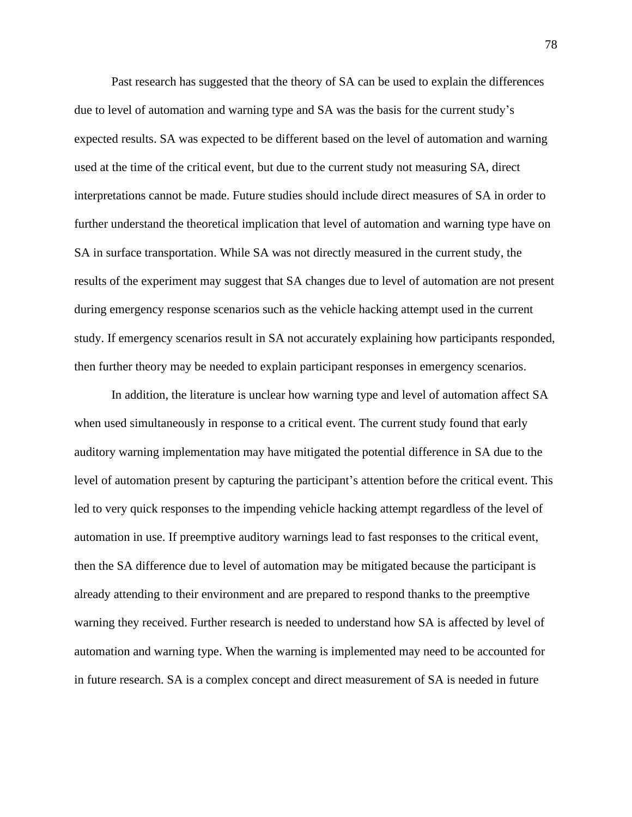Past research has suggested that the theory of SA can be used to explain the differences due to level of automation and warning type and SA was the basis for the current study's expected results. SA was expected to be different based on the level of automation and warning used at the time of the critical event, but due to the current study not measuring SA, direct interpretations cannot be made. Future studies should include direct measures of SA in order to further understand the theoretical implication that level of automation and warning type have on SA in surface transportation. While SA was not directly measured in the current study, the results of the experiment may suggest that SA changes due to level of automation are not present during emergency response scenarios such as the vehicle hacking attempt used in the current study. If emergency scenarios result in SA not accurately explaining how participants responded, then further theory may be needed to explain participant responses in emergency scenarios.

In addition, the literature is unclear how warning type and level of automation affect SA when used simultaneously in response to a critical event. The current study found that early auditory warning implementation may have mitigated the potential difference in SA due to the level of automation present by capturing the participant's attention before the critical event. This led to very quick responses to the impending vehicle hacking attempt regardless of the level of automation in use. If preemptive auditory warnings lead to fast responses to the critical event, then the SA difference due to level of automation may be mitigated because the participant is already attending to their environment and are prepared to respond thanks to the preemptive warning they received. Further research is needed to understand how SA is affected by level of automation and warning type. When the warning is implemented may need to be accounted for in future research. SA is a complex concept and direct measurement of SA is needed in future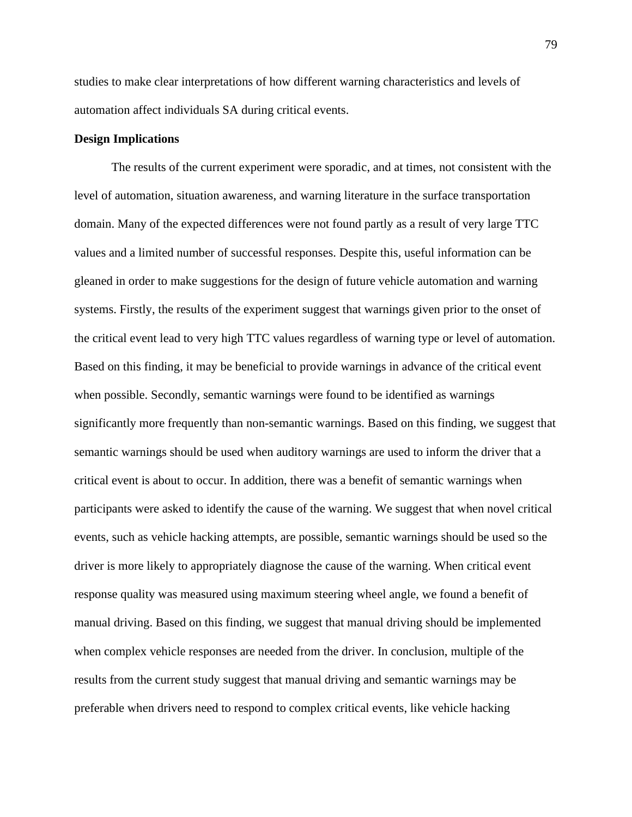studies to make clear interpretations of how different warning characteristics and levels of automation affect individuals SA during critical events.

# **Design Implications**

The results of the current experiment were sporadic, and at times, not consistent with the level of automation, situation awareness, and warning literature in the surface transportation domain. Many of the expected differences were not found partly as a result of very large TTC values and a limited number of successful responses. Despite this, useful information can be gleaned in order to make suggestions for the design of future vehicle automation and warning systems. Firstly, the results of the experiment suggest that warnings given prior to the onset of the critical event lead to very high TTC values regardless of warning type or level of automation. Based on this finding, it may be beneficial to provide warnings in advance of the critical event when possible. Secondly, semantic warnings were found to be identified as warnings significantly more frequently than non-semantic warnings. Based on this finding, we suggest that semantic warnings should be used when auditory warnings are used to inform the driver that a critical event is about to occur. In addition, there was a benefit of semantic warnings when participants were asked to identify the cause of the warning. We suggest that when novel critical events, such as vehicle hacking attempts, are possible, semantic warnings should be used so the driver is more likely to appropriately diagnose the cause of the warning. When critical event response quality was measured using maximum steering wheel angle, we found a benefit of manual driving. Based on this finding, we suggest that manual driving should be implemented when complex vehicle responses are needed from the driver. In conclusion, multiple of the results from the current study suggest that manual driving and semantic warnings may be preferable when drivers need to respond to complex critical events, like vehicle hacking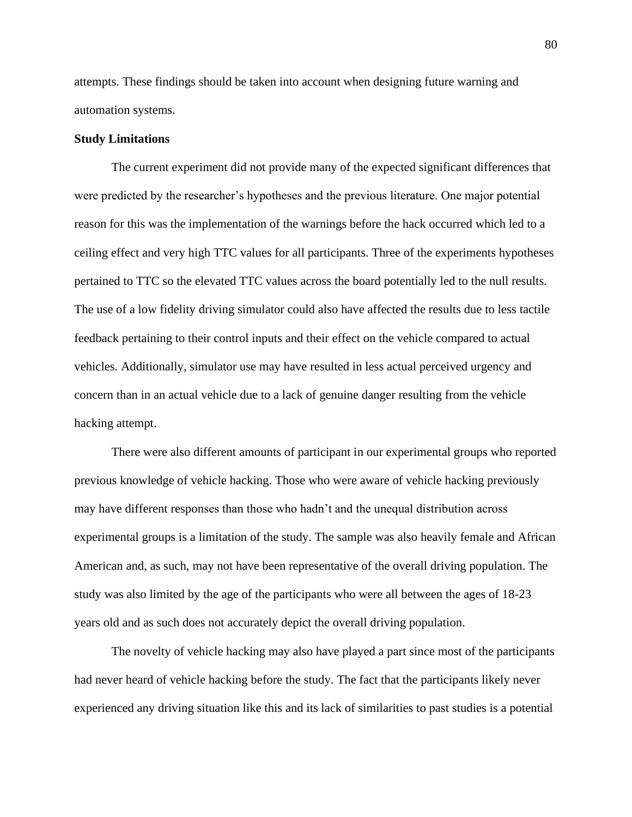attempts. These findings should be taken into account when designing future warning and automation systems.

## **Study Limitations**

The current experiment did not provide many of the expected significant differences that were predicted by the researcher's hypotheses and the previous literature. One major potential reason for this was the implementation of the warnings before the hack occurred which led to a ceiling effect and very high TTC values for all participants. Three of the experiments hypotheses pertained to TTC so the elevated TTC values across the board potentially led to the null results. The use of a low fidelity driving simulator could also have affected the results due to less tactile feedback pertaining to their control inputs and their effect on the vehicle compared to actual vehicles. Additionally, simulator use may have resulted in less actual perceived urgency and concern than in an actual vehicle due to a lack of genuine danger resulting from the vehicle hacking attempt.

There were also different amounts of participant in our experimental groups who reported previous knowledge of vehicle hacking. Those who were aware of vehicle hacking previously may have different responses than those who hadn't and the unequal distribution across experimental groups is a limitation of the study. The sample was also heavily female and African American and, as such, may not have been representative of the overall driving population. The study was also limited by the age of the participants who were all between the ages of 18-23 years old and as such does not accurately depict the overall driving population.

The novelty of vehicle hacking may also have played a part since most of the participants had never heard of vehicle hacking before the study. The fact that the participants likely never experienced any driving situation like this and its lack of similarities to past studies is a potential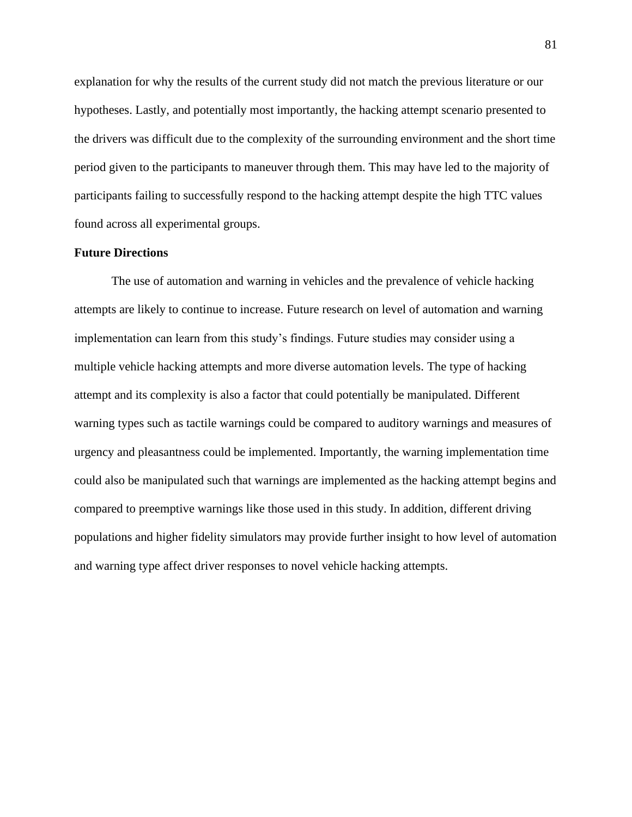explanation for why the results of the current study did not match the previous literature or our hypotheses. Lastly, and potentially most importantly, the hacking attempt scenario presented to the drivers was difficult due to the complexity of the surrounding environment and the short time period given to the participants to maneuver through them. This may have led to the majority of participants failing to successfully respond to the hacking attempt despite the high TTC values found across all experimental groups.

### **Future Directions**

The use of automation and warning in vehicles and the prevalence of vehicle hacking attempts are likely to continue to increase. Future research on level of automation and warning implementation can learn from this study's findings. Future studies may consider using a multiple vehicle hacking attempts and more diverse automation levels. The type of hacking attempt and its complexity is also a factor that could potentially be manipulated. Different warning types such as tactile warnings could be compared to auditory warnings and measures of urgency and pleasantness could be implemented. Importantly, the warning implementation time could also be manipulated such that warnings are implemented as the hacking attempt begins and compared to preemptive warnings like those used in this study. In addition, different driving populations and higher fidelity simulators may provide further insight to how level of automation and warning type affect driver responses to novel vehicle hacking attempts.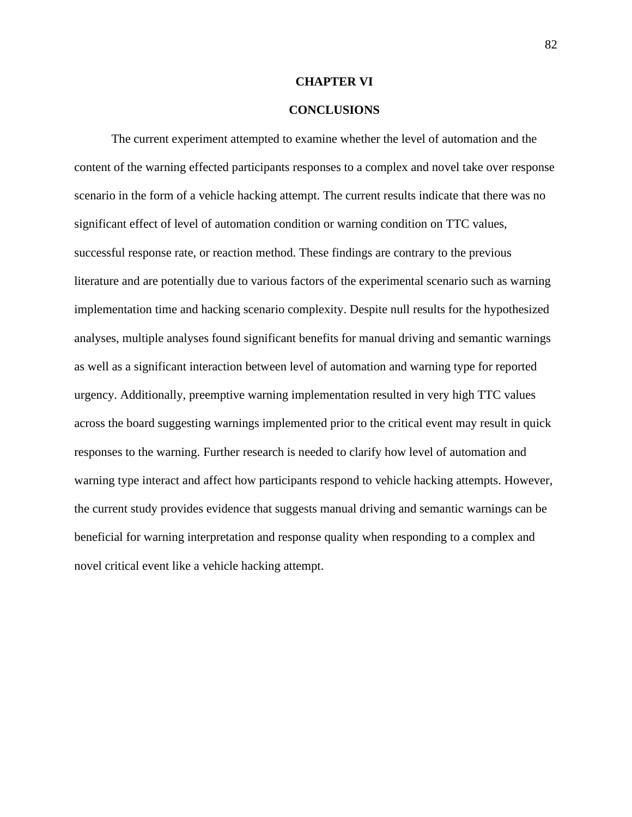### **CHAPTER VI**

### **CONCLUSIONS**

The current experiment attempted to examine whether the level of automation and the content of the warning effected participants responses to a complex and novel take over response scenario in the form of a vehicle hacking attempt. The current results indicate that there was no significant effect of level of automation condition or warning condition on TTC values, successful response rate, or reaction method. These findings are contrary to the previous literature and are potentially due to various factors of the experimental scenario such as warning implementation time and hacking scenario complexity. Despite null results for the hypothesized analyses, multiple analyses found significant benefits for manual driving and semantic warnings as well as a significant interaction between level of automation and warning type for reported urgency. Additionally, preemptive warning implementation resulted in very high TTC values across the board suggesting warnings implemented prior to the critical event may result in quick responses to the warning. Further research is needed to clarify how level of automation and warning type interact and affect how participants respond to vehicle hacking attempts. However, the current study provides evidence that suggests manual driving and semantic warnings can be beneficial for warning interpretation and response quality when responding to a complex and novel critical event like a vehicle hacking attempt.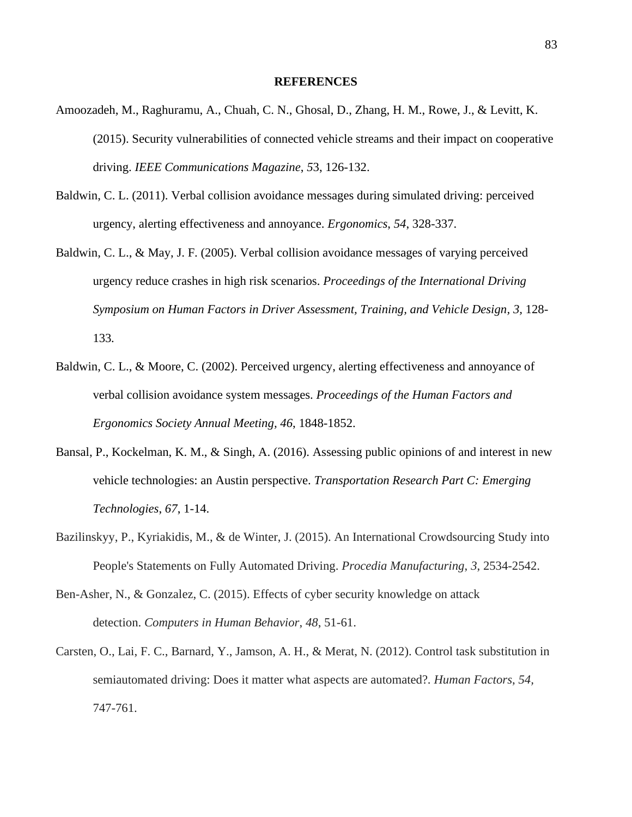### **REFERENCES**

- Amoozadeh, M., Raghuramu, A., Chuah, C. N., Ghosal, D., Zhang, H. M., Rowe, J., & Levitt, K. (2015). Security vulnerabilities of connected vehicle streams and their impact on cooperative driving. *IEEE Communications Magazine*, *5*3, 126-132.
- Baldwin, C. L. (2011). Verbal collision avoidance messages during simulated driving: perceived urgency, alerting effectiveness and annoyance. *Ergonomics*, *54*, 328-337.
- Baldwin, C. L., & May, J. F. (2005). Verbal collision avoidance messages of varying perceived urgency reduce crashes in high risk scenarios. *Proceedings of the International Driving Symposium on Human Factors in Driver Assessment, Training, and Vehicle Design, 3,* 128- 133*.*
- Baldwin, C. L., & Moore, C. (2002). Perceived urgency, alerting effectiveness and annoyance of verbal collision avoidance system messages. *Proceedings of the Human Factors and Ergonomics Society Annual Meeting, 46*, 1848-1852.
- Bansal, P., Kockelman, K. M., & Singh, A. (2016). Assessing public opinions of and interest in new vehicle technologies: an Austin perspective. *Transportation Research Part C: Emerging Technologies*, *67*, 1-14.
- Bazilinskyy, P., Kyriakidis, M., & de Winter, J. (2015). An International Crowdsourcing Study into People's Statements on Fully Automated Driving. *Procedia Manufacturing*, *3*, 2534-2542.
- Ben-Asher, N., & Gonzalez, C. (2015). Effects of cyber security knowledge on attack detection. *Computers in Human Behavior*, *48*, 51-61.
- Carsten, O., Lai, F. C., Barnard, Y., Jamson, A. H., & Merat, N. (2012). Control task substitution in semiautomated driving: Does it matter what aspects are automated?. *Human Factors*, *54,* 747-761.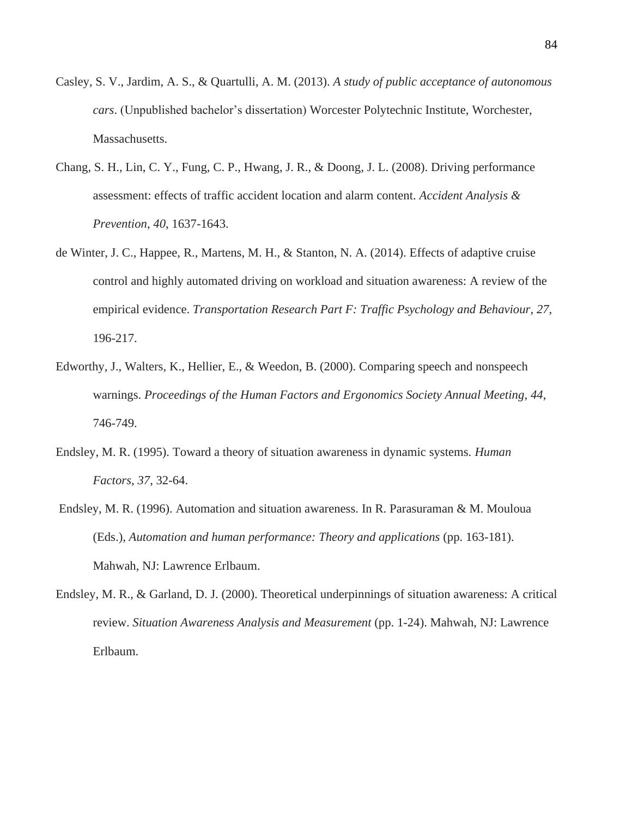- Casley, S. V., Jardim, A. S., & Quartulli, A. M. (2013). *A study of public acceptance of autonomous cars*. (Unpublished bachelor's dissertation) Worcester Polytechnic Institute, Worchester, Massachusetts.
- Chang, S. H., Lin, C. Y., Fung, C. P., Hwang, J. R., & Doong, J. L. (2008). Driving performance assessment: effects of traffic accident location and alarm content. *Accident Analysis & Prevention*, *40*, 1637-1643.
- de Winter, J. C., Happee, R., Martens, M. H., & Stanton, N. A. (2014). Effects of adaptive cruise control and highly automated driving on workload and situation awareness: A review of the empirical evidence. *Transportation Research Part F: Traffic Psychology and Behaviour*, *27*, 196-217.
- Edworthy, J., Walters, K., Hellier, E., & Weedon, B. (2000). Comparing speech and nonspeech warnings. *Proceedings of the Human Factors and Ergonomics Society Annual Meeting, 44*, 746-749.
- Endsley, M. R. (1995). Toward a theory of situation awareness in dynamic systems. *Human Factors*, *37*, 32-64.
- Endsley, M. R. (1996). Automation and situation awareness. In R. Parasuraman & M. Mouloua (Eds.), *Automation and human performance: Theory and applications* (pp. 163-181). Mahwah, NJ: Lawrence Erlbaum.
- Endsley, M. R., & Garland, D. J. (2000). Theoretical underpinnings of situation awareness: A critical review. *Situation Awareness Analysis and Measurement* (pp. 1-24). Mahwah, NJ: Lawrence Erlbaum.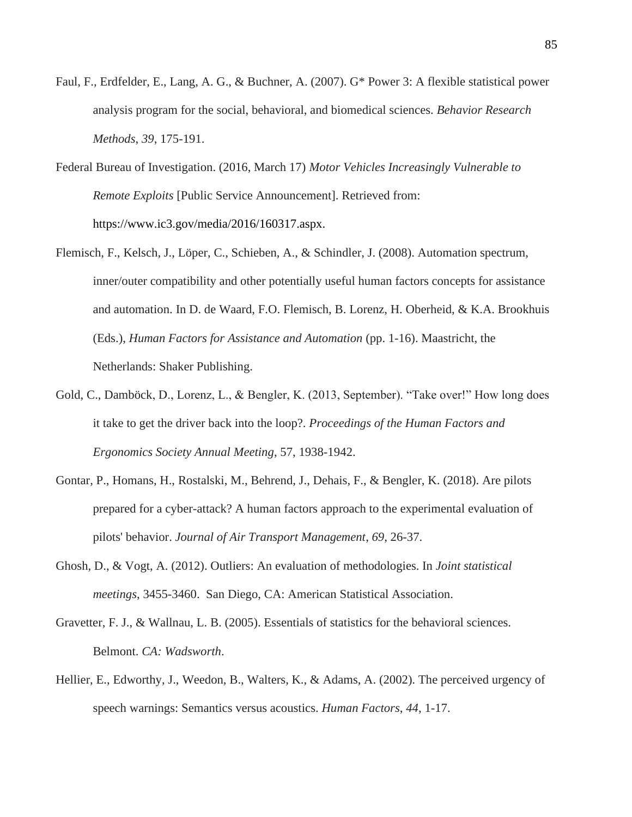- Faul, F., Erdfelder, E., Lang, A. G., & Buchner, A. (2007). G\* Power 3: A flexible statistical power analysis program for the social, behavioral, and biomedical sciences. *Behavior Research Methods*, *39*, 175-191.
- Federal Bureau of Investigation. (2016, March 17) *Motor Vehicles Increasingly Vulnerable to Remote Exploits* [Public Service Announcement]. Retrieved from: https://www.ic3.gov/media/2016/160317.aspx.
- Flemisch, F., Kelsch, J., Löper, C., Schieben, A., & Schindler, J. (2008). Automation spectrum, inner/outer compatibility and other potentially useful human factors concepts for assistance and automation. In D. de Waard, F.O. Flemisch, B. Lorenz, H. Oberheid, & K.A. Brookhuis (Eds.), *Human Factors for Assistance and Automation* (pp. 1-16). Maastricht, the Netherlands: Shaker Publishing.
- Gold, C., Damböck, D., Lorenz, L., & Bengler, K. (2013, September). "Take over!" How long does it take to get the driver back into the loop?. *Proceedings of the Human Factors and Ergonomics Society Annual Meeting*, 57, 1938-1942.
- Gontar, P., Homans, H., Rostalski, M., Behrend, J., Dehais, F., & Bengler, K. (2018). Are pilots prepared for a cyber-attack? A human factors approach to the experimental evaluation of pilots' behavior. *Journal of Air Transport Management*, *69*, 26-37.
- Ghosh, D., & Vogt, A. (2012). Outliers: An evaluation of methodologies. In *Joint statistical meetings*, 3455-3460. San Diego, CA: American Statistical Association.
- Gravetter, F. J., & Wallnau, L. B. (2005). Essentials of statistics for the behavioral sciences. Belmont. *CA: Wadsworth*.
- Hellier, E., Edworthy, J., Weedon, B., Walters, K., & Adams, A. (2002). The perceived urgency of speech warnings: Semantics versus acoustics. *Human Factors*, *44*, 1-17.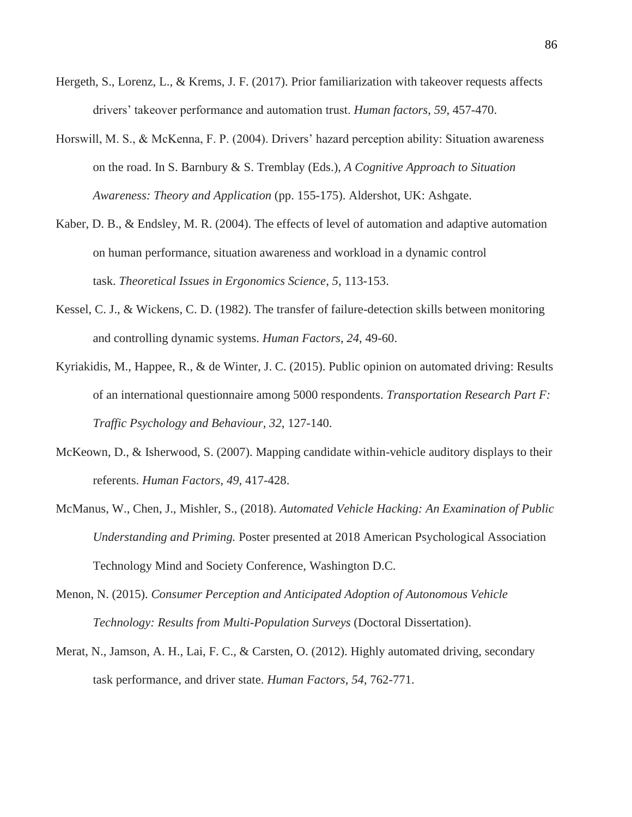- Hergeth, S., Lorenz, L., & Krems, J. F. (2017). Prior familiarization with takeover requests affects drivers' takeover performance and automation trust. *Human factors*, *59*, 457-470.
- Horswill, M. S., & McKenna, F. P. (2004). Drivers' hazard perception ability: Situation awareness on the road. In S. Barnbury & S. Tremblay (Eds.), *A Cognitive Approach to Situation Awareness: Theory and Application* (pp. 155-175). Aldershot, UK: Ashgate.
- Kaber, D. B., & Endsley, M. R. (2004). The effects of level of automation and adaptive automation on human performance, situation awareness and workload in a dynamic control task. *Theoretical Issues in Ergonomics Science*, *5*, 113-153.
- Kessel, C. J., & Wickens, C. D. (1982). The transfer of failure-detection skills between monitoring and controlling dynamic systems. *Human Factors*, *24*, 49-60.
- Kyriakidis, M., Happee, R., & de Winter, J. C. (2015). Public opinion on automated driving: Results of an international questionnaire among 5000 respondents. *Transportation Research Part F: Traffic Psychology and Behaviour*, *32*, 127-140.
- McKeown, D., & Isherwood, S. (2007). Mapping candidate within-vehicle auditory displays to their referents. *Human Factors*, *49*, 417-428.
- McManus, W., Chen, J., Mishler, S., (2018). *Automated Vehicle Hacking: An Examination of Public Understanding and Priming.* Poster presented at 2018 American Psychological Association Technology Mind and Society Conference, Washington D.C.
- Menon, N. (2015). *Consumer Perception and Anticipated Adoption of Autonomous Vehicle Technology: Results from Multi-Population Surveys* (Doctoral Dissertation).
- Merat, N., Jamson, A. H., Lai, F. C., & Carsten, O. (2012). Highly automated driving, secondary task performance, and driver state. *Human Factors*, *54*, 762-771.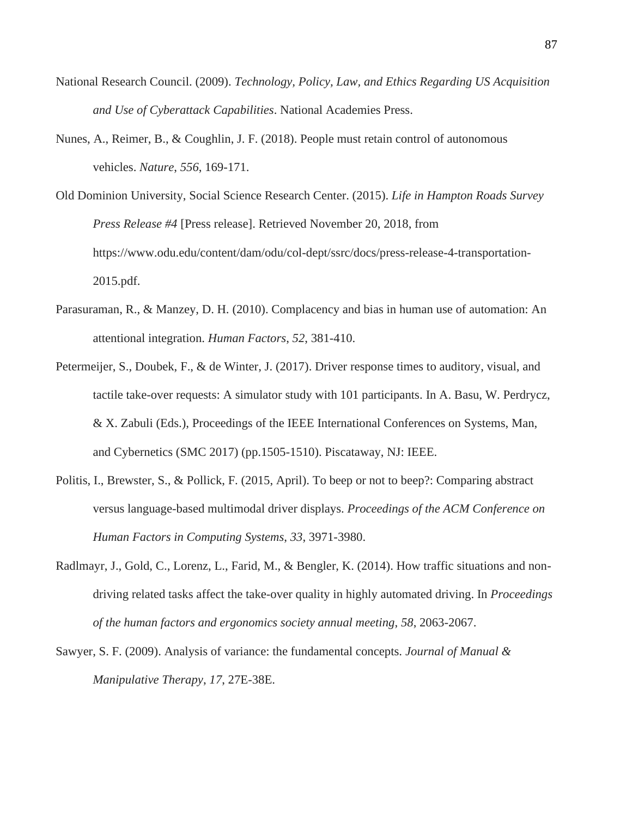- National Research Council. (2009). *Technology, Policy, Law, and Ethics Regarding US Acquisition and Use of Cyberattack Capabilities*. National Academies Press.
- Nunes, A., Reimer, B., & Coughlin, J. F. (2018). People must retain control of autonomous vehicles. *Nature*, *556*, 169-171.

Old Dominion University, Social Science Research Center. (2015). *Life in Hampton Roads Survey Press Release #4* [Press release]. Retrieved November 20, 2018, from https://www.odu.edu/content/dam/odu/col-dept/ssrc/docs/press-release-4-transportation-2015.pdf.

- Parasuraman, R., & Manzey, D. H. (2010). Complacency and bias in human use of automation: An attentional integration. *Human Factors*, *52*, 381-410.
- Petermeijer, S., Doubek, F., & de Winter, J. (2017). Driver response times to auditory, visual, and tactile take-over requests: A simulator study with 101 participants. In A. Basu, W. Perdrycz, & X. Zabuli (Eds.), Proceedings of the IEEE International Conferences on Systems, Man, and Cybernetics (SMC 2017) (pp.1505-1510). Piscataway, NJ: IEEE.
- Politis, I., Brewster, S., & Pollick, F. (2015, April). To beep or not to beep?: Comparing abstract versus language-based multimodal driver displays. *Proceedings of the ACM Conference on Human Factors in Computing Systems*, *33*, 3971-3980.
- Radlmayr, J., Gold, C., Lorenz, L., Farid, M., & Bengler, K. (2014). How traffic situations and nondriving related tasks affect the take-over quality in highly automated driving. In *Proceedings of the human factors and ergonomics society annual meeting*, *58*, 2063-2067.
- Sawyer, S. F. (2009). Analysis of variance: the fundamental concepts. *Journal of Manual & Manipulative Therapy*, *17*, 27E-38E.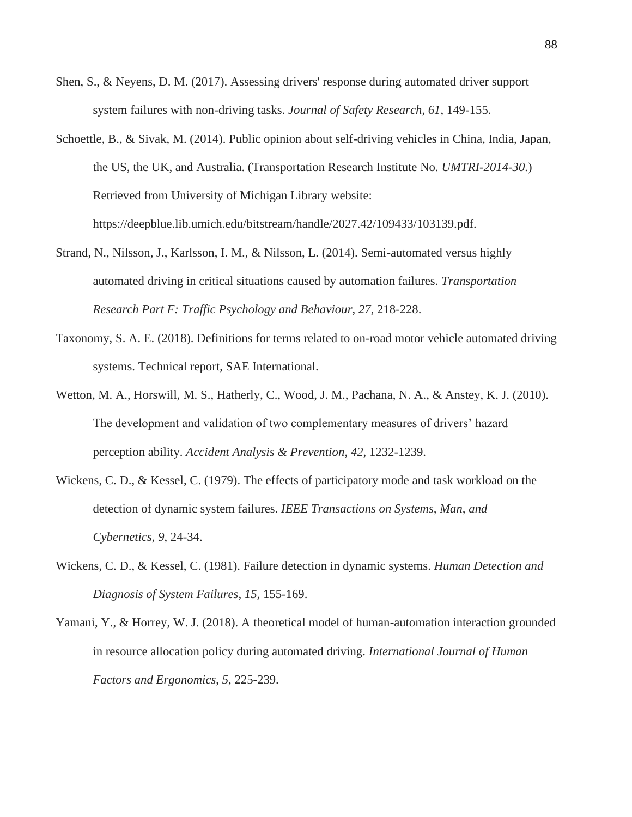- Shen, S., & Neyens, D. M. (2017). Assessing drivers' response during automated driver support system failures with non-driving tasks. *Journal of Safety Research*, *61*, 149-155.
- Schoettle, B., & Sivak, M. (2014). Public opinion about self-driving vehicles in China, India, Japan, the US, the UK, and Australia. (Transportation Research Institute No. *UMTRI-2014-30*.) Retrieved from University of Michigan Library website: https://deepblue.lib.umich.edu/bitstream/handle/2027.42/109433/103139.pdf.
- Strand, N., Nilsson, J., Karlsson, I. M., & Nilsson, L. (2014). Semi-automated versus highly automated driving in critical situations caused by automation failures. *Transportation Research Part F: Traffic Psychology and Behaviour*, *27*, 218-228.
- Taxonomy, S. A. E. (2018). Definitions for terms related to on-road motor vehicle automated driving systems. Technical report, SAE International.
- Wetton, M. A., Horswill, M. S., Hatherly, C., Wood, J. M., Pachana, N. A., & Anstey, K. J. (2010). The development and validation of two complementary measures of drivers' hazard perception ability. *Accident Analysis & Prevention*, *42*, 1232-1239.
- Wickens, C. D., & Kessel, C. (1979). The effects of participatory mode and task workload on the detection of dynamic system failures. *IEEE Transactions on Systems, Man, and Cybernetics*, *9*, 24-34.
- Wickens, C. D., & Kessel, C. (1981). Failure detection in dynamic systems. *Human Detection and Diagnosis of System Failures*, *15,* 155-169.
- Yamani, Y., & Horrey, W. J. (2018). A theoretical model of human-automation interaction grounded in resource allocation policy during automated driving. *International Journal of Human Factors and Ergonomics*, *5*, 225-239.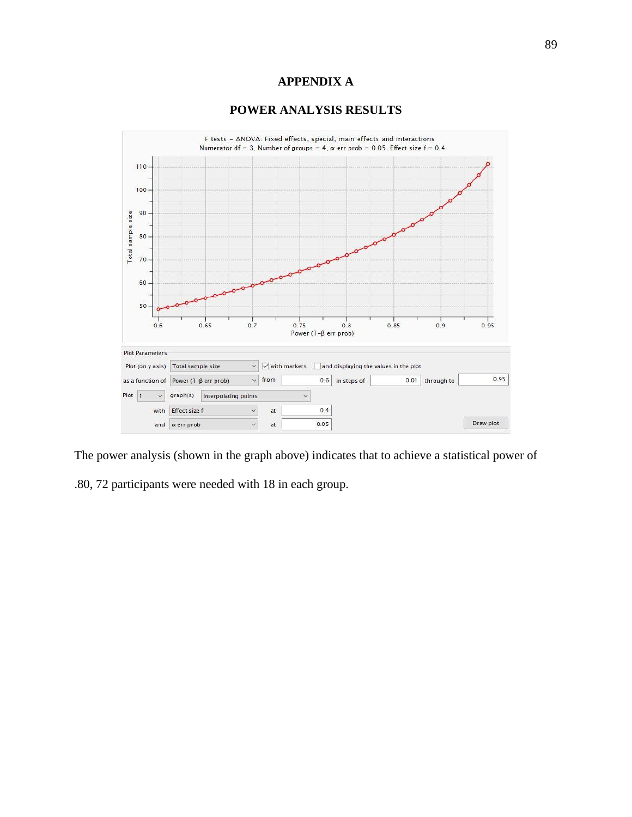# **APPENDIX A**

# **POWER ANALYSIS RESULTS**



The power analysis (shown in the graph above) indicates that to achieve a statistical power of

.80, 72 participants were needed with 18 in each group.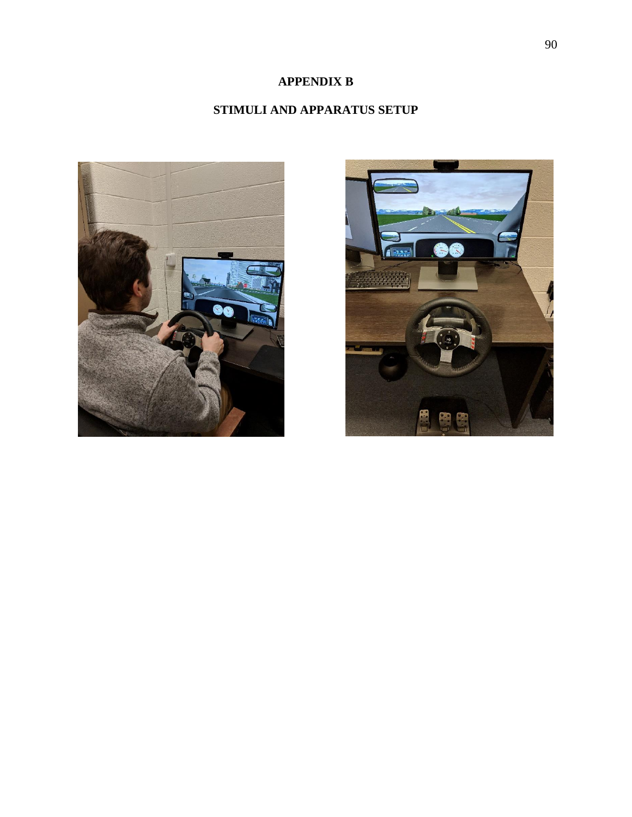# **APPENDIX B**

# **STIMULI AND APPARATUS SETUP**



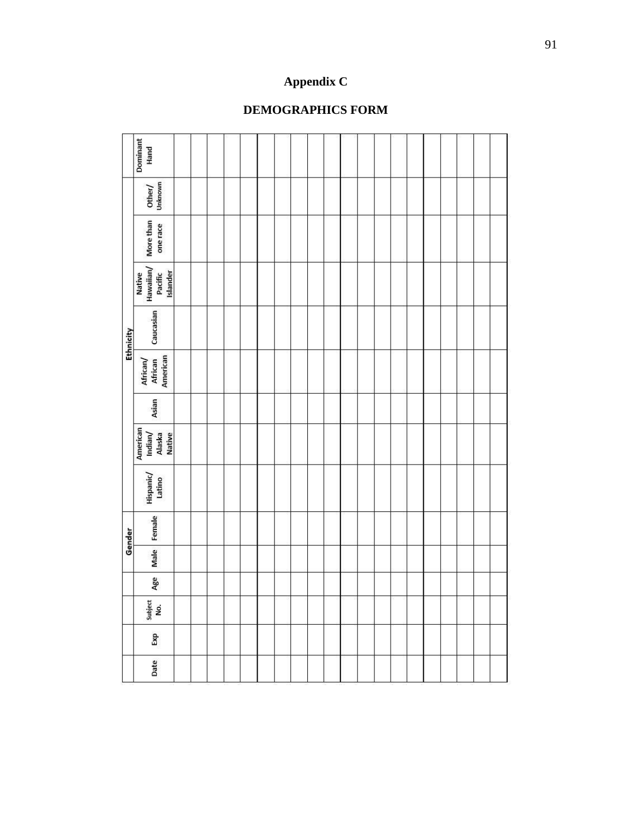# **DEMOGRAPHICS FORM**

**Appendix C**

|           | Dominant<br>Hand                               |  |  |  |  |  |  |  |  |  |  |
|-----------|------------------------------------------------|--|--|--|--|--|--|--|--|--|--|
| Ethnicity | Other/<br>Unknown                              |  |  |  |  |  |  |  |  |  |  |
|           | More than<br>one race                          |  |  |  |  |  |  |  |  |  |  |
|           | Native<br>Hawaiian/<br>Islander<br>Pacific     |  |  |  |  |  |  |  |  |  |  |
|           | Caucasian                                      |  |  |  |  |  |  |  |  |  |  |
|           | American<br>African/<br>African                |  |  |  |  |  |  |  |  |  |  |
|           | Asian                                          |  |  |  |  |  |  |  |  |  |  |
|           | American<br>Indian/<br>Alaska<br><b>Native</b> |  |  |  |  |  |  |  |  |  |  |
|           | Hispanic/<br>Latino                            |  |  |  |  |  |  |  |  |  |  |
| Gender    | Female                                         |  |  |  |  |  |  |  |  |  |  |
|           | Male                                           |  |  |  |  |  |  |  |  |  |  |
|           | Age                                            |  |  |  |  |  |  |  |  |  |  |
|           | Subject<br>No.                                 |  |  |  |  |  |  |  |  |  |  |
|           | Exp                                            |  |  |  |  |  |  |  |  |  |  |
|           | Date                                           |  |  |  |  |  |  |  |  |  |  |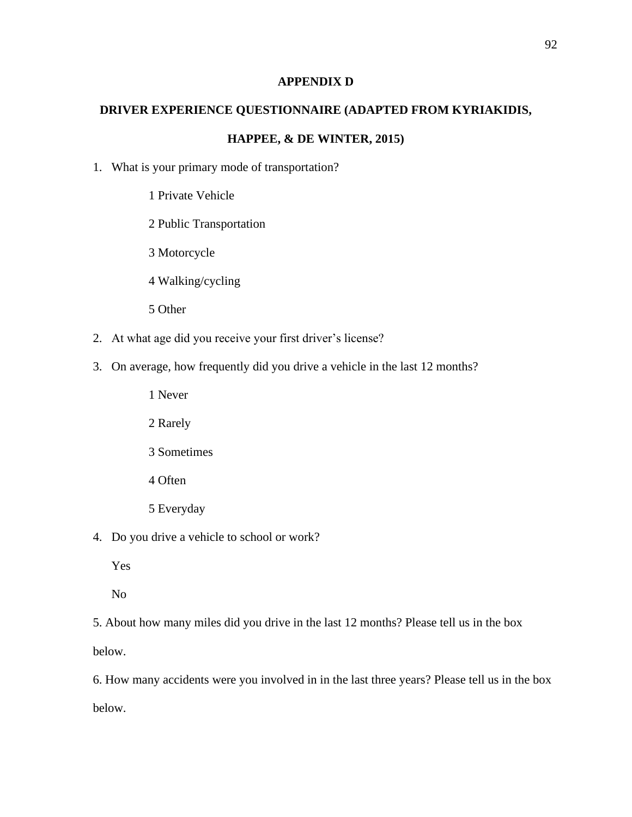# **APPENDIX D**

# **DRIVER EXPERIENCE QUESTIONNAIRE (ADAPTED FROM KYRIAKIDIS,**

# **HAPPEE, & DE WINTER, 2015)**

- 1. What is your primary mode of transportation?
	- 1 Private Vehicle
	- 2 Public Transportation
	- 3 Motorcycle
	- 4 Walking/cycling
	- 5 Other
- 2. At what age did you receive your first driver's license?
- 3. On average, how frequently did you drive a vehicle in the last 12 months?
	- 1 Never
	- 2 Rarely
	- 3 Sometimes
	- 4 Often
	- 5 Everyday
- 4. Do you drive a vehicle to school or work?
	- Yes
	- No

5. About how many miles did you drive in the last 12 months? Please tell us in the box

below.

6. How many accidents were you involved in in the last three years? Please tell us in the box below.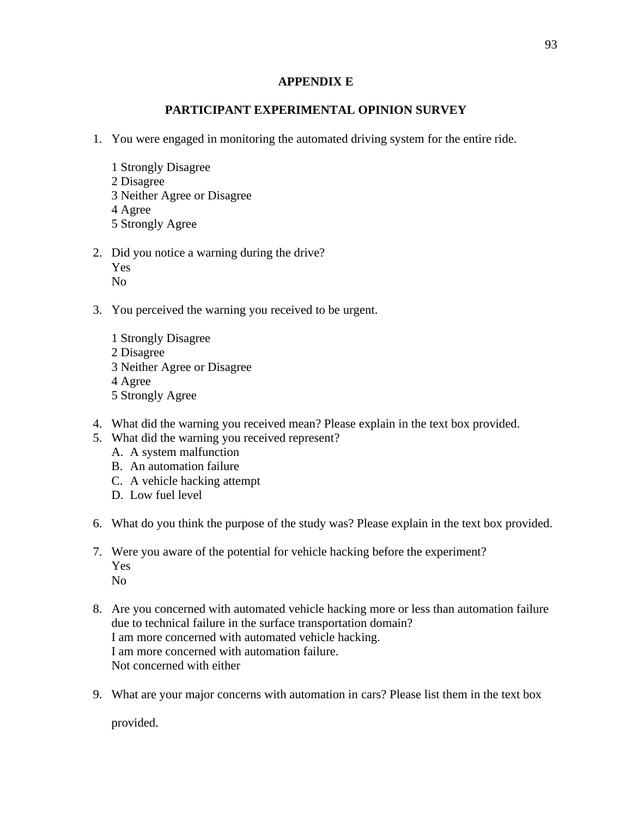# **APPENDIX E**

# **PARTICIPANT EXPERIMENTAL OPINION SURVEY**

- 1. You were engaged in monitoring the automated driving system for the entire ride.
	- 1 Strongly Disagree 2 Disagree 3 Neither Agree or Disagree 4 Agree 5 Strongly Agree
- 2. Did you notice a warning during the drive? Yes No
- 3. You perceived the warning you received to be urgent.
	- 1 Strongly Disagree 2 Disagree 3 Neither Agree or Disagree 4 Agree 5 Strongly Agree
- 4. What did the warning you received mean? Please explain in the text box provided.
- 5. What did the warning you received represent?
	- A. A system malfunction
	- B. An automation failure
	- C. A vehicle hacking attempt
	- D. Low fuel level
- 6. What do you think the purpose of the study was? Please explain in the text box provided.
- 7. Were you aware of the potential for vehicle hacking before the experiment? Yes No
- 8. Are you concerned with automated vehicle hacking more or less than automation failure due to technical failure in the surface transportation domain? I am more concerned with automated vehicle hacking. I am more concerned with automation failure. Not concerned with either
- 9. What are your major concerns with automation in cars? Please list them in the text box

provided.